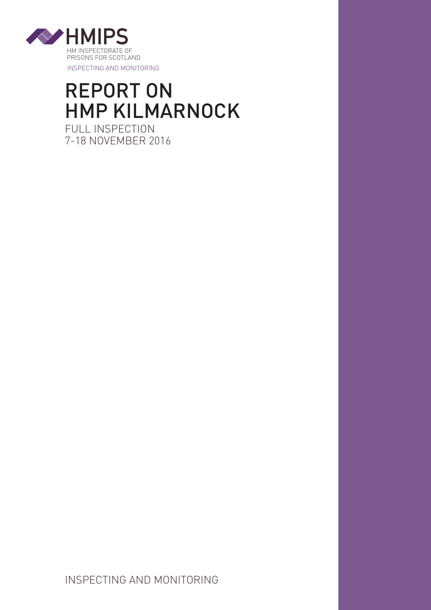

# REPORT ON HMP KILMARNOCK FULL INSPECTION 7-18 NOVEMBER 2016

INSPECTING AND MONITORING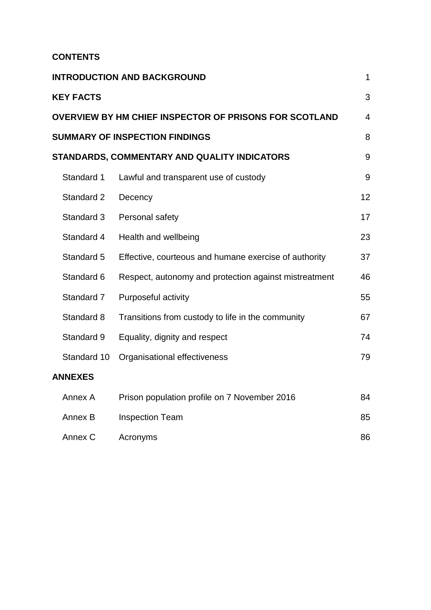# **CONTENTS**

| <b>INTRODUCTION AND BACKGROUND</b>                     |                                                       |    |
|--------------------------------------------------------|-------------------------------------------------------|----|
| <b>KEY FACTS</b>                                       |                                                       | 3  |
| OVERVIEW BY HM CHIEF INSPECTOR OF PRISONS FOR SCOTLAND |                                                       |    |
| <b>SUMMARY OF INSPECTION FINDINGS</b>                  |                                                       |    |
|                                                        | STANDARDS, COMMENTARY AND QUALITY INDICATORS          | 9  |
| Standard 1                                             | Lawful and transparent use of custody                 | 9  |
| Standard 2                                             | Decency                                               | 12 |
| Standard 3                                             | Personal safety                                       | 17 |
| Standard 4                                             | Health and wellbeing                                  | 23 |
| Standard 5                                             | Effective, courteous and humane exercise of authority | 37 |
| Standard 6                                             | Respect, autonomy and protection against mistreatment | 46 |
| Standard 7                                             | Purposeful activity                                   | 55 |
| Standard 8                                             | Transitions from custody to life in the community     | 67 |
| Standard 9                                             | Equality, dignity and respect                         | 74 |
| Standard 10                                            | Organisational effectiveness                          | 79 |
| <b>ANNEXES</b>                                         |                                                       |    |
| Annex A                                                | Prison population profile on 7 November 2016          | 84 |
| Annex B                                                | <b>Inspection Team</b>                                | 85 |
| Annex C                                                | Acronyms                                              | 86 |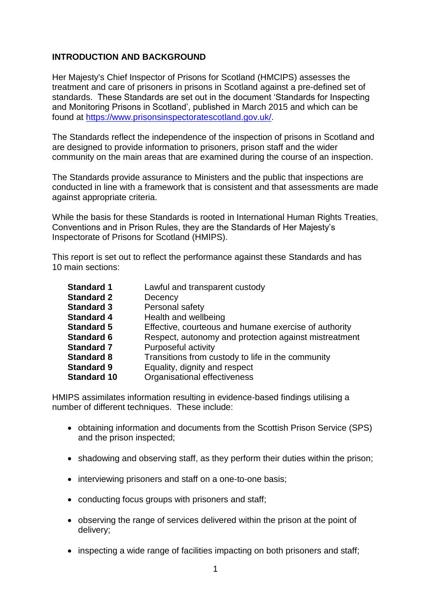# **INTRODUCTION AND BACKGROUND**

Her Majesty's Chief Inspector of Prisons for Scotland (HMCIPS) assesses the treatment and care of prisoners in prisons in Scotland against a pre-defined set of standards. These Standards are set out in the document "Standards for Inspecting and Monitoring Prisons in Scotland", published in March 2015 and which can be found at [https://www.prisonsinspectoratescotland.gov.uk/.](https://www.prisonsinspectoratescotland.gov.uk/)

The Standards reflect the independence of the inspection of prisons in Scotland and are designed to provide information to prisoners, prison staff and the wider community on the main areas that are examined during the course of an inspection.

The Standards provide assurance to Ministers and the public that inspections are conducted in line with a framework that is consistent and that assessments are made against appropriate criteria.

While the basis for these Standards is rooted in International Human Rights Treaties, Conventions and in Prison Rules, they are the Standards of Her Majesty"s Inspectorate of Prisons for Scotland (HMIPS).

This report is set out to reflect the performance against these Standards and has 10 main sections:

| <b>Standard 1</b>  | Lawful and transparent custody                        |  |
|--------------------|-------------------------------------------------------|--|
| <b>Standard 2</b>  | Decency                                               |  |
| <b>Standard 3</b>  | Personal safety                                       |  |
| <b>Standard 4</b>  | Health and wellbeing                                  |  |
| <b>Standard 5</b>  | Effective, courteous and humane exercise of authority |  |
| <b>Standard 6</b>  | Respect, autonomy and protection against mistreatment |  |
| <b>Standard 7</b>  | Purposeful activity                                   |  |
| <b>Standard 8</b>  | Transitions from custody to life in the community     |  |
| <b>Standard 9</b>  | Equality, dignity and respect                         |  |
| <b>Standard 10</b> | Organisational effectiveness                          |  |
|                    |                                                       |  |

HMIPS assimilates information resulting in evidence-based findings utilising a number of different techniques. These include:

- obtaining information and documents from the Scottish Prison Service (SPS) and the prison inspected;
- shadowing and observing staff, as they perform their duties within the prison;
- interviewing prisoners and staff on a one-to-one basis;
- conducting focus groups with prisoners and staff;
- observing the range of services delivered within the prison at the point of delivery;
- inspecting a wide range of facilities impacting on both prisoners and staff;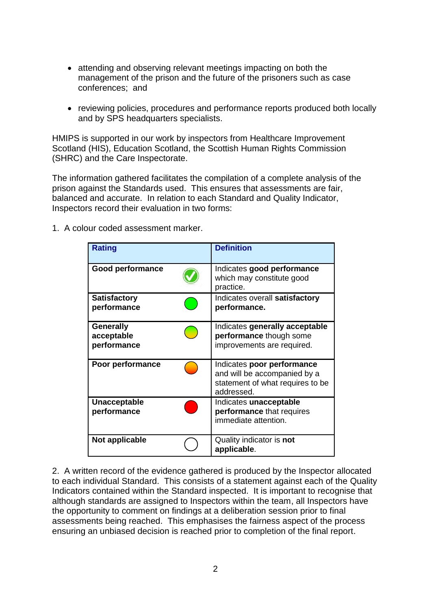- attending and observing relevant meetings impacting on both the management of the prison and the future of the prisoners such as case conferences; and
- reviewing policies, procedures and performance reports produced both locally and by SPS headquarters specialists.

HMIPS is supported in our work by inspectors from Healthcare Improvement Scotland (HIS), Education Scotland, the Scottish Human Rights Commission (SHRC) and the Care Inspectorate.

The information gathered facilitates the compilation of a complete analysis of the prison against the Standards used. This ensures that assessments are fair, balanced and accurate. In relation to each Standard and Quality Indicator, Inspectors record their evaluation in two forms:

1. A colour coded assessment marker.

| <b>Rating</b>                                 | <b>Definition</b>                                                                                            |
|-----------------------------------------------|--------------------------------------------------------------------------------------------------------------|
| <b>Good performance</b>                       | Indicates good performance<br>which may constitute good<br>practice.                                         |
| <b>Satisfactory</b><br>performance            | Indicates overall satisfactory<br>performance.                                                               |
| <b>Generally</b><br>acceptable<br>performance | Indicates generally acceptable<br>performance though some<br>improvements are required.                      |
| Poor performance                              | Indicates poor performance<br>and will be accompanied by a<br>statement of what requires to be<br>addressed. |
| <b>Unacceptable</b><br>performance            | Indicates unacceptable<br>performance that requires<br>immediate attention.                                  |
| Not applicable                                | Quality indicator is not<br>applicable.                                                                      |

2. A written record of the evidence gathered is produced by the Inspector allocated to each individual Standard. This consists of a statement against each of the Quality Indicators contained within the Standard inspected. It is important to recognise that although standards are assigned to Inspectors within the team, all Inspectors have the opportunity to comment on findings at a deliberation session prior to final assessments being reached. This emphasises the fairness aspect of the process ensuring an unbiased decision is reached prior to completion of the final report.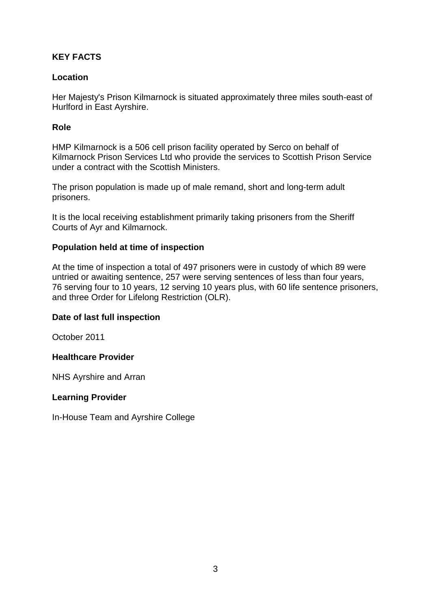# **KEY FACTS**

# **Location**

Her Majesty's Prison Kilmarnock is situated approximately three miles south-east of Hurlford in East Ayrshire.

# **Role**

HMP Kilmarnock is a 506 cell prison facility operated by Serco on behalf of Kilmarnock Prison Services Ltd who provide the services to Scottish Prison Service under a contract with the Scottish Ministers.

The prison population is made up of male remand, short and long-term adult prisoners.

It is the local receiving establishment primarily taking prisoners from the Sheriff Courts of Ayr and Kilmarnock.

### **Population held at time of inspection**

At the time of inspection a total of 497 prisoners were in custody of which 89 were untried or awaiting sentence, 257 were serving sentences of less than four years, 76 serving four to 10 years, 12 serving 10 years plus, with 60 life sentence prisoners, and three Order for Lifelong Restriction (OLR).

### **Date of last full inspection**

October 2011

### **Healthcare Provider**

NHS Ayrshire and Arran

### **Learning Provider**

In-House Team and Ayrshire College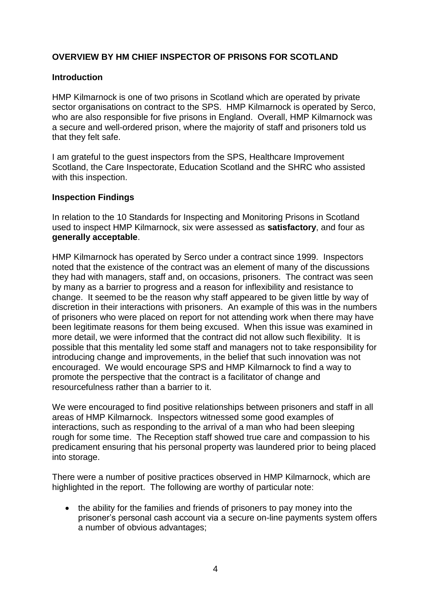# **OVERVIEW BY HM CHIEF INSPECTOR OF PRISONS FOR SCOTLAND**

### **Introduction**

HMP Kilmarnock is one of two prisons in Scotland which are operated by private sector organisations on contract to the SPS. HMP Kilmarnock is operated by Serco, who are also responsible for five prisons in England. Overall, HMP Kilmarnock was a secure and well-ordered prison, where the majority of staff and prisoners told us that they felt safe.

I am grateful to the guest inspectors from the SPS, Healthcare Improvement Scotland, the Care Inspectorate, Education Scotland and the SHRC who assisted with this inspection.

#### **Inspection Findings**

In relation to the 10 Standards for Inspecting and Monitoring Prisons in Scotland used to inspect HMP Kilmarnock, six were assessed as **satisfactory**, and four as **generally acceptable**.

HMP Kilmarnock has operated by Serco under a contract since 1999. Inspectors noted that the existence of the contract was an element of many of the discussions they had with managers, staff and, on occasions, prisoners. The contract was seen by many as a barrier to progress and a reason for inflexibility and resistance to change. It seemed to be the reason why staff appeared to be given little by way of discretion in their interactions with prisoners. An example of this was in the numbers of prisoners who were placed on report for not attending work when there may have been legitimate reasons for them being excused. When this issue was examined in more detail, we were informed that the contract did not allow such flexibility. It is possible that this mentality led some staff and managers not to take responsibility for introducing change and improvements, in the belief that such innovation was not encouraged. We would encourage SPS and HMP Kilmarnock to find a way to promote the perspective that the contract is a facilitator of change and resourcefulness rather than a barrier to it.

We were encouraged to find positive relationships between prisoners and staff in all areas of HMP Kilmarnock. Inspectors witnessed some good examples of interactions, such as responding to the arrival of a man who had been sleeping rough for some time. The Reception staff showed true care and compassion to his predicament ensuring that his personal property was laundered prior to being placed into storage.

There were a number of positive practices observed in HMP Kilmarnock, which are highlighted in the report. The following are worthy of particular note:

 the ability for the families and friends of prisoners to pay money into the prisoner"s personal cash account via a secure on-line payments system offers a number of obvious advantages;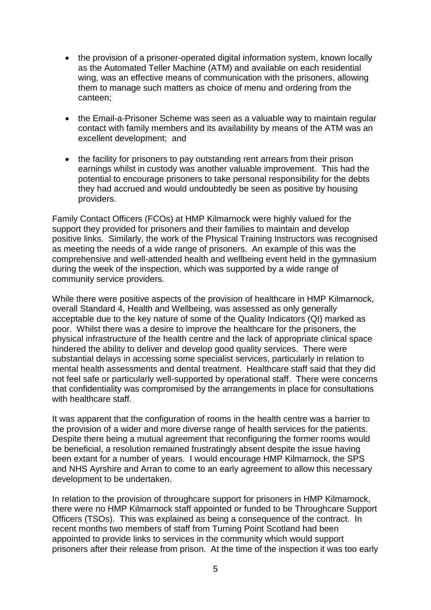- the provision of a prisoner-operated digital information system, known locally as the Automated Teller Machine (ATM) and available on each residential wing, was an effective means of communication with the prisoners, allowing them to manage such matters as choice of menu and ordering from the canteen;
- the Email-a-Prisoner Scheme was seen as a valuable way to maintain regular contact with family members and its availability by means of the ATM was an excellent development; and
- the facility for prisoners to pay outstanding rent arrears from their prison earnings whilst in custody was another valuable improvement. This had the potential to encourage prisoners to take personal responsibility for the debts they had accrued and would undoubtedly be seen as positive by housing providers.

Family Contact Officers (FCOs) at HMP Kilmarnock were highly valued for the support they provided for prisoners and their families to maintain and develop positive links. Similarly, the work of the Physical Training Instructors was recognised as meeting the needs of a wide range of prisoners. An example of this was the comprehensive and well-attended health and wellbeing event held in the gymnasium during the week of the inspection, which was supported by a wide range of community service providers.

While there were positive aspects of the provision of healthcare in HMP Kilmarnock, overall Standard 4, Health and Wellbeing, was assessed as only generally acceptable due to the key nature of some of the Quality Indicators (QI) marked as poor. Whilst there was a desire to improve the healthcare for the prisoners, the physical infrastructure of the health centre and the lack of appropriate clinical space hindered the ability to deliver and develop good quality services. There were substantial delays in accessing some specialist services, particularly in relation to mental health assessments and dental treatment. Healthcare staff said that they did not feel safe or particularly well-supported by operational staff. There were concerns that confidentiality was compromised by the arrangements in place for consultations with healthcare staff.

It was apparent that the configuration of rooms in the health centre was a barrier to the provision of a wider and more diverse range of health services for the patients. Despite there being a mutual agreement that reconfiguring the former rooms would be beneficial, a resolution remained frustratingly absent despite the issue having been extant for a number of years. I would encourage HMP Kilmarnock, the SPS and NHS Ayrshire and Arran to come to an early agreement to allow this necessary development to be undertaken.

In relation to the provision of throughcare support for prisoners in HMP Kilmarnock, there were no HMP Kilmarnock staff appointed or funded to be Throughcare Support Officers (TSOs). This was explained as being a consequence of the contract. In recent months two members of staff from Turning Point Scotland had been appointed to provide links to services in the community which would support prisoners after their release from prison. At the time of the inspection it was too early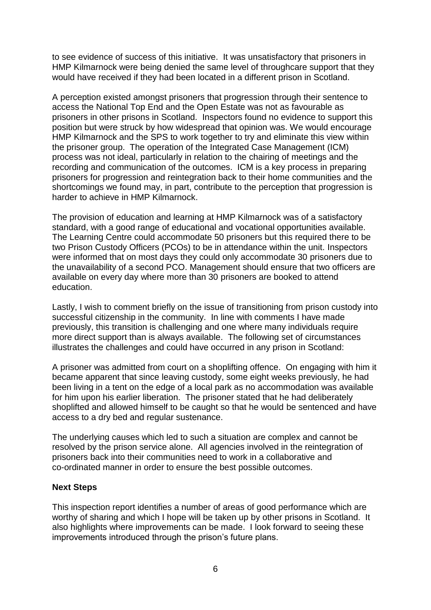to see evidence of success of this initiative. It was unsatisfactory that prisoners in HMP Kilmarnock were being denied the same level of throughcare support that they would have received if they had been located in a different prison in Scotland.

A perception existed amongst prisoners that progression through their sentence to access the National Top End and the Open Estate was not as favourable as prisoners in other prisons in Scotland. Inspectors found no evidence to support this position but were struck by how widespread that opinion was. We would encourage HMP Kilmarnock and the SPS to work together to try and eliminate this view within the prisoner group. The operation of the Integrated Case Management (ICM) process was not ideal, particularly in relation to the chairing of meetings and the recording and communication of the outcomes. ICM is a key process in preparing prisoners for progression and reintegration back to their home communities and the shortcomings we found may, in part, contribute to the perception that progression is harder to achieve in HMP Kilmarnock.

The provision of education and learning at HMP Kilmarnock was of a satisfactory standard, with a good range of educational and vocational opportunities available. The Learning Centre could accommodate 50 prisoners but this required there to be two Prison Custody Officers (PCOs) to be in attendance within the unit. Inspectors were informed that on most days they could only accommodate 30 prisoners due to the unavailability of a second PCO. Management should ensure that two officers are available on every day where more than 30 prisoners are booked to attend education.

Lastly, I wish to comment briefly on the issue of transitioning from prison custody into successful citizenship in the community. In line with comments I have made previously, this transition is challenging and one where many individuals require more direct support than is always available. The following set of circumstances illustrates the challenges and could have occurred in any prison in Scotland:

A prisoner was admitted from court on a shoplifting offence. On engaging with him it became apparent that since leaving custody, some eight weeks previously, he had been living in a tent on the edge of a local park as no accommodation was available for him upon his earlier liberation. The prisoner stated that he had deliberately shoplifted and allowed himself to be caught so that he would be sentenced and have access to a dry bed and regular sustenance.

The underlying causes which led to such a situation are complex and cannot be resolved by the prison service alone. All agencies involved in the reintegration of prisoners back into their communities need to work in a collaborative and co-ordinated manner in order to ensure the best possible outcomes.

#### **Next Steps**

This inspection report identifies a number of areas of good performance which are worthy of sharing and which I hope will be taken up by other prisons in Scotland. It also highlights where improvements can be made. I look forward to seeing these improvements introduced through the prison's future plans.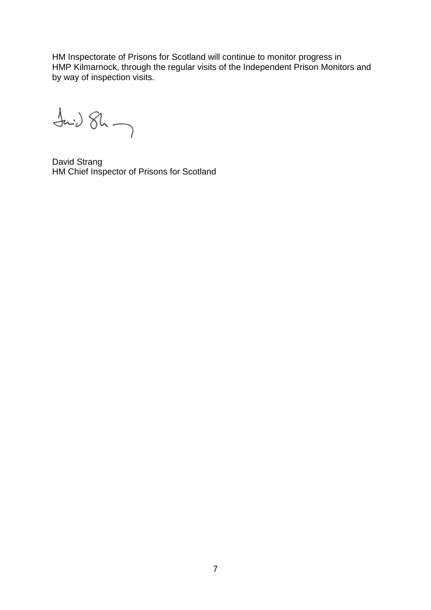HM Inspectorate of Prisons for Scotland will continue to monitor progress in HMP Kilmarnock, through the regular visits of the Independent Prison Monitors and by way of inspection visits.

 $\frac{1}{2}$ 

David Strang HM Chief Inspector of Prisons for Scotland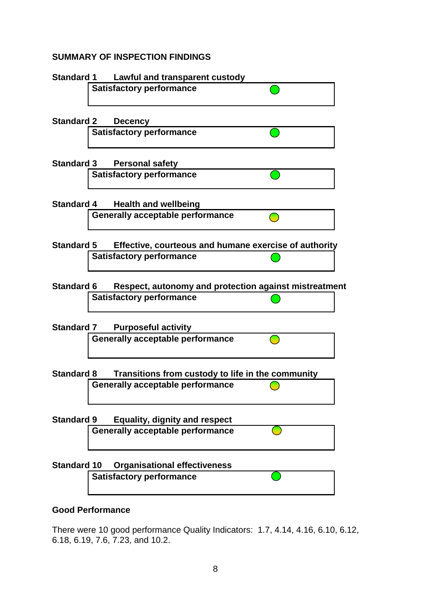# **SUMMARY OF INSPECTION FINDINGS**



### **Good Performance**

There were 10 good performance Quality Indicators: 1.7, 4.14, 4.16, 6.10, 6.12, 6.18, 6.19, 7.6, 7.23, and 10.2.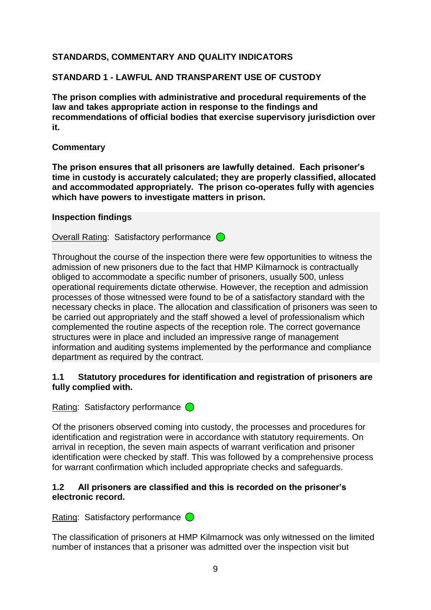# **STANDARDS, COMMENTARY AND QUALITY INDICATORS**

# **STANDARD 1 - LAWFUL AND TRANSPARENT USE OF CUSTODY**

**The prison complies with administrative and procedural requirements of the law and takes appropriate action in response to the findings and recommendations of official bodies that exercise supervisory jurisdiction over it.**

# **Commentary**

**The prison ensures that all prisoners are lawfully detained. Each prisoner's time in custody is accurately calculated; they are properly classified, allocated and accommodated appropriately. The prison co-operates fully with agencies which have powers to investigate matters in prison.**

### **Inspection findings**

Overall Rating: Satisfactory performance  $\bigcirc$ 

Throughout the course of the inspection there were few opportunities to witness the admission of new prisoners due to the fact that HMP Kilmarnock is contractually obliged to accommodate a specific number of prisoners, usually 500, unless operational requirements dictate otherwise. However, the reception and admission processes of those witnessed were found to be of a satisfactory standard with the necessary checks in place. The allocation and classification of prisoners was seen to be carried out appropriately and the staff showed a level of professionalism which complemented the routine aspects of the reception role. The correct governance structures were in place and included an impressive range of management information and auditing systems implemented by the performance and compliance department as required by the contract.

# **1.1 Statutory procedures for identification and registration of prisoners are fully complied with.**

Rating: Satisfactory performance  $\bigcirc$ 

Of the prisoners observed coming into custody, the processes and procedures for identification and registration were in accordance with statutory requirements. On arrival in reception, the seven main aspects of warrant verification and prisoner identification were checked by staff. This was followed by a comprehensive process for warrant confirmation which included appropriate checks and safeguards.

# **1.2 All prisoners are classified and this is recorded on the prisoner's electronic record.**

Rating: Satisfactory performance  $\bigcirc$ 

The classification of prisoners at HMP Kilmarnock was only witnessed on the limited number of instances that a prisoner was admitted over the inspection visit but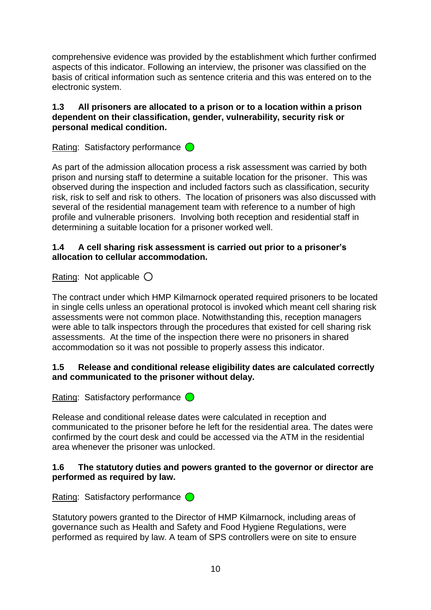comprehensive evidence was provided by the establishment which further confirmed aspects of this indicator. Following an interview, the prisoner was classified on the basis of critical information such as sentence criteria and this was entered on to the electronic system.

# **1.3 All prisoners are allocated to a prison or to a location within a prison dependent on their classification, gender, vulnerability, security risk or personal medical condition.**

Rating: Satisfactory performance  $\bigcirc$ 

As part of the admission allocation process a risk assessment was carried by both prison and nursing staff to determine a suitable location for the prisoner. This was observed during the inspection and included factors such as classification, security risk, risk to self and risk to others. The location of prisoners was also discussed with several of the residential management team with reference to a number of high profile and vulnerable prisoners. Involving both reception and residential staff in determining a suitable location for a prisoner worked well.

### **1.4 A cell sharing risk assessment is carried out prior to a prisoner's allocation to cellular accommodation.**

Rating: Not applicable  $\bigcirc$ 

The contract under which HMP Kilmarnock operated required prisoners to be located in single cells unless an operational protocol is invoked which meant cell sharing risk assessments were not common place. Notwithstanding this, reception managers were able to talk inspectors through the procedures that existed for cell sharing risk assessments. At the time of the inspection there were no prisoners in shared accommodation so it was not possible to properly assess this indicator.

# **1.5 Release and conditional release eligibility dates are calculated correctly and communicated to the prisoner without delay.**

Rating: Satisfactory performance  $\bigcirc$ 

Release and conditional release dates were calculated in reception and communicated to the prisoner before he left for the residential area. The dates were confirmed by the court desk and could be accessed via the ATM in the residential area whenever the prisoner was unlocked.

# **1.6 The statutory duties and powers granted to the governor or director are performed as required by law.**

Rating: Satisfactory performance  $\bigcirc$ 

Statutory powers granted to the Director of HMP Kilmarnock, including areas of governance such as Health and Safety and Food Hygiene Regulations, were performed as required by law. A team of SPS controllers were on site to ensure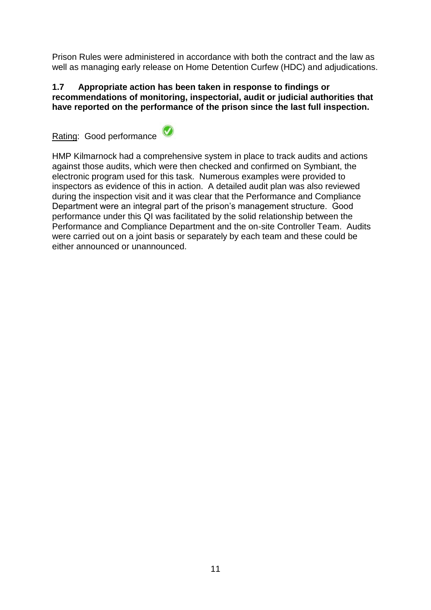Prison Rules were administered in accordance with both the contract and the law as well as managing early release on Home Detention Curfew (HDC) and adjudications.

### **1.7 Appropriate action has been taken in response to findings or recommendations of monitoring, inspectorial, audit or judicial authorities that have reported on the performance of the prison since the last full inspection.**

Rating: Good performance



HMP Kilmarnock had a comprehensive system in place to track audits and actions against those audits, which were then checked and confirmed on Symbiant, the electronic program used for this task. Numerous examples were provided to inspectors as evidence of this in action. A detailed audit plan was also reviewed during the inspection visit and it was clear that the Performance and Compliance Department were an integral part of the prison"s management structure. Good performance under this QI was facilitated by the solid relationship between the Performance and Compliance Department and the on-site Controller Team. Audits were carried out on a joint basis or separately by each team and these could be either announced or unannounced.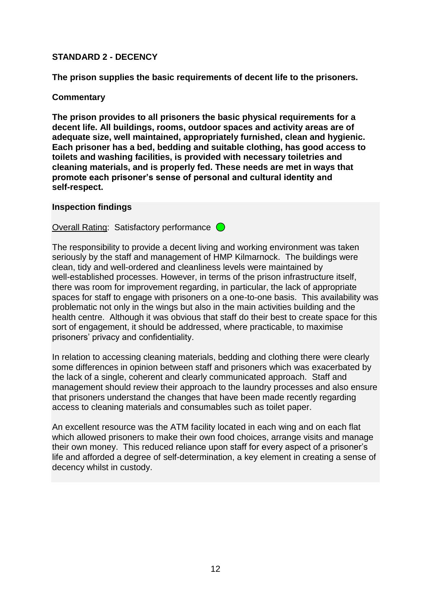### **STANDARD 2 - DECENCY**

**The prison supplies the basic requirements of decent life to the prisoners.**

### **Commentary**

**The prison provides to all prisoners the basic physical requirements for a decent life. All buildings, rooms, outdoor spaces and activity areas are of adequate size, well maintained, appropriately furnished, clean and hygienic. Each prisoner has a bed, bedding and suitable clothing, has good access to toilets and washing facilities, is provided with necessary toiletries and cleaning materials, and is properly fed. These needs are met in ways that promote each prisoner's sense of personal and cultural identity and self-respect.**

#### **Inspection findings**

Overall Rating: Satisfactory performance  $\bigcirc$ 

The responsibility to provide a decent living and working environment was taken seriously by the staff and management of HMP Kilmarnock. The buildings were clean, tidy and well-ordered and cleanliness levels were maintained by well-established processes. However, in terms of the prison infrastructure itself, there was room for improvement regarding, in particular, the lack of appropriate spaces for staff to engage with prisoners on a one-to-one basis. This availability was problematic not only in the wings but also in the main activities building and the health centre. Although it was obvious that staff do their best to create space for this sort of engagement, it should be addressed, where practicable, to maximise prisoners" privacy and confidentiality.

In relation to accessing cleaning materials, bedding and clothing there were clearly some differences in opinion between staff and prisoners which was exacerbated by the lack of a single, coherent and clearly communicated approach. Staff and management should review their approach to the laundry processes and also ensure that prisoners understand the changes that have been made recently regarding access to cleaning materials and consumables such as toilet paper.

An excellent resource was the ATM facility located in each wing and on each flat which allowed prisoners to make their own food choices, arrange visits and manage their own money. This reduced reliance upon staff for every aspect of a prisoner"s life and afforded a degree of self-determination, a key element in creating a sense of decency whilst in custody.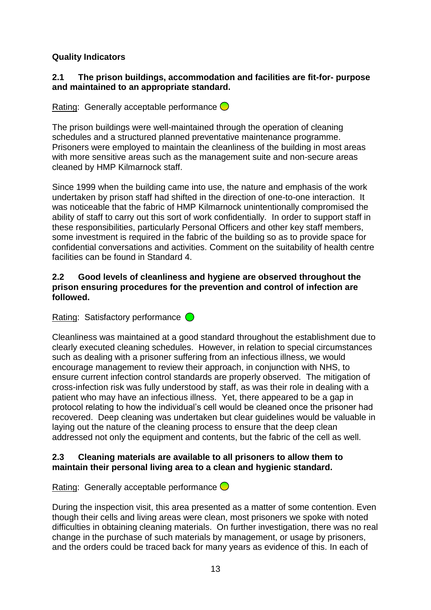# **Quality Indicators**

### **2.1 The prison buildings, accommodation and facilities are fit-for- purpose and maintained to an appropriate standard.**

Rating: Generally acceptable performance  $\bigcirc$ 

The prison buildings were well-maintained through the operation of cleaning schedules and a structured planned preventative maintenance programme. Prisoners were employed to maintain the cleanliness of the building in most areas with more sensitive areas such as the management suite and non-secure areas cleaned by HMP Kilmarnock staff.

Since 1999 when the building came into use, the nature and emphasis of the work undertaken by prison staff had shifted in the direction of one-to-one interaction. It was noticeable that the fabric of HMP Kilmarnock unintentionally compromised the ability of staff to carry out this sort of work confidentially. In order to support staff in these responsibilities, particularly Personal Officers and other key staff members, some investment is required in the fabric of the building so as to provide space for confidential conversations and activities. Comment on the suitability of health centre facilities can be found in Standard 4.

### **2.2 Good levels of cleanliness and hygiene are observed throughout the prison ensuring procedures for the prevention and control of infection are followed.**

Rating: Satisfactory performance  $\bigcirc$ 

Cleanliness was maintained at a good standard throughout the establishment due to clearly executed cleaning schedules. However, in relation to special circumstances such as dealing with a prisoner suffering from an infectious illness, we would encourage management to review their approach, in conjunction with NHS, to ensure current infection control standards are properly observed. The mitigation of cross-infection risk was fully understood by staff, as was their role in dealing with a patient who may have an infectious illness. Yet, there appeared to be a gap in protocol relating to how the individual"s cell would be cleaned once the prisoner had recovered. Deep cleaning was undertaken but clear guidelines would be valuable in laying out the nature of the cleaning process to ensure that the deep clean addressed not only the equipment and contents, but the fabric of the cell as well.

# **2.3 Cleaning materials are available to all prisoners to allow them to maintain their personal living area to a clean and hygienic standard.**

Rating: Generally acceptable performance  $\bigcirc$ 

During the inspection visit, this area presented as a matter of some contention. Even though their cells and living areas were clean, most prisoners we spoke with noted difficulties in obtaining cleaning materials. On further investigation, there was no real change in the purchase of such materials by management, or usage by prisoners, and the orders could be traced back for many years as evidence of this. In each of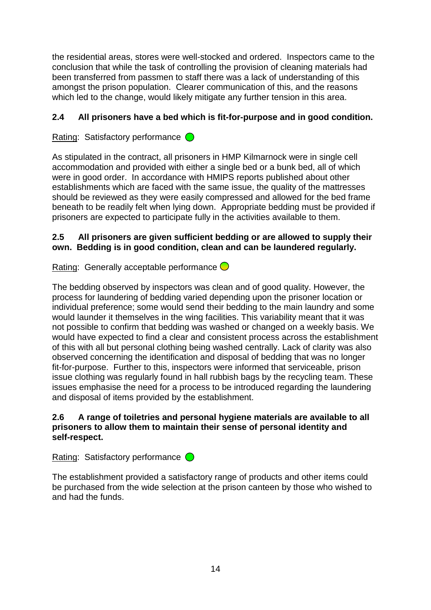the residential areas, stores were well-stocked and ordered. Inspectors came to the conclusion that while the task of controlling the provision of cleaning materials had been transferred from passmen to staff there was a lack of understanding of this amongst the prison population. Clearer communication of this, and the reasons which led to the change, would likely mitigate any further tension in this area.

# **2.4 All prisoners have a bed which is fit-for-purpose and in good condition.**

Rating: Satisfactory performance  $\bigcirc$ 

As stipulated in the contract, all prisoners in HMP Kilmarnock were in single cell accommodation and provided with either a single bed or a bunk bed, all of which were in good order. In accordance with HMIPS reports published about other establishments which are faced with the same issue, the quality of the mattresses should be reviewed as they were easily compressed and allowed for the bed frame beneath to be readily felt when lying down. Appropriate bedding must be provided if prisoners are expected to participate fully in the activities available to them.

# **2.5 All prisoners are given sufficient bedding or are allowed to supply their own. Bedding is in good condition, clean and can be laundered regularly.**

Rating: Generally acceptable performance  $\bigcirc$ 

The bedding observed by inspectors was clean and of good quality. However, the process for laundering of bedding varied depending upon the prisoner location or individual preference; some would send their bedding to the main laundry and some would launder it themselves in the wing facilities. This variability meant that it was not possible to confirm that bedding was washed or changed on a weekly basis. We would have expected to find a clear and consistent process across the establishment of this with all but personal clothing being washed centrally. Lack of clarity was also observed concerning the identification and disposal of bedding that was no longer fit-for-purpose. Further to this, inspectors were informed that serviceable, prison issue clothing was regularly found in hall rubbish bags by the recycling team. These issues emphasise the need for a process to be introduced regarding the laundering and disposal of items provided by the establishment.

# **2.6 A range of toiletries and personal hygiene materials are available to all prisoners to allow them to maintain their sense of personal identity and self-respect.**

Rating: Satisfactory performance  $\bigcirc$ 

The establishment provided a satisfactory range of products and other items could be purchased from the wide selection at the prison canteen by those who wished to and had the funds.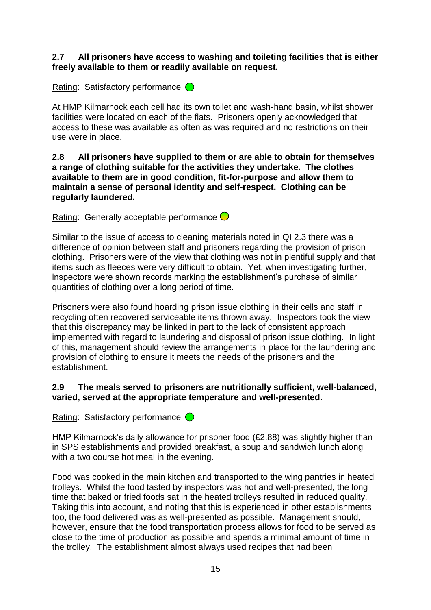### **2.7 All prisoners have access to washing and toileting facilities that is either freely available to them or readily available on request.**

Rating: Satisfactory performance  $\bigcirc$ 

At HMP Kilmarnock each cell had its own toilet and wash-hand basin, whilst shower facilities were located on each of the flats. Prisoners openly acknowledged that access to these was available as often as was required and no restrictions on their use were in place.

**2.8 All prisoners have supplied to them or are able to obtain for themselves a range of clothing suitable for the activities they undertake. The clothes available to them are in good condition, fit-for-purpose and allow them to maintain a sense of personal identity and self-respect. Clothing can be regularly laundered.**

Rating: Generally acceptable performance  $\bigcirc$ 

Similar to the issue of access to cleaning materials noted in QI 2.3 there was a difference of opinion between staff and prisoners regarding the provision of prison clothing. Prisoners were of the view that clothing was not in plentiful supply and that items such as fleeces were very difficult to obtain. Yet, when investigating further, inspectors were shown records marking the establishment"s purchase of similar quantities of clothing over a long period of time.

Prisoners were also found hoarding prison issue clothing in their cells and staff in recycling often recovered serviceable items thrown away. Inspectors took the view that this discrepancy may be linked in part to the lack of consistent approach implemented with regard to laundering and disposal of prison issue clothing. In light of this, management should review the arrangements in place for the laundering and provision of clothing to ensure it meets the needs of the prisoners and the establishment.

# **2.9 The meals served to prisoners are nutritionally sufficient, well-balanced, varied, served at the appropriate temperature and well-presented.**

Rating: Satisfactory performance  $\bigcirc$ 

HMP Kilmarnock's daily allowance for prisoner food (£2.88) was slightly higher than in SPS establishments and provided breakfast, a soup and sandwich lunch along with a two course hot meal in the evening.

Food was cooked in the main kitchen and transported to the wing pantries in heated trolleys. Whilst the food tasted by inspectors was hot and well-presented, the long time that baked or fried foods sat in the heated trolleys resulted in reduced quality. Taking this into account, and noting that this is experienced in other establishments too, the food delivered was as well-presented as possible. Management should, however, ensure that the food transportation process allows for food to be served as close to the time of production as possible and spends a minimal amount of time in the trolley. The establishment almost always used recipes that had been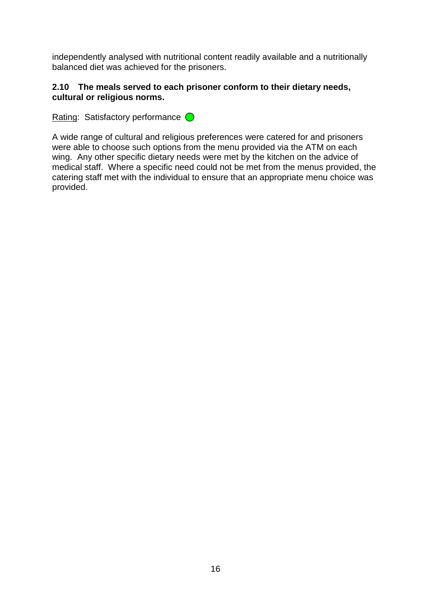independently analysed with nutritional content readily available and a nutritionally balanced diet was achieved for the prisoners.

### **2.10 The meals served to each prisoner conform to their dietary needs, cultural or religious norms.**

Rating: Satisfactory performance  $\bigcirc$ 

A wide range of cultural and religious preferences were catered for and prisoners were able to choose such options from the menu provided via the ATM on each wing. Any other specific dietary needs were met by the kitchen on the advice of medical staff. Where a specific need could not be met from the menus provided, the catering staff met with the individual to ensure that an appropriate menu choice was provided.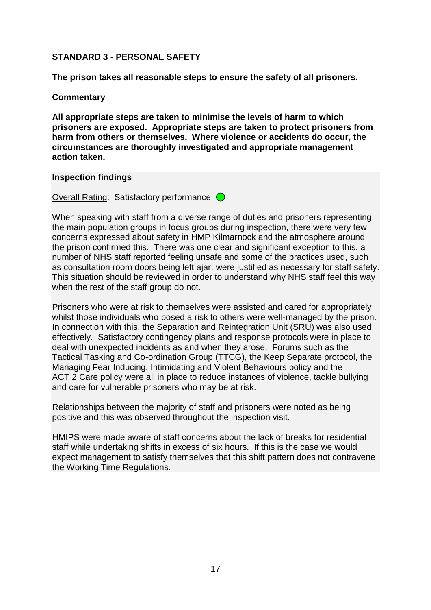### **STANDARD 3 - PERSONAL SAFETY**

**The prison takes all reasonable steps to ensure the safety of all prisoners.** 

### **Commentary**

**All appropriate steps are taken to minimise the levels of harm to which prisoners are exposed. Appropriate steps are taken to protect prisoners from harm from others or themselves. Where violence or accidents do occur, the circumstances are thoroughly investigated and appropriate management action taken.** 

#### **Inspection findings**

Overall Rating: Satisfactory performance  $\bigcirc$ 

When speaking with staff from a diverse range of duties and prisoners representing the main population groups in focus groups during inspection, there were very few concerns expressed about safety in HMP Kilmarnock and the atmosphere around the prison confirmed this. There was one clear and significant exception to this, a number of NHS staff reported feeling unsafe and some of the practices used, such as consultation room doors being left ajar, were justified as necessary for staff safety. This situation should be reviewed in order to understand why NHS staff feel this way when the rest of the staff group do not.

Prisoners who were at risk to themselves were assisted and cared for appropriately whilst those individuals who posed a risk to others were well-managed by the prison. In connection with this, the Separation and Reintegration Unit (SRU) was also used effectively. Satisfactory contingency plans and response protocols were in place to deal with unexpected incidents as and when they arose. Forums such as the Tactical Tasking and Co-ordination Group (TTCG), the Keep Separate protocol, the Managing Fear Inducing, Intimidating and Violent Behaviours policy and the ACT 2 Care policy were all in place to reduce instances of violence, tackle bullying and care for vulnerable prisoners who may be at risk.

Relationships between the majority of staff and prisoners were noted as being positive and this was observed throughout the inspection visit.

HMIPS were made aware of staff concerns about the lack of breaks for residential staff while undertaking shifts in excess of six hours. If this is the case we would expect management to satisfy themselves that this shift pattern does not contravene the Working Time Regulations.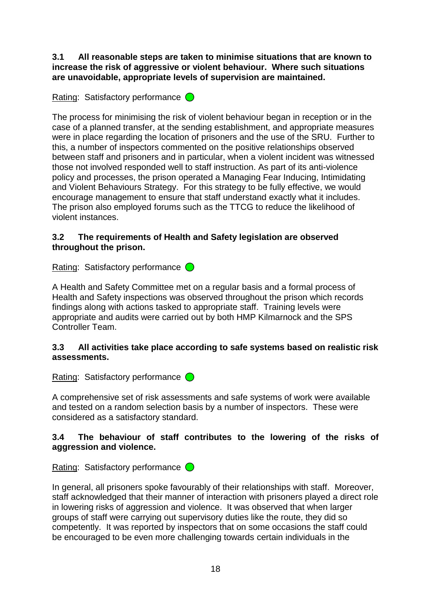**3.1 All reasonable steps are taken to minimise situations that are known to increase the risk of aggressive or violent behaviour. Where such situations are unavoidable, appropriate levels of supervision are maintained.**

# Rating: Satisfactory performance  $\bigcirc$

The process for minimising the risk of violent behaviour began in reception or in the case of a planned transfer, at the sending establishment, and appropriate measures were in place regarding the location of prisoners and the use of the SRU. Further to this, a number of inspectors commented on the positive relationships observed between staff and prisoners and in particular, when a violent incident was witnessed those not involved responded well to staff instruction. As part of its anti-violence policy and processes, the prison operated a Managing Fear Inducing, Intimidating and Violent Behaviours Strategy. For this strategy to be fully effective, we would encourage management to ensure that staff understand exactly what it includes. The prison also employed forums such as the TTCG to reduce the likelihood of violent instances.

# **3.2 The requirements of Health and Safety legislation are observed throughout the prison.**

Rating: Satisfactory performance  $\bigcirc$ 

A Health and Safety Committee met on a regular basis and a formal process of Health and Safety inspections was observed throughout the prison which records findings along with actions tasked to appropriate staff. Training levels were appropriate and audits were carried out by both HMP Kilmarnock and the SPS Controller Team.

# **3.3 All activities take place according to safe systems based on realistic risk assessments.**

Rating: Satisfactory performance  $\bigcirc$ 

A comprehensive set of risk assessments and safe systems of work were available and tested on a random selection basis by a number of inspectors. These were considered as a satisfactory standard.

# **3.4 The behaviour of staff contributes to the lowering of the risks of aggression and violence.**

Rating: Satisfactory performance  $\bigcirc$ 

In general, all prisoners spoke favourably of their relationships with staff. Moreover, staff acknowledged that their manner of interaction with prisoners played a direct role in lowering risks of aggression and violence. It was observed that when larger groups of staff were carrying out supervisory duties like the route, they did so competently. It was reported by inspectors that on some occasions the staff could be encouraged to be even more challenging towards certain individuals in the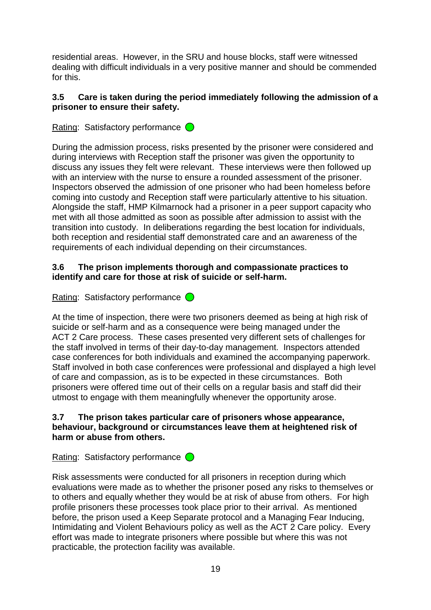residential areas. However, in the SRU and house blocks, staff were witnessed dealing with difficult individuals in a very positive manner and should be commended for this.

# **3.5 Care is taken during the period immediately following the admission of a prisoner to ensure their safety.**

# Rating: Satisfactory performance  $\bigcirc$

During the admission process, risks presented by the prisoner were considered and during interviews with Reception staff the prisoner was given the opportunity to discuss any issues they felt were relevant. These interviews were then followed up with an interview with the nurse to ensure a rounded assessment of the prisoner. Inspectors observed the admission of one prisoner who had been homeless before coming into custody and Reception staff were particularly attentive to his situation. Alongside the staff, HMP Kilmarnock had a prisoner in a peer support capacity who met with all those admitted as soon as possible after admission to assist with the transition into custody. In deliberations regarding the best location for individuals, both reception and residential staff demonstrated care and an awareness of the requirements of each individual depending on their circumstances.

# **3.6 The prison implements thorough and compassionate practices to identify and care for those at risk of suicide or self-harm.**

Rating: Satisfactory performance  $\bigcirc$ 

At the time of inspection, there were two prisoners deemed as being at high risk of suicide or self-harm and as a consequence were being managed under the ACT 2 Care process. These cases presented very different sets of challenges for the staff involved in terms of their day-to-day management. Inspectors attended case conferences for both individuals and examined the accompanying paperwork. Staff involved in both case conferences were professional and displayed a high level of care and compassion, as is to be expected in these circumstances. Both prisoners were offered time out of their cells on a regular basis and staff did their utmost to engage with them meaningfully whenever the opportunity arose.

### **3.7 The prison takes particular care of prisoners whose appearance, behaviour, background or circumstances leave them at heightened risk of harm or abuse from others.**

Rating: Satisfactory performance  $\bigcirc$ 

Risk assessments were conducted for all prisoners in reception during which evaluations were made as to whether the prisoner posed any risks to themselves or to others and equally whether they would be at risk of abuse from others. For high profile prisoners these processes took place prior to their arrival. As mentioned before, the prison used a Keep Separate protocol and a Managing Fear Inducing, Intimidating and Violent Behaviours policy as well as the ACT 2 Care policy. Every effort was made to integrate prisoners where possible but where this was not practicable, the protection facility was available.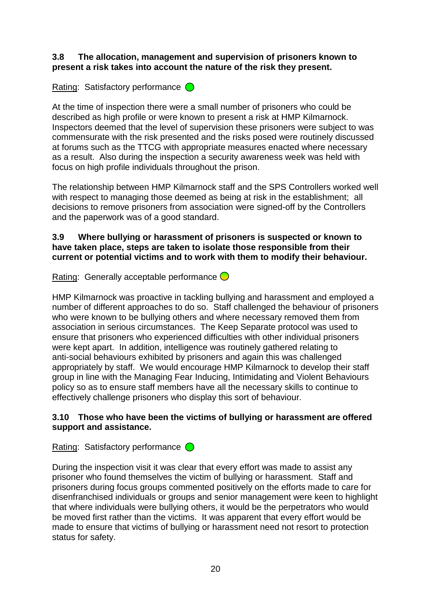### **3.8 The allocation, management and supervision of prisoners known to present a risk takes into account the nature of the risk they present.**

# Rating: Satisfactory performance  $\bigcirc$

At the time of inspection there were a small number of prisoners who could be described as high profile or were known to present a risk at HMP Kilmarnock. Inspectors deemed that the level of supervision these prisoners were subject to was commensurate with the risk presented and the risks posed were routinely discussed at forums such as the TTCG with appropriate measures enacted where necessary as a result. Also during the inspection a security awareness week was held with focus on high profile individuals throughout the prison.

The relationship between HMP Kilmarnock staff and the SPS Controllers worked well with respect to managing those deemed as being at risk in the establishment; all decisions to remove prisoners from association were signed-off by the Controllers and the paperwork was of a good standard.

### **3.9 Where bullying or harassment of prisoners is suspected or known to have taken place, steps are taken to isolate those responsible from their current or potential victims and to work with them to modify their behaviour.**

Rating: Generally acceptable performance  $\bigcirc$ 

HMP Kilmarnock was proactive in tackling bullying and harassment and employed a number of different approaches to do so. Staff challenged the behaviour of prisoners who were known to be bullying others and where necessary removed them from association in serious circumstances. The Keep Separate protocol was used to ensure that prisoners who experienced difficulties with other individual prisoners were kept apart. In addition, intelligence was routinely gathered relating to anti-social behaviours exhibited by prisoners and again this was challenged appropriately by staff. We would encourage HMP Kilmarnock to develop their staff group in line with the Managing Fear Inducing, Intimidating and Violent Behaviours policy so as to ensure staff members have all the necessary skills to continue to effectively challenge prisoners who display this sort of behaviour.

# **3.10 Those who have been the victims of bullying or harassment are offered support and assistance.**

Rating: Satisfactory performance  $\bigcirc$ 

During the inspection visit it was clear that every effort was made to assist any prisoner who found themselves the victim of bullying or harassment. Staff and prisoners during focus groups commented positively on the efforts made to care for disenfranchised individuals or groups and senior management were keen to highlight that where individuals were bullying others, it would be the perpetrators who would be moved first rather than the victims. It was apparent that every effort would be made to ensure that victims of bullying or harassment need not resort to protection status for safety.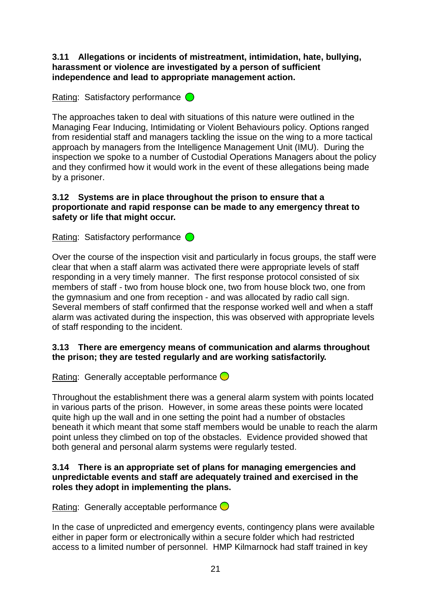**3.11 Allegations or incidents of mistreatment, intimidation, hate, bullying, harassment or violence are investigated by a person of sufficient independence and lead to appropriate management action.**

Rating: Satisfactory performance  $\bigcirc$ 

The approaches taken to deal with situations of this nature were outlined in the Managing Fear Inducing, Intimidating or Violent Behaviours policy. Options ranged from residential staff and managers tackling the issue on the wing to a more tactical approach by managers from the Intelligence Management Unit (IMU). During the inspection we spoke to a number of Custodial Operations Managers about the policy and they confirmed how it would work in the event of these allegations being made by a prisoner.

# **3.12 Systems are in place throughout the prison to ensure that a proportionate and rapid response can be made to any emergency threat to safety or life that might occur.**

Rating: Satisfactory performance  $\bigcirc$ 

Over the course of the inspection visit and particularly in focus groups, the staff were clear that when a staff alarm was activated there were appropriate levels of staff responding in a very timely manner. The first response protocol consisted of six members of staff - two from house block one, two from house block two, one from the gymnasium and one from reception - and was allocated by radio call sign. Several members of staff confirmed that the response worked well and when a staff alarm was activated during the inspection, this was observed with appropriate levels of staff responding to the incident.

# **3.13 There are emergency means of communication and alarms throughout the prison; they are tested regularly and are working satisfactorily.**

Rating: Generally acceptable performance  $\bigcirc$ 

Throughout the establishment there was a general alarm system with points located in various parts of the prison. However, in some areas these points were located quite high up the wall and in one setting the point had a number of obstacles beneath it which meant that some staff members would be unable to reach the alarm point unless they climbed on top of the obstacles. Evidence provided showed that both general and personal alarm systems were regularly tested.

### **3.14 There is an appropriate set of plans for managing emergencies and unpredictable events and staff are adequately trained and exercised in the roles they adopt in implementing the plans.**

Rating: Generally acceptable performance  $\bigcirc$ 

In the case of unpredicted and emergency events, contingency plans were available either in paper form or electronically within a secure folder which had restricted access to a limited number of personnel. HMP Kilmarnock had staff trained in key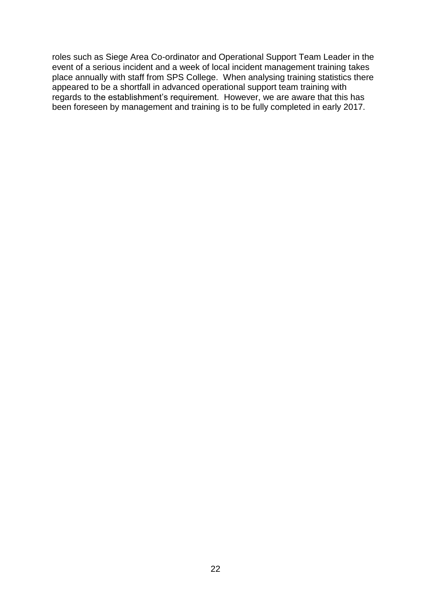roles such as Siege Area Co-ordinator and Operational Support Team Leader in the event of a serious incident and a week of local incident management training takes place annually with staff from SPS College. When analysing training statistics there appeared to be a shortfall in advanced operational support team training with regards to the establishment"s requirement. However, we are aware that this has been foreseen by management and training is to be fully completed in early 2017.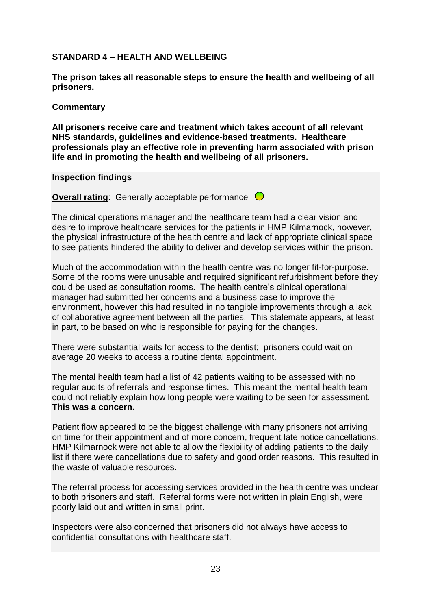# **STANDARD 4 – HEALTH AND WELLBEING**

**The prison takes all reasonable steps to ensure the health and wellbeing of all prisoners.**

#### **Commentary**

**All prisoners receive care and treatment which takes account of all relevant NHS standards, guidelines and evidence-based treatments. Healthcare professionals play an effective role in preventing harm associated with prison life and in promoting the health and wellbeing of all prisoners.**

#### **Inspection findings**

**Overall rating:** Generally acceptable performance  $\bigcirc$ 

The clinical operations manager and the healthcare team had a clear vision and desire to improve healthcare services for the patients in HMP Kilmarnock, however, the physical infrastructure of the health centre and lack of appropriate clinical space to see patients hindered the ability to deliver and develop services within the prison.

Much of the accommodation within the health centre was no longer fit-for-purpose. Some of the rooms were unusable and required significant refurbishment before they could be used as consultation rooms. The health centre"s clinical operational manager had submitted her concerns and a business case to improve the environment, however this had resulted in no tangible improvements through a lack of collaborative agreement between all the parties. This stalemate appears, at least in part, to be based on who is responsible for paying for the changes.

There were substantial waits for access to the dentist; prisoners could wait on average 20 weeks to access a routine dental appointment.

The mental health team had a list of 42 patients waiting to be assessed with no regular audits of referrals and response times. This meant the mental health team could not reliably explain how long people were waiting to be seen for assessment. **This was a concern.**

Patient flow appeared to be the biggest challenge with many prisoners not arriving on time for their appointment and of more concern, frequent late notice cancellations. HMP Kilmarnock were not able to allow the flexibility of adding patients to the daily list if there were cancellations due to safety and good order reasons. This resulted in the waste of valuable resources.

The referral process for accessing services provided in the health centre was unclear to both prisoners and staff. Referral forms were not written in plain English, were poorly laid out and written in small print.

Inspectors were also concerned that prisoners did not always have access to confidential consultations with healthcare staff.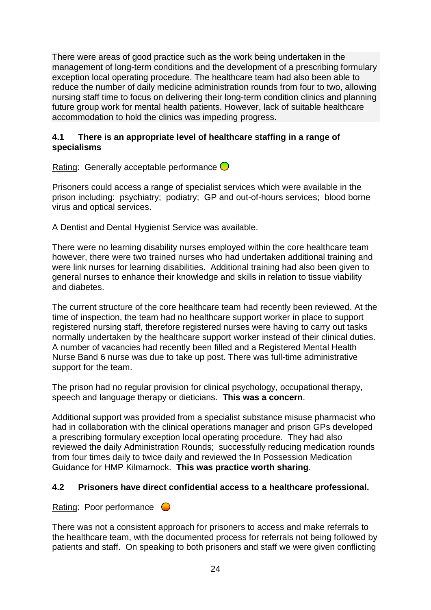There were areas of good practice such as the work being undertaken in the management of long-term conditions and the development of a prescribing formulary exception local operating procedure. The healthcare team had also been able to reduce the number of daily medicine administration rounds from four to two, allowing nursing staff time to focus on delivering their long-term condition clinics and planning future group work for mental health patients. However, lack of suitable healthcare accommodation to hold the clinics was impeding progress.

# **4.1 There is an appropriate level of healthcare staffing in a range of specialisms**

Rating: Generally acceptable performance  $\bigcirc$ 

Prisoners could access a range of specialist services which were available in the prison including: psychiatry; podiatry; GP and out-of-hours services; blood borne virus and optical services.

A Dentist and Dental Hygienist Service was available.

There were no learning disability nurses employed within the core healthcare team however, there were two trained nurses who had undertaken additional training and were link nurses for learning disabilities. Additional training had also been given to general nurses to enhance their knowledge and skills in relation to tissue viability and diabetes.

The current structure of the core healthcare team had recently been reviewed. At the time of inspection, the team had no healthcare support worker in place to support registered nursing staff, therefore registered nurses were having to carry out tasks normally undertaken by the healthcare support worker instead of their clinical duties. A number of vacancies had recently been filled and a Registered Mental Health Nurse Band 6 nurse was due to take up post. There was full-time administrative support for the team.

The prison had no regular provision for clinical psychology, occupational therapy, speech and language therapy or dieticians. **This was a concern**.

Additional support was provided from a specialist substance misuse pharmacist who had in collaboration with the clinical operations manager and prison GPs developed a prescribing formulary exception local operating procedure. They had also reviewed the daily Administration Rounds; successfully reducing medication rounds from four times daily to twice daily and reviewed the In Possession Medication Guidance for HMP Kilmarnock. **This was practice worth sharing**.

# **4.2 Prisoners have direct confidential access to a healthcare professional.**

Rating: Poor performance  $\bigcirc$ 

There was not a consistent approach for prisoners to access and make referrals to the healthcare team, with the documented process for referrals not being followed by patients and staff. On speaking to both prisoners and staff we were given conflicting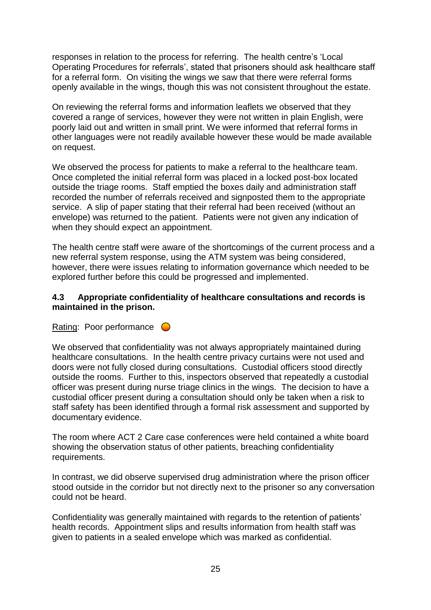responses in relation to the process for referring. The health centre"s "Local Operating Procedures for referrals", stated that prisoners should ask healthcare staff for a referral form. On visiting the wings we saw that there were referral forms openly available in the wings, though this was not consistent throughout the estate.

On reviewing the referral forms and information leaflets we observed that they covered a range of services, however they were not written in plain English, were poorly laid out and written in small print. We were informed that referral forms in other languages were not readily available however these would be made available on request.

We observed the process for patients to make a referral to the healthcare team. Once completed the initial referral form was placed in a locked post-box located outside the triage rooms. Staff emptied the boxes daily and administration staff recorded the number of referrals received and signposted them to the appropriate service. A slip of paper stating that their referral had been received (without an envelope) was returned to the patient. Patients were not given any indication of when they should expect an appointment.

The health centre staff were aware of the shortcomings of the current process and a new referral system response, using the ATM system was being considered, however, there were issues relating to information governance which needed to be explored further before this could be progressed and implemented.

### **4.3 Appropriate confidentiality of healthcare consultations and records is maintained in the prison.**

Rating: Poor performance  $\bigcirc$ 

We observed that confidentiality was not always appropriately maintained during healthcare consultations. In the health centre privacy curtains were not used and doors were not fully closed during consultations. Custodial officers stood directly outside the rooms. Further to this, inspectors observed that repeatedly a custodial officer was present during nurse triage clinics in the wings. The decision to have a custodial officer present during a consultation should only be taken when a risk to staff safety has been identified through a formal risk assessment and supported by documentary evidence.

The room where ACT 2 Care case conferences were held contained a white board showing the observation status of other patients, breaching confidentiality requirements.

In contrast, we did observe supervised drug administration where the prison officer stood outside in the corridor but not directly next to the prisoner so any conversation could not be heard.

Confidentiality was generally maintained with regards to the retention of patients" health records. Appointment slips and results information from health staff was given to patients in a sealed envelope which was marked as confidential.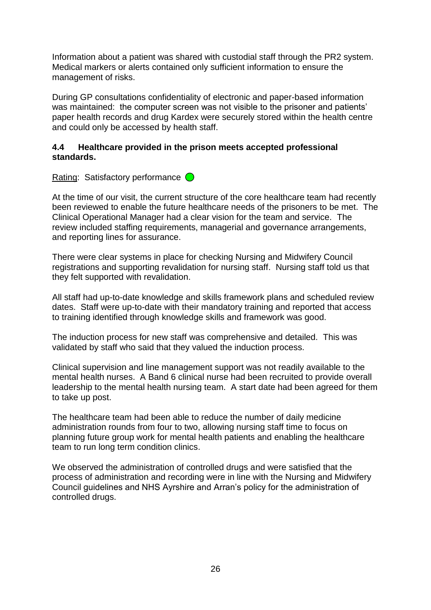Information about a patient was shared with custodial staff through the PR2 system. Medical markers or alerts contained only sufficient information to ensure the management of risks.

During GP consultations confidentiality of electronic and paper-based information was maintained: the computer screen was not visible to the prisoner and patients' paper health records and drug Kardex were securely stored within the health centre and could only be accessed by health staff.

### **4.4 Healthcare provided in the prison meets accepted professional standards.**

Rating: Satisfactory performance  $\bigcirc$ 

At the time of our visit, the current structure of the core healthcare team had recently been reviewed to enable the future healthcare needs of the prisoners to be met. The Clinical Operational Manager had a clear vision for the team and service. The review included staffing requirements, managerial and governance arrangements, and reporting lines for assurance.

There were clear systems in place for checking Nursing and Midwifery Council registrations and supporting revalidation for nursing staff. Nursing staff told us that they felt supported with revalidation.

All staff had up-to-date knowledge and skills framework plans and scheduled review dates. Staff were up-to-date with their mandatory training and reported that access to training identified through knowledge skills and framework was good.

The induction process for new staff was comprehensive and detailed. This was validated by staff who said that they valued the induction process.

Clinical supervision and line management support was not readily available to the mental health nurses. A Band 6 clinical nurse had been recruited to provide overall leadership to the mental health nursing team. A start date had been agreed for them to take up post.

The healthcare team had been able to reduce the number of daily medicine administration rounds from four to two, allowing nursing staff time to focus on planning future group work for mental health patients and enabling the healthcare team to run long term condition clinics.

We observed the administration of controlled drugs and were satisfied that the process of administration and recording were in line with the Nursing and Midwifery Council guidelines and NHS Ayrshire and Arran"s policy for the administration of controlled drugs.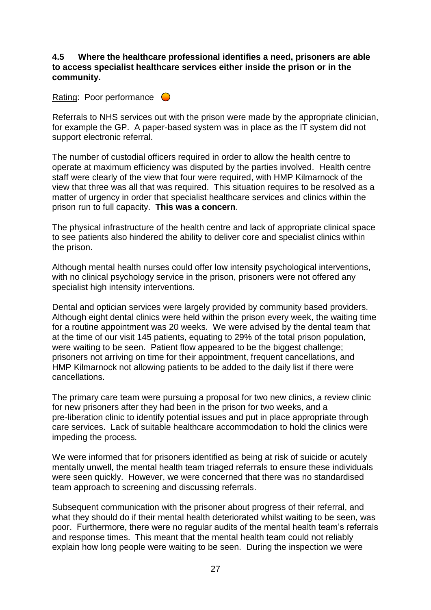### **4.5 Where the healthcare professional identifies a need, prisoners are able to access specialist healthcare services either inside the prison or in the community.**

### Rating: Poor performance  $\bigcirc$

Referrals to NHS services out with the prison were made by the appropriate clinician, for example the GP. A paper-based system was in place as the IT system did not support electronic referral.

The number of custodial officers required in order to allow the health centre to operate at maximum efficiency was disputed by the parties involved. Health centre staff were clearly of the view that four were required, with HMP Kilmarnock of the view that three was all that was required. This situation requires to be resolved as a matter of urgency in order that specialist healthcare services and clinics within the prison run to full capacity. **This was a concern**.

The physical infrastructure of the health centre and lack of appropriate clinical space to see patients also hindered the ability to deliver core and specialist clinics within the prison.

Although mental health nurses could offer low intensity psychological interventions, with no clinical psychology service in the prison, prisoners were not offered any specialist high intensity interventions.

Dental and optician services were largely provided by community based providers. Although eight dental clinics were held within the prison every week, the waiting time for a routine appointment was 20 weeks. We were advised by the dental team that at the time of our visit 145 patients, equating to 29% of the total prison population, were waiting to be seen. Patient flow appeared to be the biggest challenge; prisoners not arriving on time for their appointment, frequent cancellations, and HMP Kilmarnock not allowing patients to be added to the daily list if there were cancellations.

The primary care team were pursuing a proposal for two new clinics, a review clinic for new prisoners after they had been in the prison for two weeks, and a pre-liberation clinic to identify potential issues and put in place appropriate through care services. Lack of suitable healthcare accommodation to hold the clinics were impeding the process.

We were informed that for prisoners identified as being at risk of suicide or acutely mentally unwell, the mental health team triaged referrals to ensure these individuals were seen quickly. However, we were concerned that there was no standardised team approach to screening and discussing referrals.

Subsequent communication with the prisoner about progress of their referral, and what they should do if their mental health deteriorated whilst waiting to be seen, was poor. Furthermore, there were no regular audits of the mental health team"s referrals and response times. This meant that the mental health team could not reliably explain how long people were waiting to be seen. During the inspection we were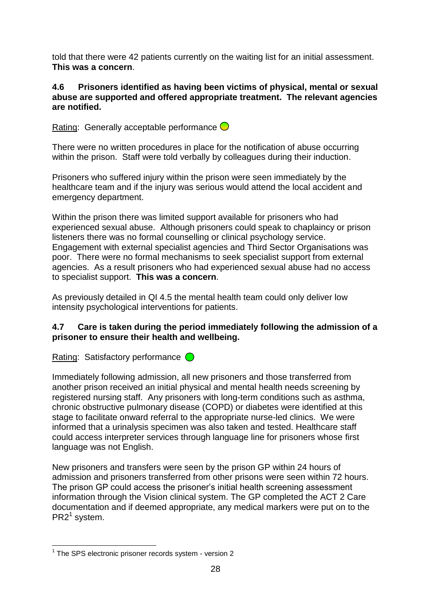told that there were 42 patients currently on the waiting list for an initial assessment. **This was a concern**.

### **4.6 Prisoners identified as having been victims of physical, mental or sexual abuse are supported and offered appropriate treatment. The relevant agencies are notified.**

Rating: Generally acceptable performance  $\bigcirc$ 

There were no written procedures in place for the notification of abuse occurring within the prison. Staff were told verbally by colleagues during their induction.

Prisoners who suffered injury within the prison were seen immediately by the healthcare team and if the injury was serious would attend the local accident and emergency department.

Within the prison there was limited support available for prisoners who had experienced sexual abuse. Although prisoners could speak to chaplaincy or prison listeners there was no formal counselling or clinical psychology service. Engagement with external specialist agencies and Third Sector Organisations was poor. There were no formal mechanisms to seek specialist support from external agencies. As a result prisoners who had experienced sexual abuse had no access to specialist support. **This was a concern**.

As previously detailed in QI 4.5 the mental health team could only deliver low intensity psychological interventions for patients.

# **4.7 Care is taken during the period immediately following the admission of a prisoner to ensure their health and wellbeing.**

Rating: Satisfactory performance  $\bigcirc$ 

Immediately following admission, all new prisoners and those transferred from another prison received an initial physical and mental health needs screening by registered nursing staff. Any prisoners with long-term conditions such as asthma, chronic obstructive pulmonary disease (COPD) or diabetes were identified at this stage to facilitate onward referral to the appropriate nurse-led clinics. We were informed that a urinalysis specimen was also taken and tested. Healthcare staff could access interpreter services through language line for prisoners whose first language was not English.

New prisoners and transfers were seen by the prison GP within 24 hours of admission and prisoners transferred from other prisons were seen within 72 hours. The prison GP could access the prisoner's initial health screening assessment information through the Vision clinical system. The GP completed the ACT 2 Care documentation and if deemed appropriate, any medical markers were put on to the PR2<sup>1</sup> system.

 1 The SPS electronic prisoner records system - version 2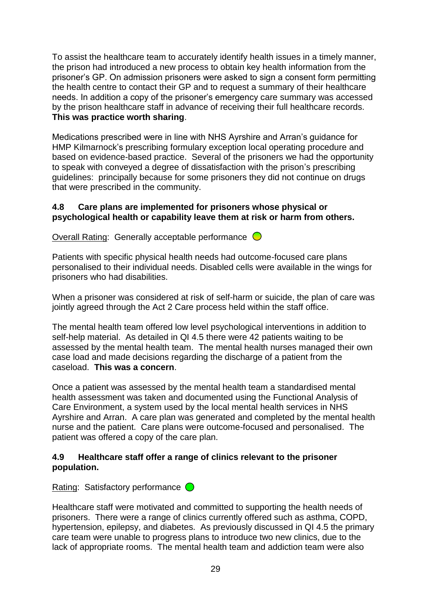To assist the healthcare team to accurately identify health issues in a timely manner, the prison had introduced a new process to obtain key health information from the prisoner"s GP. On admission prisoners were asked to sign a consent form permitting the health centre to contact their GP and to request a summary of their healthcare needs. In addition a copy of the prisoner"s emergency care summary was accessed by the prison healthcare staff in advance of receiving their full healthcare records. **This was practice worth sharing**.

Medications prescribed were in line with NHS Ayrshire and Arran"s guidance for HMP Kilmarnock"s prescribing formulary exception local operating procedure and based on evidence-based practice. Several of the prisoners we had the opportunity to speak with conveyed a degree of dissatisfaction with the prison"s prescribing guidelines: principally because for some prisoners they did not continue on drugs that were prescribed in the community.

### **4.8 Care plans are implemented for prisoners whose physical or psychological health or capability leave them at risk or harm from others.**

Overall Rating: Generally acceptable performance  $\bigcirc$ 

Patients with specific physical health needs had outcome-focused care plans personalised to their individual needs. Disabled cells were available in the wings for prisoners who had disabilities.

When a prisoner was considered at risk of self-harm or suicide, the plan of care was jointly agreed through the Act 2 Care process held within the staff office.

The mental health team offered low level psychological interventions in addition to self-help material. As detailed in QI 4.5 there were 42 patients waiting to be assessed by the mental health team. The mental health nurses managed their own case load and made decisions regarding the discharge of a patient from the caseload. **This was a concern**.

Once a patient was assessed by the mental health team a standardised mental health assessment was taken and documented using the Functional Analysis of Care Environment, a system used by the local mental health services in NHS Ayrshire and Arran. A care plan was generated and completed by the mental health nurse and the patient. Care plans were outcome-focused and personalised. The patient was offered a copy of the care plan.

# **4.9 Healthcare staff offer a range of clinics relevant to the prisoner population.**

Rating: Satisfactory performance  $\bigcirc$ 

Healthcare staff were motivated and committed to supporting the health needs of prisoners. There were a range of clinics currently offered such as asthma, COPD, hypertension, epilepsy, and diabetes. As previously discussed in QI 4.5 the primary care team were unable to progress plans to introduce two new clinics, due to the lack of appropriate rooms. The mental health team and addiction team were also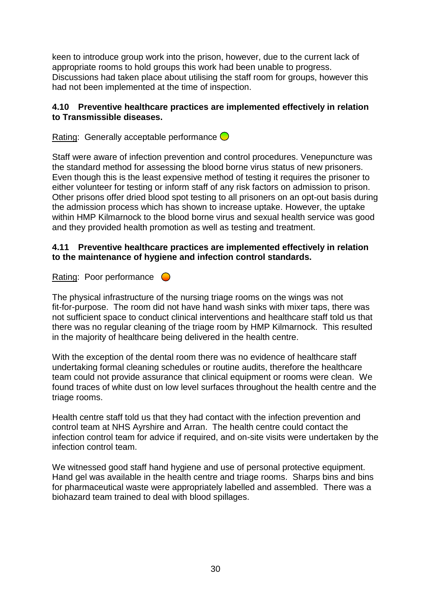keen to introduce group work into the prison, however, due to the current lack of appropriate rooms to hold groups this work had been unable to progress. Discussions had taken place about utilising the staff room for groups, however this had not been implemented at the time of inspection.

# **4.10 Preventive healthcare practices are implemented effectively in relation to Transmissible diseases.**

Rating: Generally acceptable performance  $\bigcirc$ 

Staff were aware of infection prevention and control procedures. Venepuncture was the standard method for assessing the blood borne virus status of new prisoners. Even though this is the least expensive method of testing it requires the prisoner to either volunteer for testing or inform staff of any risk factors on admission to prison. Other prisons offer dried blood spot testing to all prisoners on an opt-out basis during the admission process which has shown to increase uptake. However, the uptake within HMP Kilmarnock to the blood borne virus and sexual health service was good and they provided health promotion as well as testing and treatment.

### **4.11 Preventive healthcare practices are implemented effectively in relation to the maintenance of hygiene and infection control standards.**

Rating: Poor performance  $\bigcirc$ 

The physical infrastructure of the nursing triage rooms on the wings was not fit-for-purpose. The room did not have hand wash sinks with mixer taps, there was not sufficient space to conduct clinical interventions and healthcare staff told us that there was no regular cleaning of the triage room by HMP Kilmarnock. This resulted in the majority of healthcare being delivered in the health centre.

With the exception of the dental room there was no evidence of healthcare staff undertaking formal cleaning schedules or routine audits, therefore the healthcare team could not provide assurance that clinical equipment or rooms were clean. We found traces of white dust on low level surfaces throughout the health centre and the triage rooms.

Health centre staff told us that they had contact with the infection prevention and control team at NHS Ayrshire and Arran. The health centre could contact the infection control team for advice if required, and on-site visits were undertaken by the infection control team.

We witnessed good staff hand hygiene and use of personal protective equipment. Hand gel was available in the health centre and triage rooms. Sharps bins and bins for pharmaceutical waste were appropriately labelled and assembled. There was a biohazard team trained to deal with blood spillages.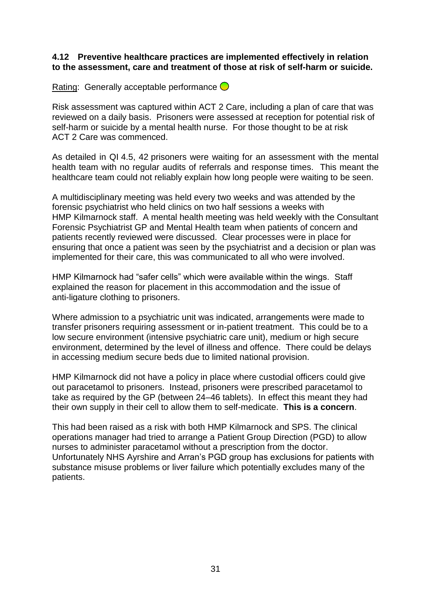#### **4.12 Preventive healthcare practices are implemented effectively in relation to the assessment, care and treatment of those at risk of self-harm or suicide.**

Rating: Generally acceptable performance  $\bigcirc$ 

Risk assessment was captured within ACT 2 Care, including a plan of care that was reviewed on a daily basis. Prisoners were assessed at reception for potential risk of self-harm or suicide by a mental health nurse. For those thought to be at risk ACT 2 Care was commenced.

As detailed in QI 4.5, 42 prisoners were waiting for an assessment with the mental health team with no regular audits of referrals and response times. This meant the healthcare team could not reliably explain how long people were waiting to be seen.

A multidisciplinary meeting was held every two weeks and was attended by the forensic psychiatrist who held clinics on two half sessions a weeks with HMP Kilmarnock staff. A mental health meeting was held weekly with the Consultant Forensic Psychiatrist GP and Mental Health team when patients of concern and patients recently reviewed were discussed. Clear processes were in place for ensuring that once a patient was seen by the psychiatrist and a decision or plan was implemented for their care, this was communicated to all who were involved.

HMP Kilmarnock had "safer cells" which were available within the wings. Staff explained the reason for placement in this accommodation and the issue of anti-ligature clothing to prisoners.

Where admission to a psychiatric unit was indicated, arrangements were made to transfer prisoners requiring assessment or in-patient treatment. This could be to a low secure environment (intensive psychiatric care unit), medium or high secure environment, determined by the level of illness and offence. There could be delays in accessing medium secure beds due to limited national provision.

HMP Kilmarnock did not have a policy in place where custodial officers could give out paracetamol to prisoners. Instead, prisoners were prescribed paracetamol to take as required by the GP (between 24–46 tablets). In effect this meant they had their own supply in their cell to allow them to self-medicate. **This is a concern**.

This had been raised as a risk with both HMP Kilmarnock and SPS. The clinical operations manager had tried to arrange a Patient Group Direction (PGD) to allow nurses to administer paracetamol without a prescription from the doctor. Unfortunately NHS Ayrshire and Arran"s PGD group has exclusions for patients with substance misuse problems or liver failure which potentially excludes many of the patients.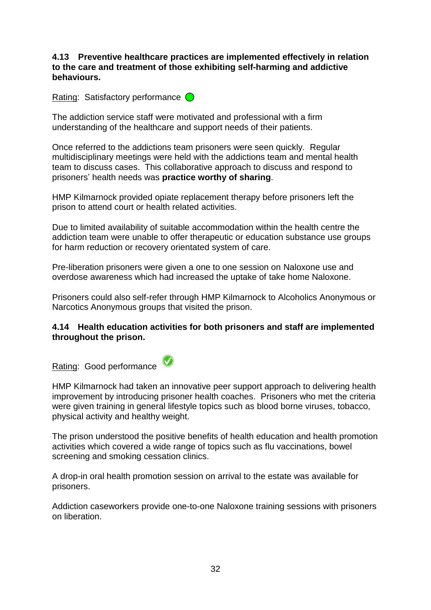### **4.13 Preventive healthcare practices are implemented effectively in relation to the care and treatment of those exhibiting self-harming and addictive behaviours.**

# Rating: Satisfactory performance  $\bigcirc$

The addiction service staff were motivated and professional with a firm understanding of the healthcare and support needs of their patients.

Once referred to the addictions team prisoners were seen quickly. Regular multidisciplinary meetings were held with the addictions team and mental health team to discuss cases. This collaborative approach to discuss and respond to prisoners" health needs was **practice worthy of sharing**.

HMP Kilmarnock provided opiate replacement therapy before prisoners left the prison to attend court or health related activities.

Due to limited availability of suitable accommodation within the health centre the addiction team were unable to offer therapeutic or education substance use groups for harm reduction or recovery orientated system of care.

Pre-liberation prisoners were given a one to one session on Naloxone use and overdose awareness which had increased the uptake of take home Naloxone.

Prisoners could also self-refer through HMP Kilmarnock to Alcoholics Anonymous or Narcotics Anonymous groups that visited the prison.

### **4.14 Health education activities for both prisoners and staff are implemented throughout the prison.**

Rating: Good performance

HMP Kilmarnock had taken an innovative peer support approach to delivering health improvement by introducing prisoner health coaches. Prisoners who met the criteria were given training in general lifestyle topics such as blood borne viruses, tobacco, physical activity and healthy weight.

The prison understood the positive benefits of health education and health promotion activities which covered a wide range of topics such as flu vaccinations, bowel screening and smoking cessation clinics.

A drop-in oral health promotion session on arrival to the estate was available for prisoners.

Addiction caseworkers provide one-to-one Naloxone training sessions with prisoners on liberation.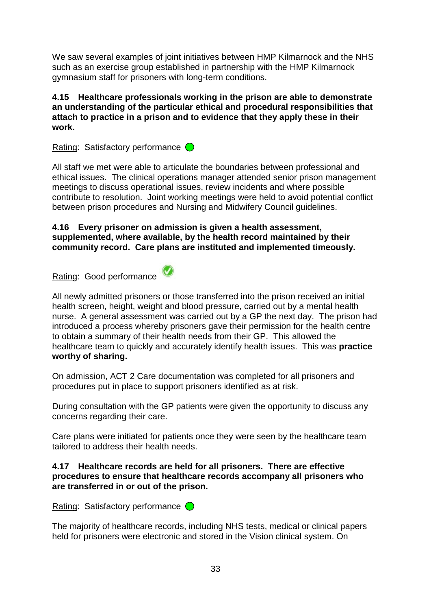We saw several examples of joint initiatives between HMP Kilmarnock and the NHS such as an exercise group established in partnership with the HMP Kilmarnock gymnasium staff for prisoners with long-term conditions.

### **4.15 Healthcare professionals working in the prison are able to demonstrate an understanding of the particular ethical and procedural responsibilities that attach to practice in a prison and to evidence that they apply these in their work.**

Rating: Satisfactory performance  $\bigcirc$ 

All staff we met were able to articulate the boundaries between professional and ethical issues. The clinical operations manager attended senior prison management meetings to discuss operational issues, review incidents and where possible contribute to resolution. Joint working meetings were held to avoid potential conflict between prison procedures and Nursing and Midwifery Council guidelines.

# **4.16 Every prisoner on admission is given a health assessment, supplemented, where available, by the health record maintained by their community record. Care plans are instituted and implemented timeously.**

Rating: Good performance



nurse. A general assessment was carried out by a GP the next day. The prison had introduced a process whereby prisoners gave their permission for the health centre to obtain a summary of their health needs from their GP. This allowed the healthcare team to quickly and accurately identify health issues. This was **practice worthy of sharing.**

On admission, ACT 2 Care documentation was completed for all prisoners and procedures put in place to support prisoners identified as at risk.

During consultation with the GP patients were given the opportunity to discuss any concerns regarding their care.

Care plans were initiated for patients once they were seen by the healthcare team tailored to address their health needs.

# **4.17 Healthcare records are held for all prisoners. There are effective procedures to ensure that healthcare records accompany all prisoners who are transferred in or out of the prison.**

Rating: Satisfactory performance  $\bigcirc$ 

The majority of healthcare records, including NHS tests, medical or clinical papers held for prisoners were electronic and stored in the Vision clinical system. On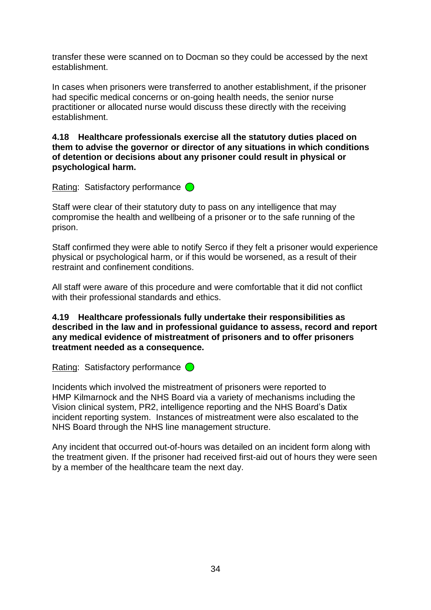transfer these were scanned on to Docman so they could be accessed by the next establishment.

In cases when prisoners were transferred to another establishment, if the prisoner had specific medical concerns or on-going health needs, the senior nurse practitioner or allocated nurse would discuss these directly with the receiving establishment.

**4.18 Healthcare professionals exercise all the statutory duties placed on them to advise the governor or director of any situations in which conditions of detention or decisions about any prisoner could result in physical or psychological harm.**

Rating: Satisfactory performance  $\bigcirc$ 

Staff were clear of their statutory duty to pass on any intelligence that may compromise the health and wellbeing of a prisoner or to the safe running of the prison.

Staff confirmed they were able to notify Serco if they felt a prisoner would experience physical or psychological harm, or if this would be worsened, as a result of their restraint and confinement conditions.

All staff were aware of this procedure and were comfortable that it did not conflict with their professional standards and ethics.

**4.19 Healthcare professionals fully undertake their responsibilities as described in the law and in professional guidance to assess, record and report any medical evidence of mistreatment of prisoners and to offer prisoners treatment needed as a consequence.**

Rating: Satisfactory performance  $\bigcirc$ 

Incidents which involved the mistreatment of prisoners were reported to HMP Kilmarnock and the NHS Board via a variety of mechanisms including the Vision clinical system, PR2, intelligence reporting and the NHS Board"s Datix incident reporting system. Instances of mistreatment were also escalated to the NHS Board through the NHS line management structure.

Any incident that occurred out-of-hours was detailed on an incident form along with the treatment given. If the prisoner had received first-aid out of hours they were seen by a member of the healthcare team the next day.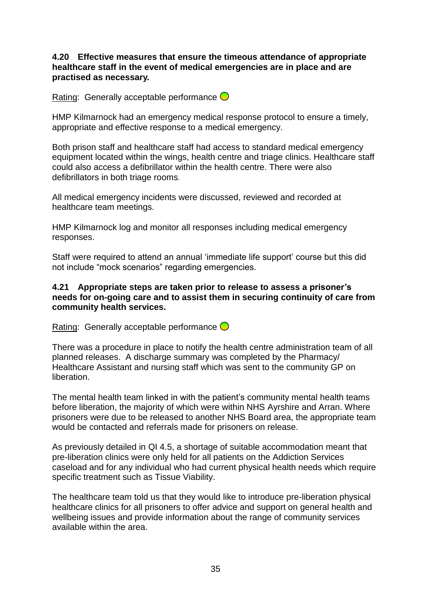**4.20 Effective measures that ensure the timeous attendance of appropriate healthcare staff in the event of medical emergencies are in place and are practised as necessary.**

Rating: Generally acceptable performance  $\bigcirc$ 

HMP Kilmarnock had an emergency medical response protocol to ensure a timely, appropriate and effective response to a medical emergency.

Both prison staff and healthcare staff had access to standard medical emergency equipment located within the wings, health centre and triage clinics. Healthcare staff could also access a defibrillator within the health centre. There were also defibrillators in both triage rooms.

All medical emergency incidents were discussed, reviewed and recorded at healthcare team meetings.

HMP Kilmarnock log and monitor all responses including medical emergency responses.

Staff were required to attend an annual "immediate life support" course but this did not include "mock scenarios" regarding emergencies.

#### **4.21 Appropriate steps are taken prior to release to assess a prisoner's needs for on-going care and to assist them in securing continuity of care from community health services.**

Rating: Generally acceptable performance  $\bigcirc$ 

There was a procedure in place to notify the health centre administration team of all planned releases. A discharge summary was completed by the Pharmacy/ Healthcare Assistant and nursing staff which was sent to the community GP on liberation.

The mental health team linked in with the patient's community mental health teams before liberation, the majority of which were within NHS Ayrshire and Arran. Where prisoners were due to be released to another NHS Board area, the appropriate team would be contacted and referrals made for prisoners on release.

As previously detailed in QI 4.5, a shortage of suitable accommodation meant that pre-liberation clinics were only held for all patients on the Addiction Services caseload and for any individual who had current physical health needs which require specific treatment such as Tissue Viability.

The healthcare team told us that they would like to introduce pre-liberation physical healthcare clinics for all prisoners to offer advice and support on general health and wellbeing issues and provide information about the range of community services available within the area.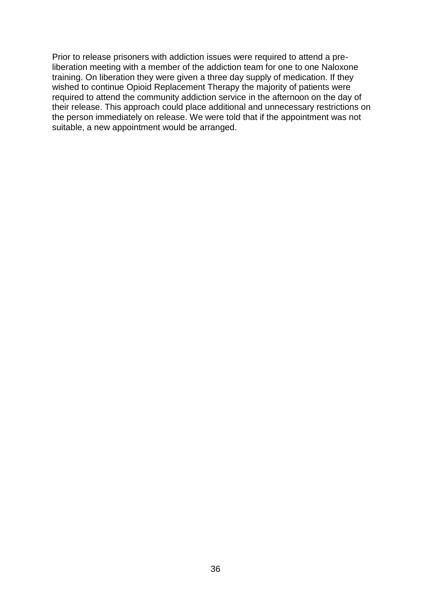Prior to release prisoners with addiction issues were required to attend a preliberation meeting with a member of the addiction team for one to one Naloxone training. On liberation they were given a three day supply of medication. If they wished to continue Opioid Replacement Therapy the majority of patients were required to attend the community addiction service in the afternoon on the day of their release. This approach could place additional and unnecessary restrictions on the person immediately on release. We were told that if the appointment was not suitable, a new appointment would be arranged.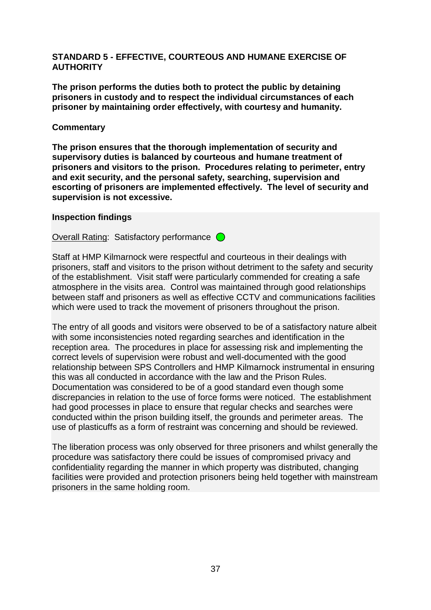#### **STANDARD 5 - EFFECTIVE, COURTEOUS AND HUMANE EXERCISE OF AUTHORITY**

**The prison performs the duties both to protect the public by detaining prisoners in custody and to respect the individual circumstances of each prisoner by maintaining order effectively, with courtesy and humanity.**

#### **Commentary**

**The prison ensures that the thorough implementation of security and supervisory duties is balanced by courteous and humane treatment of prisoners and visitors to the prison. Procedures relating to perimeter, entry and exit security, and the personal safety, searching, supervision and escorting of prisoners are implemented effectively. The level of security and supervision is not excessive.**

#### **Inspection findings**

Overall Rating: Satisfactory performance  $\bigcirc$ 

Staff at HMP Kilmarnock were respectful and courteous in their dealings with prisoners, staff and visitors to the prison without detriment to the safety and security of the establishment. Visit staff were particularly commended for creating a safe atmosphere in the visits area. Control was maintained through good relationships between staff and prisoners as well as effective CCTV and communications facilities which were used to track the movement of prisoners throughout the prison.

The entry of all goods and visitors were observed to be of a satisfactory nature albeit with some inconsistencies noted regarding searches and identification in the reception area. The procedures in place for assessing risk and implementing the correct levels of supervision were robust and well-documented with the good relationship between SPS Controllers and HMP Kilmarnock instrumental in ensuring this was all conducted in accordance with the law and the Prison Rules. Documentation was considered to be of a good standard even though some discrepancies in relation to the use of force forms were noticed. The establishment had good processes in place to ensure that regular checks and searches were conducted within the prison building itself, the grounds and perimeter areas. The use of plasticuffs as a form of restraint was concerning and should be reviewed.

The liberation process was only observed for three prisoners and whilst generally the procedure was satisfactory there could be issues of compromised privacy and confidentiality regarding the manner in which property was distributed, changing facilities were provided and protection prisoners being held together with mainstream prisoners in the same holding room.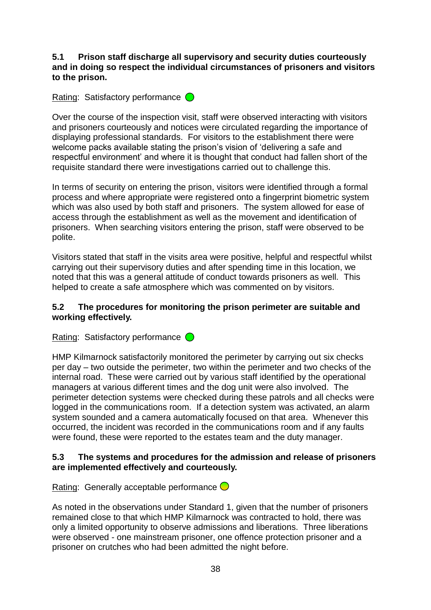#### **5.1 Prison staff discharge all supervisory and security duties courteously and in doing so respect the individual circumstances of prisoners and visitors to the prison.**

# Rating: Satisfactory performance  $\bigcirc$

Over the course of the inspection visit, staff were observed interacting with visitors and prisoners courteously and notices were circulated regarding the importance of displaying professional standards. For visitors to the establishment there were welcome packs available stating the prison"s vision of "delivering a safe and respectful environment" and where it is thought that conduct had fallen short of the requisite standard there were investigations carried out to challenge this.

In terms of security on entering the prison, visitors were identified through a formal process and where appropriate were registered onto a fingerprint biometric system which was also used by both staff and prisoners. The system allowed for ease of access through the establishment as well as the movement and identification of prisoners. When searching visitors entering the prison, staff were observed to be polite.

Visitors stated that staff in the visits area were positive, helpful and respectful whilst carrying out their supervisory duties and after spending time in this location, we noted that this was a general attitude of conduct towards prisoners as well. This helped to create a safe atmosphere which was commented on by visitors.

### **5.2 The procedures for monitoring the prison perimeter are suitable and working effectively.**

Rating: Satisfactory performance  $\bigcirc$ 

HMP Kilmarnock satisfactorily monitored the perimeter by carrying out six checks per day – two outside the perimeter, two within the perimeter and two checks of the internal road. These were carried out by various staff identified by the operational managers at various different times and the dog unit were also involved. The perimeter detection systems were checked during these patrols and all checks were logged in the communications room. If a detection system was activated, an alarm system sounded and a camera automatically focused on that area. Whenever this occurred, the incident was recorded in the communications room and if any faults were found, these were reported to the estates team and the duty manager.

#### **5.3 The systems and procedures for the admission and release of prisoners are implemented effectively and courteously.**

Rating: Generally acceptable performance  $\bigcirc$ 

As noted in the observations under Standard 1, given that the number of prisoners remained close to that which HMP Kilmarnock was contracted to hold, there was only a limited opportunity to observe admissions and liberations. Three liberations were observed - one mainstream prisoner, one offence protection prisoner and a prisoner on crutches who had been admitted the night before.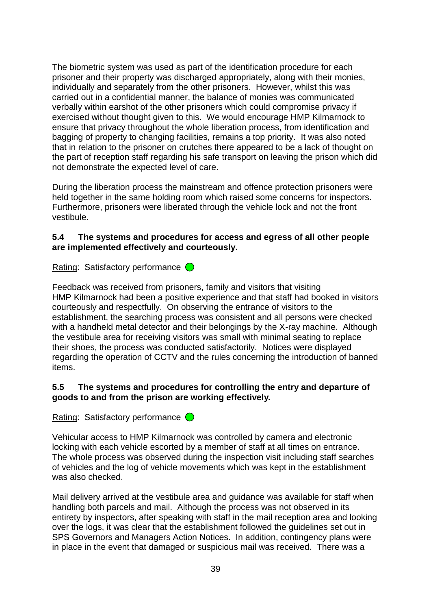The biometric system was used as part of the identification procedure for each prisoner and their property was discharged appropriately, along with their monies, individually and separately from the other prisoners. However, whilst this was carried out in a confidential manner, the balance of monies was communicated verbally within earshot of the other prisoners which could compromise privacy if exercised without thought given to this. We would encourage HMP Kilmarnock to ensure that privacy throughout the whole liberation process, from identification and bagging of property to changing facilities, remains a top priority. It was also noted that in relation to the prisoner on crutches there appeared to be a lack of thought on the part of reception staff regarding his safe transport on leaving the prison which did not demonstrate the expected level of care.

During the liberation process the mainstream and offence protection prisoners were held together in the same holding room which raised some concerns for inspectors. Furthermore, prisoners were liberated through the vehicle lock and not the front vestibule.

## **5.4 The systems and procedures for access and egress of all other people are implemented effectively and courteously.**

Rating: Satisfactory performance  $\bigcirc$ 

Feedback was received from prisoners, family and visitors that visiting HMP Kilmarnock had been a positive experience and that staff had booked in visitors courteously and respectfully. On observing the entrance of visitors to the establishment, the searching process was consistent and all persons were checked with a handheld metal detector and their belongings by the X-ray machine. Although the vestibule area for receiving visitors was small with minimal seating to replace their shoes, the process was conducted satisfactorily. Notices were displayed regarding the operation of CCTV and the rules concerning the introduction of banned items.

# **5.5 The systems and procedures for controlling the entry and departure of goods to and from the prison are working effectively.**

Rating: Satisfactory performance  $\bigcirc$ 

Vehicular access to HMP Kilmarnock was controlled by camera and electronic locking with each vehicle escorted by a member of staff at all times on entrance. The whole process was observed during the inspection visit including staff searches of vehicles and the log of vehicle movements which was kept in the establishment was also checked.

Mail delivery arrived at the vestibule area and guidance was available for staff when handling both parcels and mail. Although the process was not observed in its entirety by inspectors, after speaking with staff in the mail reception area and looking over the logs, it was clear that the establishment followed the guidelines set out in SPS Governors and Managers Action Notices. In addition, contingency plans were in place in the event that damaged or suspicious mail was received. There was a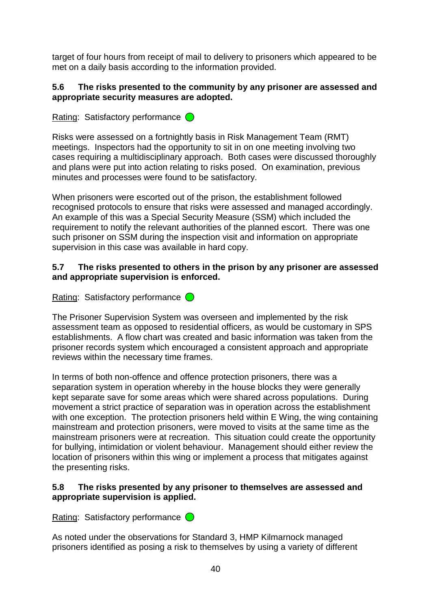target of four hours from receipt of mail to delivery to prisoners which appeared to be met on a daily basis according to the information provided.

### **5.6 The risks presented to the community by any prisoner are assessed and appropriate security measures are adopted.**

Rating: Satisfactory performance  $\bigcirc$ 

Risks were assessed on a fortnightly basis in Risk Management Team (RMT) meetings. Inspectors had the opportunity to sit in on one meeting involving two cases requiring a multidisciplinary approach. Both cases were discussed thoroughly and plans were put into action relating to risks posed. On examination, previous minutes and processes were found to be satisfactory.

When prisoners were escorted out of the prison, the establishment followed recognised protocols to ensure that risks were assessed and managed accordingly. An example of this was a Special Security Measure (SSM) which included the requirement to notify the relevant authorities of the planned escort. There was one such prisoner on SSM during the inspection visit and information on appropriate supervision in this case was available in hard copy.

### **5.7 The risks presented to others in the prison by any prisoner are assessed and appropriate supervision is enforced.**

Rating: Satisfactory performance  $\bigcirc$ 

The Prisoner Supervision System was overseen and implemented by the risk assessment team as opposed to residential officers, as would be customary in SPS establishments. A flow chart was created and basic information was taken from the prisoner records system which encouraged a consistent approach and appropriate reviews within the necessary time frames.

In terms of both non-offence and offence protection prisoners, there was a separation system in operation whereby in the house blocks they were generally kept separate save for some areas which were shared across populations. During movement a strict practice of separation was in operation across the establishment with one exception. The protection prisoners held within E Wing, the wing containing mainstream and protection prisoners, were moved to visits at the same time as the mainstream prisoners were at recreation. This situation could create the opportunity for bullying, intimidation or violent behaviour. Management should either review the location of prisoners within this wing or implement a process that mitigates against the presenting risks.

### **5.8 The risks presented by any prisoner to themselves are assessed and appropriate supervision is applied.**

Rating: Satisfactory performance  $\bigcirc$ 

As noted under the observations for Standard 3, HMP Kilmarnock managed prisoners identified as posing a risk to themselves by using a variety of different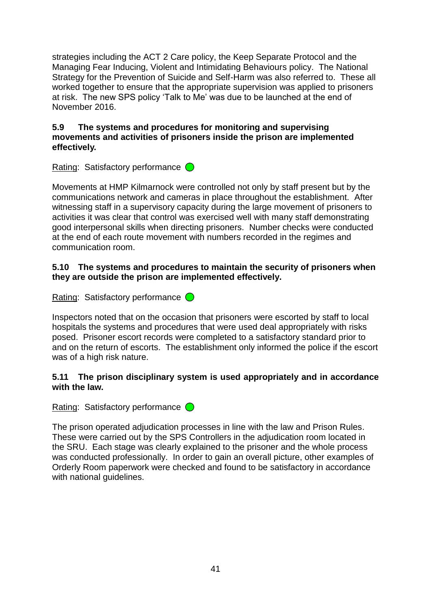strategies including the ACT 2 Care policy, the Keep Separate Protocol and the Managing Fear Inducing, Violent and Intimidating Behaviours policy. The National Strategy for the Prevention of Suicide and Self-Harm was also referred to. These all worked together to ensure that the appropriate supervision was applied to prisoners at risk. The new SPS policy "Talk to Me" was due to be launched at the end of November 2016.

#### **5.9 The systems and procedures for monitoring and supervising movements and activities of prisoners inside the prison are implemented effectively.**

Rating: Satisfactory performance  $\bigcirc$ 

Movements at HMP Kilmarnock were controlled not only by staff present but by the communications network and cameras in place throughout the establishment. After witnessing staff in a supervisory capacity during the large movement of prisoners to activities it was clear that control was exercised well with many staff demonstrating good interpersonal skills when directing prisoners. Number checks were conducted at the end of each route movement with numbers recorded in the regimes and communication room.

#### **5.10 The systems and procedures to maintain the security of prisoners when they are outside the prison are implemented effectively.**

Rating: Satisfactory performance  $\bigcirc$ 

Inspectors noted that on the occasion that prisoners were escorted by staff to local hospitals the systems and procedures that were used deal appropriately with risks posed. Prisoner escort records were completed to a satisfactory standard prior to and on the return of escorts. The establishment only informed the police if the escort was of a high risk nature.

### **5.11 The prison disciplinary system is used appropriately and in accordance with the law.**

Rating: Satisfactory performance  $\bigcirc$ 

The prison operated adjudication processes in line with the law and Prison Rules. These were carried out by the SPS Controllers in the adjudication room located in the SRU. Each stage was clearly explained to the prisoner and the whole process was conducted professionally. In order to gain an overall picture, other examples of Orderly Room paperwork were checked and found to be satisfactory in accordance with national guidelines.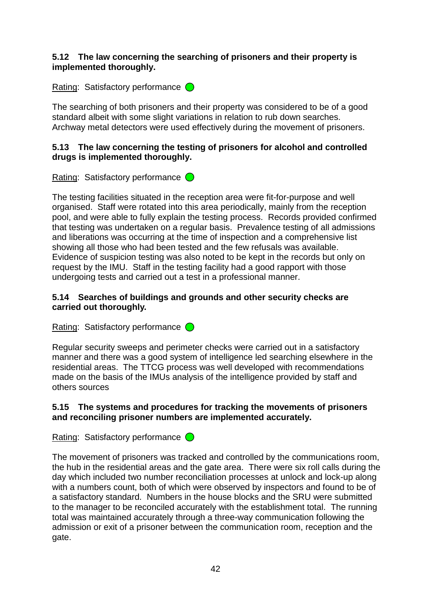### **5.12 The law concerning the searching of prisoners and their property is implemented thoroughly.**

Rating: Satisfactory performance  $\bigcirc$ 

The searching of both prisoners and their property was considered to be of a good standard albeit with some slight variations in relation to rub down searches. Archway metal detectors were used effectively during the movement of prisoners.

## **5.13 The law concerning the testing of prisoners for alcohol and controlled drugs is implemented thoroughly.**

Rating: Satisfactory performance  $\bigcirc$ 

The testing facilities situated in the reception area were fit-for-purpose and well organised. Staff were rotated into this area periodically, mainly from the reception pool, and were able to fully explain the testing process. Records provided confirmed that testing was undertaken on a regular basis. Prevalence testing of all admissions and liberations was occurring at the time of inspection and a comprehensive list showing all those who had been tested and the few refusals was available. Evidence of suspicion testing was also noted to be kept in the records but only on request by the IMU. Staff in the testing facility had a good rapport with those undergoing tests and carried out a test in a professional manner.

## **5.14 Searches of buildings and grounds and other security checks are carried out thoroughly.**

Rating: Satisfactory performance  $\bigcirc$ 

Regular security sweeps and perimeter checks were carried out in a satisfactory manner and there was a good system of intelligence led searching elsewhere in the residential areas. The TTCG process was well developed with recommendations made on the basis of the IMUs analysis of the intelligence provided by staff and others sources

# **5.15 The systems and procedures for tracking the movements of prisoners and reconciling prisoner numbers are implemented accurately.**

Rating: Satisfactory performance  $\bigcirc$ 

The movement of prisoners was tracked and controlled by the communications room, the hub in the residential areas and the gate area. There were six roll calls during the day which included two number reconciliation processes at unlock and lock-up along with a numbers count, both of which were observed by inspectors and found to be of a satisfactory standard. Numbers in the house blocks and the SRU were submitted to the manager to be reconciled accurately with the establishment total. The running total was maintained accurately through a three-way communication following the admission or exit of a prisoner between the communication room, reception and the gate.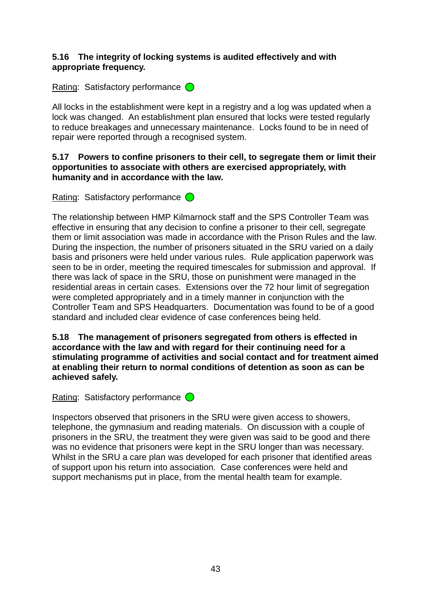### **5.16 The integrity of locking systems is audited effectively and with appropriate frequency.**

Rating: Satisfactory performance  $\bigcirc$ 

All locks in the establishment were kept in a registry and a log was updated when a lock was changed. An establishment plan ensured that locks were tested regularly to reduce breakages and unnecessary maintenance. Locks found to be in need of repair were reported through a recognised system.

#### **5.17 Powers to confine prisoners to their cell, to segregate them or limit their opportunities to associate with others are exercised appropriately, with humanity and in accordance with the law.**

Rating: Satisfactory performance  $\bigcirc$ 

The relationship between HMP Kilmarnock staff and the SPS Controller Team was effective in ensuring that any decision to confine a prisoner to their cell, segregate them or limit association was made in accordance with the Prison Rules and the law. During the inspection, the number of prisoners situated in the SRU varied on a daily basis and prisoners were held under various rules. Rule application paperwork was seen to be in order, meeting the required timescales for submission and approval. If there was lack of space in the SRU, those on punishment were managed in the residential areas in certain cases. Extensions over the 72 hour limit of segregation were completed appropriately and in a timely manner in conjunction with the Controller Team and SPS Headquarters. Documentation was found to be of a good standard and included clear evidence of case conferences being held.

#### **5.18 The management of prisoners segregated from others is effected in accordance with the law and with regard for their continuing need for a stimulating programme of activities and social contact and for treatment aimed at enabling their return to normal conditions of detention as soon as can be achieved safely.**

Rating: Satisfactory performance  $\bigcirc$ 

Inspectors observed that prisoners in the SRU were given access to showers, telephone, the gymnasium and reading materials. On discussion with a couple of prisoners in the SRU, the treatment they were given was said to be good and there was no evidence that prisoners were kept in the SRU longer than was necessary. Whilst in the SRU a care plan was developed for each prisoner that identified areas of support upon his return into association. Case conferences were held and support mechanisms put in place, from the mental health team for example.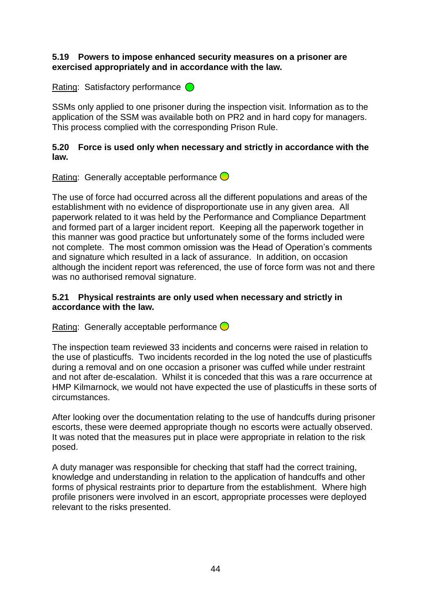#### **5.19 Powers to impose enhanced security measures on a prisoner are exercised appropriately and in accordance with the law.**

Rating: Satisfactory performance  $\bigcirc$ 

SSMs only applied to one prisoner during the inspection visit. Information as to the application of the SSM was available both on PR2 and in hard copy for managers. This process complied with the corresponding Prison Rule.

#### **5.20 Force is used only when necessary and strictly in accordance with the law.**

Rating: Generally acceptable performance  $\bigcirc$ 

The use of force had occurred across all the different populations and areas of the establishment with no evidence of disproportionate use in any given area. All paperwork related to it was held by the Performance and Compliance Department and formed part of a larger incident report. Keeping all the paperwork together in this manner was good practice but unfortunately some of the forms included were not complete. The most common omission was the Head of Operation"s comments and signature which resulted in a lack of assurance. In addition, on occasion although the incident report was referenced, the use of force form was not and there was no authorised removal signature.

### **5.21 Physical restraints are only used when necessary and strictly in accordance with the law.**

Rating: Generally acceptable performance  $\bigcirc$ 

The inspection team reviewed 33 incidents and concerns were raised in relation to the use of plasticuffs. Two incidents recorded in the log noted the use of plasticuffs during a removal and on one occasion a prisoner was cuffed while under restraint and not after de-escalation. Whilst it is conceded that this was a rare occurrence at HMP Kilmarnock, we would not have expected the use of plasticuffs in these sorts of circumstances.

After looking over the documentation relating to the use of handcuffs during prisoner escorts, these were deemed appropriate though no escorts were actually observed. It was noted that the measures put in place were appropriate in relation to the risk posed.

A duty manager was responsible for checking that staff had the correct training, knowledge and understanding in relation to the application of handcuffs and other forms of physical restraints prior to departure from the establishment. Where high profile prisoners were involved in an escort, appropriate processes were deployed relevant to the risks presented.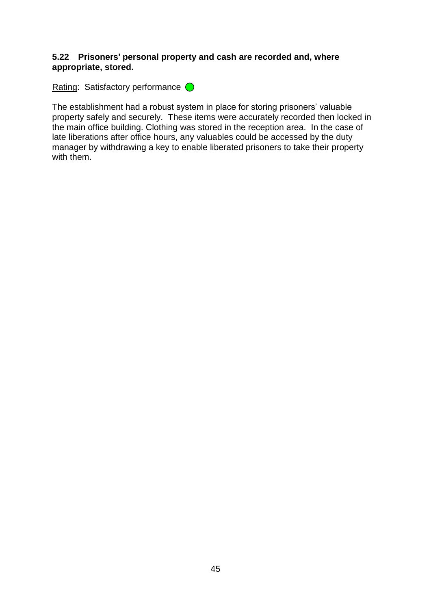#### **5.22 Prisoners' personal property and cash are recorded and, where appropriate, stored.**

Rating: Satisfactory performance O

The establishment had a robust system in place for storing prisoners' valuable property safely and securely. These items were accurately recorded then locked in the main office building. Clothing was stored in the reception area. In the case of late liberations after office hours, any valuables could be accessed by the duty manager by withdrawing a key to enable liberated prisoners to take their property with them.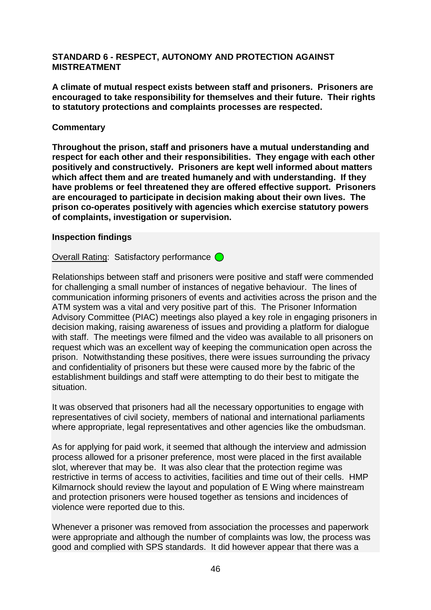#### **STANDARD 6 - RESPECT, AUTONOMY AND PROTECTION AGAINST MISTREATMENT**

**A climate of mutual respect exists between staff and prisoners. Prisoners are encouraged to take responsibility for themselves and their future. Their rights to statutory protections and complaints processes are respected.**

#### **Commentary**

**Throughout the prison, staff and prisoners have a mutual understanding and respect for each other and their responsibilities. They engage with each other positively and constructively. Prisoners are kept well informed about matters which affect them and are treated humanely and with understanding. If they have problems or feel threatened they are offered effective support. Prisoners are encouraged to participate in decision making about their own lives. The prison co-operates positively with agencies which exercise statutory powers of complaints, investigation or supervision.**

#### **Inspection findings**

Overall Rating: Satisfactory performance  $\bigcirc$ 

Relationships between staff and prisoners were positive and staff were commended for challenging a small number of instances of negative behaviour. The lines of communication informing prisoners of events and activities across the prison and the ATM system was a vital and very positive part of this. The Prisoner Information Advisory Committee (PIAC) meetings also played a key role in engaging prisoners in decision making, raising awareness of issues and providing a platform for dialogue with staff. The meetings were filmed and the video was available to all prisoners on request which was an excellent way of keeping the communication open across the prison. Notwithstanding these positives, there were issues surrounding the privacy and confidentiality of prisoners but these were caused more by the fabric of the establishment buildings and staff were attempting to do their best to mitigate the situation.

It was observed that prisoners had all the necessary opportunities to engage with representatives of civil society, members of national and international parliaments where appropriate, legal representatives and other agencies like the ombudsman.

As for applying for paid work, it seemed that although the interview and admission process allowed for a prisoner preference, most were placed in the first available slot, wherever that may be. It was also clear that the protection regime was restrictive in terms of access to activities, facilities and time out of their cells. HMP Kilmarnock should review the layout and population of E Wing where mainstream and protection prisoners were housed together as tensions and incidences of violence were reported due to this.

Whenever a prisoner was removed from association the processes and paperwork were appropriate and although the number of complaints was low, the process was good and complied with SPS standards. It did however appear that there was a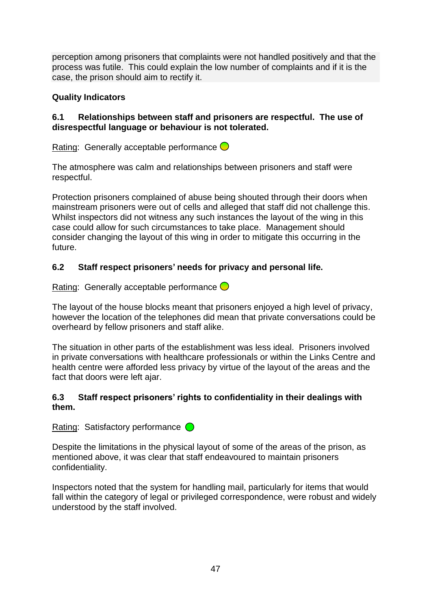perception among prisoners that complaints were not handled positively and that the process was futile. This could explain the low number of complaints and if it is the case, the prison should aim to rectify it.

# **Quality Indicators**

## **6.1 Relationships between staff and prisoners are respectful. The use of disrespectful language or behaviour is not tolerated.**

Rating: Generally acceptable performance  $\bigcirc$ 

The atmosphere was calm and relationships between prisoners and staff were respectful.

Protection prisoners complained of abuse being shouted through their doors when mainstream prisoners were out of cells and alleged that staff did not challenge this. Whilst inspectors did not witness any such instances the layout of the wing in this case could allow for such circumstances to take place. Management should consider changing the layout of this wing in order to mitigate this occurring in the future.

# **6.2 Staff respect prisoners' needs for privacy and personal life.**

Rating: Generally acceptable performance  $\bigcirc$ 

The layout of the house blocks meant that prisoners enjoyed a high level of privacy, however the location of the telephones did mean that private conversations could be overheard by fellow prisoners and staff alike.

The situation in other parts of the establishment was less ideal. Prisoners involved in private conversations with healthcare professionals or within the Links Centre and health centre were afforded less privacy by virtue of the layout of the areas and the fact that doors were left ajar.

### **6.3 Staff respect prisoners' rights to confidentiality in their dealings with them.**

Rating: Satisfactory performance  $\bigcirc$ 

Despite the limitations in the physical layout of some of the areas of the prison, as mentioned above, it was clear that staff endeavoured to maintain prisoners confidentiality.

Inspectors noted that the system for handling mail, particularly for items that would fall within the category of legal or privileged correspondence, were robust and widely understood by the staff involved.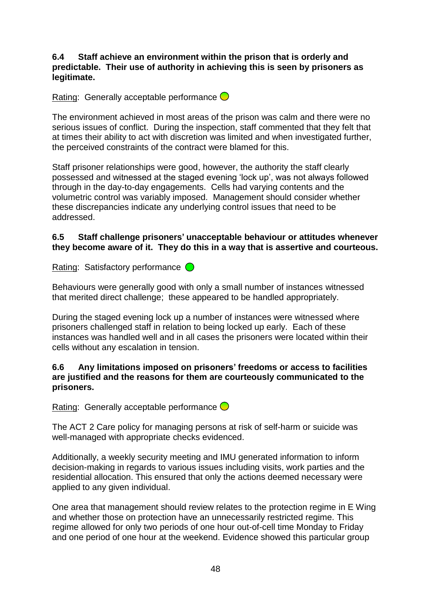#### **6.4 Staff achieve an environment within the prison that is orderly and predictable. Their use of authority in achieving this is seen by prisoners as legitimate.**

## Rating: Generally acceptable performance  $\bigcirc$

The environment achieved in most areas of the prison was calm and there were no serious issues of conflict. During the inspection, staff commented that they felt that at times their ability to act with discretion was limited and when investigated further, the perceived constraints of the contract were blamed for this.

Staff prisoner relationships were good, however, the authority the staff clearly possessed and witnessed at the staged evening "lock up", was not always followed through in the day-to-day engagements. Cells had varying contents and the volumetric control was variably imposed. Management should consider whether these discrepancies indicate any underlying control issues that need to be addressed.

#### **6.5 Staff challenge prisoners' unacceptable behaviour or attitudes whenever they become aware of it. They do this in a way that is assertive and courteous.**

Rating: Satisfactory performance  $\bigcirc$ 

Behaviours were generally good with only a small number of instances witnessed that merited direct challenge; these appeared to be handled appropriately.

During the staged evening lock up a number of instances were witnessed where prisoners challenged staff in relation to being locked up early. Each of these instances was handled well and in all cases the prisoners were located within their cells without any escalation in tension.

#### **6.6 Any limitations imposed on prisoners' freedoms or access to facilities are justified and the reasons for them are courteously communicated to the prisoners.**

Rating: Generally acceptable performance  $\bigcirc$ 

The ACT 2 Care policy for managing persons at risk of self-harm or suicide was well-managed with appropriate checks evidenced.

Additionally, a weekly security meeting and IMU generated information to inform decision-making in regards to various issues including visits, work parties and the residential allocation. This ensured that only the actions deemed necessary were applied to any given individual.

One area that management should review relates to the protection regime in E Wing and whether those on protection have an unnecessarily restricted regime. This regime allowed for only two periods of one hour out-of-cell time Monday to Friday and one period of one hour at the weekend. Evidence showed this particular group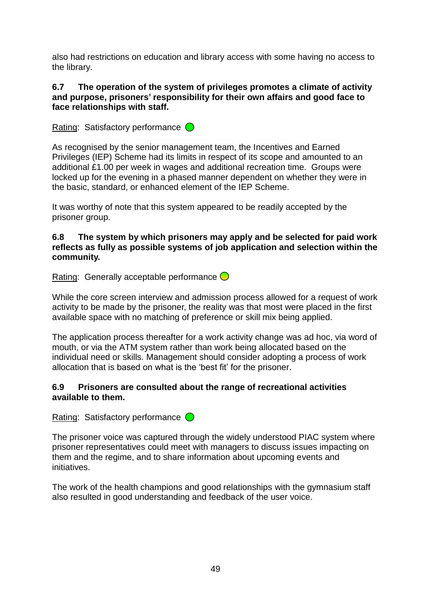also had restrictions on education and library access with some having no access to the library.

### **6.7 The operation of the system of privileges promotes a climate of activity and purpose, prisoners' responsibility for their own affairs and good face to face relationships with staff.**

Rating: Satisfactory performance  $\bigcirc$ 

As recognised by the senior management team, the Incentives and Earned Privileges (IEP) Scheme had its limits in respect of its scope and amounted to an additional £1.00 per week in wages and additional recreation time. Groups were locked up for the evening in a phased manner dependent on whether they were in the basic, standard, or enhanced element of the IEP Scheme.

It was worthy of note that this system appeared to be readily accepted by the prisoner group.

#### **6.8 The system by which prisoners may apply and be selected for paid work reflects as fully as possible systems of job application and selection within the community.**

Rating: Generally acceptable performance  $\bigcirc$ 

While the core screen interview and admission process allowed for a request of work activity to be made by the prisoner, the reality was that most were placed in the first available space with no matching of preference or skill mix being applied.

The application process thereafter for a work activity change was ad hoc, via word of mouth, or via the ATM system rather than work being allocated based on the individual need or skills. Management should consider adopting a process of work allocation that is based on what is the "best fit" for the prisoner.

### **6.9 Prisoners are consulted about the range of recreational activities available to them.**

Rating: Satisfactory performance  $\bigcirc$ 

The prisoner voice was captured through the widely understood PIAC system where prisoner representatives could meet with managers to discuss issues impacting on them and the regime, and to share information about upcoming events and initiatives.

The work of the health champions and good relationships with the gymnasium staff also resulted in good understanding and feedback of the user voice.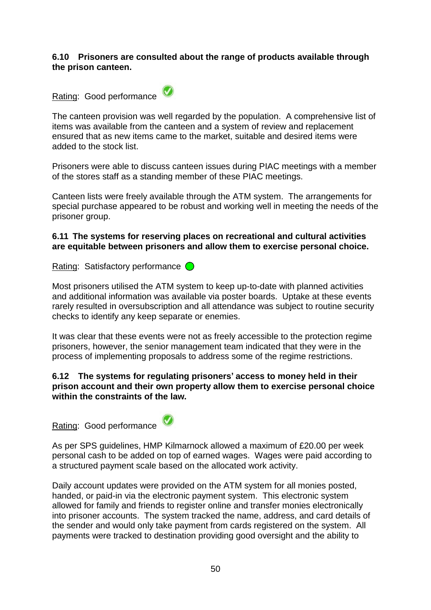#### **6.10 Prisoners are consulted about the range of products available through the prison canteen.**



The canteen provision was well regarded by the population. A comprehensive list of items was available from the canteen and a system of review and replacement ensured that as new items came to the market, suitable and desired items were added to the stock list.

Prisoners were able to discuss canteen issues during PIAC meetings with a member of the stores staff as a standing member of these PIAC meetings.

Canteen lists were freely available through the ATM system. The arrangements for special purchase appeared to be robust and working well in meeting the needs of the prisoner group.

#### **6.11 The systems for reserving places on recreational and cultural activities are equitable between prisoners and allow them to exercise personal choice.**

Rating: Satisfactory performance  $\bigcirc$ 

Most prisoners utilised the ATM system to keep up-to-date with planned activities and additional information was available via poster boards. Uptake at these events rarely resulted in oversubscription and all attendance was subject to routine security checks to identify any keep separate or enemies.

It was clear that these events were not as freely accessible to the protection regime prisoners, however, the senior management team indicated that they were in the process of implementing proposals to address some of the regime restrictions.

### **6.12 The systems for regulating prisoners' access to money held in their prison account and their own property allow them to exercise personal choice within the constraints of the law.**

Rating: Good performance



As per SPS guidelines, HMP Kilmarnock allowed a maximum of £20.00 per week personal cash to be added on top of earned wages. Wages were paid according to a structured payment scale based on the allocated work activity.

Daily account updates were provided on the ATM system for all monies posted, handed, or paid-in via the electronic payment system. This electronic system allowed for family and friends to register online and transfer monies electronically into prisoner accounts. The system tracked the name, address, and card details of the sender and would only take payment from cards registered on the system. All payments were tracked to destination providing good oversight and the ability to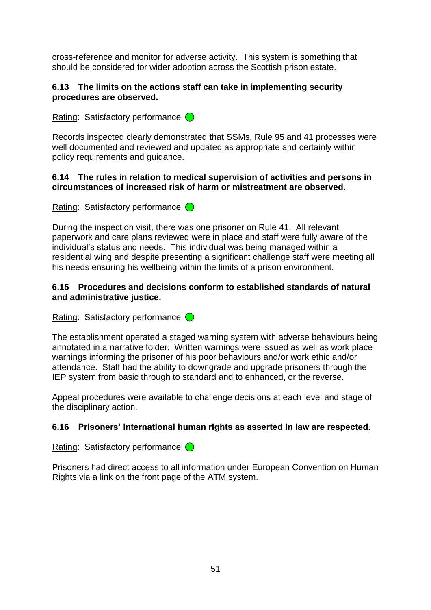cross-reference and monitor for adverse activity. This system is something that should be considered for wider adoption across the Scottish prison estate.

### **6.13 The limits on the actions staff can take in implementing security procedures are observed.**

Rating: Satisfactory performance  $\bigcirc$ 

Records inspected clearly demonstrated that SSMs, Rule 95 and 41 processes were well documented and reviewed and updated as appropriate and certainly within policy requirements and guidance.

#### **6.14 The rules in relation to medical supervision of activities and persons in circumstances of increased risk of harm or mistreatment are observed.**

Rating: Satisfactory performance  $\bigcirc$ 

During the inspection visit, there was one prisoner on Rule 41. All relevant paperwork and care plans reviewed were in place and staff were fully aware of the individual"s status and needs. This individual was being managed within a residential wing and despite presenting a significant challenge staff were meeting all his needs ensuring his wellbeing within the limits of a prison environment.

## **6.15 Procedures and decisions conform to established standards of natural and administrative justice.**

Rating: Satisfactory performance  $\bigcirc$ 

The establishment operated a staged warning system with adverse behaviours being annotated in a narrative folder. Written warnings were issued as well as work place warnings informing the prisoner of his poor behaviours and/or work ethic and/or attendance. Staff had the ability to downgrade and upgrade prisoners through the IEP system from basic through to standard and to enhanced, or the reverse.

Appeal procedures were available to challenge decisions at each level and stage of the disciplinary action.

# **6.16 Prisoners' international human rights as asserted in law are respected.**

Rating: Satisfactory performance  $\bigcirc$ 

Prisoners had direct access to all information under European Convention on Human Rights via a link on the front page of the ATM system.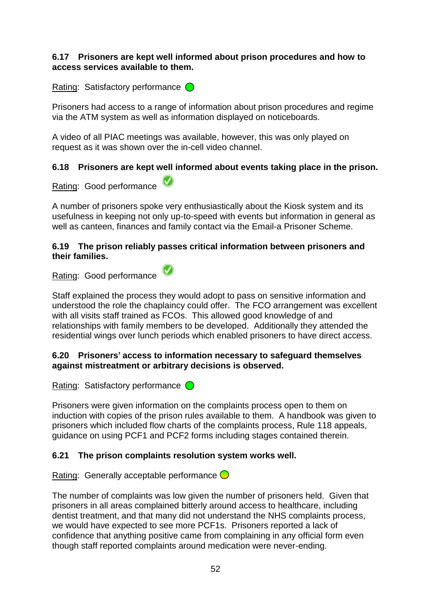#### **6.17 Prisoners are kept well informed about prison procedures and how to access services available to them.**

Rating: Satisfactory performance  $\bigcirc$ 

Prisoners had access to a range of information about prison procedures and regime via the ATM system as well as information displayed on noticeboards.

A video of all PIAC meetings was available, however, this was only played on request as it was shown over the in-cell video channel.

# **6.18 Prisoners are kept well informed about events taking place in the prison.**

Rating: Good performance

A number of prisoners spoke very enthusiastically about the Kiosk system and its usefulness in keeping not only up-to-speed with events but information in general as well as canteen, finances and family contact via the Email-a Prisoner Scheme.

#### **6.19 The prison reliably passes critical information between prisoners and their families.**

Rating: Good performance

Staff explained the process they would adopt to pass on sensitive information and understood the role the chaplaincy could offer. The FCO arrangement was excellent with all visits staff trained as FCOs. This allowed good knowledge of and relationships with family members to be developed. Additionally they attended the residential wings over lunch periods which enabled prisoners to have direct access.

### **6.20 Prisoners' access to information necessary to safeguard themselves against mistreatment or arbitrary decisions is observed.**

Rating: Satisfactory performance  $\bigcirc$ 

Prisoners were given information on the complaints process open to them on induction with copies of the prison rules available to them. A handbook was given to prisoners which included flow charts of the complaints process, Rule 118 appeals, guidance on using PCF1 and PCF2 forms including stages contained therein.

# **6.21 The prison complaints resolution system works well.**

Rating: Generally acceptable performance  $\bigcirc$ 

The number of complaints was low given the number of prisoners held. Given that prisoners in all areas complained bitterly around access to healthcare, including dentist treatment, and that many did not understand the NHS complaints process, we would have expected to see more PCF1s. Prisoners reported a lack of confidence that anything positive came from complaining in any official form even though staff reported complaints around medication were never-ending.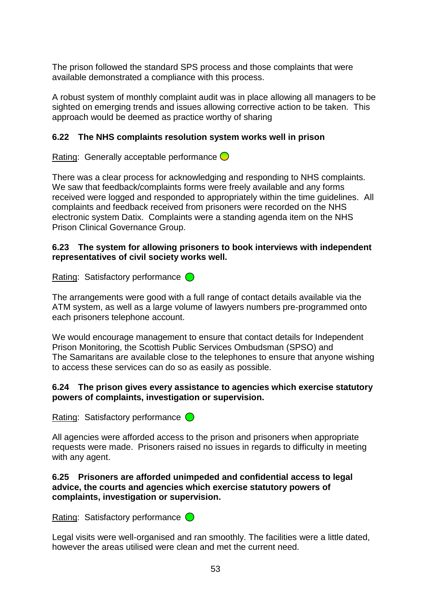The prison followed the standard SPS process and those complaints that were available demonstrated a compliance with this process.

A robust system of monthly complaint audit was in place allowing all managers to be sighted on emerging trends and issues allowing corrective action to be taken. This approach would be deemed as practice worthy of sharing

# **6.22 The NHS complaints resolution system works well in prison**

Rating: Generally acceptable performance  $\bigcirc$ 

There was a clear process for acknowledging and responding to NHS complaints. We saw that feedback/complaints forms were freely available and any forms received were logged and responded to appropriately within the time guidelines. All complaints and feedback received from prisoners were recorded on the NHS electronic system Datix. Complaints were a standing agenda item on the NHS Prison Clinical Governance Group.

### **6.23 The system for allowing prisoners to book interviews with independent representatives of civil society works well.**

Rating: Satisfactory performance  $\bigcirc$ 

The arrangements were good with a full range of contact details available via the ATM system, as well as a large volume of lawyers numbers pre-programmed onto each prisoners telephone account.

We would encourage management to ensure that contact details for Independent Prison Monitoring, the Scottish Public Services Ombudsman (SPSO) and The Samaritans are available close to the telephones to ensure that anyone wishing to access these services can do so as easily as possible.

# **6.24 The prison gives every assistance to agencies which exercise statutory powers of complaints, investigation or supervision.**

Rating: Satisfactory performance  $\bigcirc$ 

All agencies were afforded access to the prison and prisoners when appropriate requests were made. Prisoners raised no issues in regards to difficulty in meeting with any agent.

### **6.25 Prisoners are afforded unimpeded and confidential access to legal advice, the courts and agencies which exercise statutory powers of complaints, investigation or supervision.**

Rating: Satisfactory performance  $\bigcirc$ 

Legal visits were well-organised and ran smoothly. The facilities were a little dated, however the areas utilised were clean and met the current need.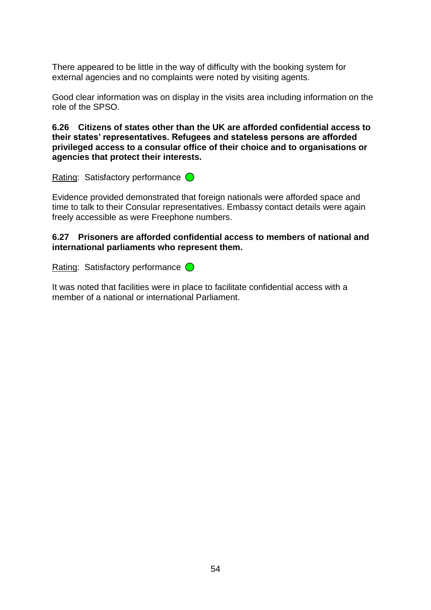There appeared to be little in the way of difficulty with the booking system for external agencies and no complaints were noted by visiting agents.

Good clear information was on display in the visits area including information on the role of the SPSO.

**6.26 Citizens of states other than the UK are afforded confidential access to their states' representatives. Refugees and stateless persons are afforded privileged access to a consular office of their choice and to organisations or agencies that protect their interests.**

Rating: Satisfactory performance  $\bigcirc$ 

Evidence provided demonstrated that foreign nationals were afforded space and time to talk to their Consular representatives. Embassy contact details were again freely accessible as were Freephone numbers.

#### **6.27 Prisoners are afforded confidential access to members of national and international parliaments who represent them.**

Rating: Satisfactory performance  $\bigcirc$ 

It was noted that facilities were in place to facilitate confidential access with a member of a national or international Parliament.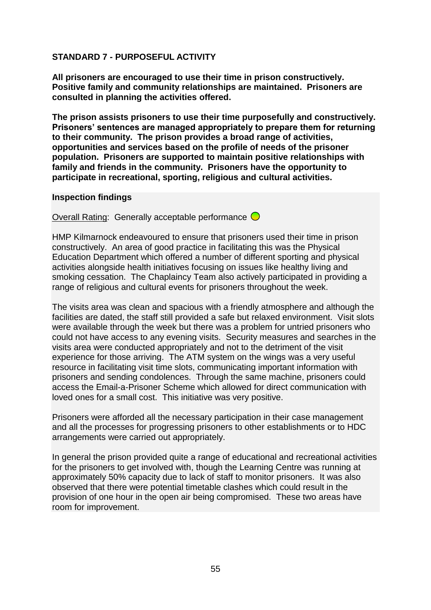## **STANDARD 7 - PURPOSEFUL ACTIVITY**

**All prisoners are encouraged to use their time in prison constructively. Positive family and community relationships are maintained. Prisoners are consulted in planning the activities offered.**

**The prison assists prisoners to use their time purposefully and constructively. Prisoners' sentences are managed appropriately to prepare them for returning to their community. The prison provides a broad range of activities, opportunities and services based on the profile of needs of the prisoner population. Prisoners are supported to maintain positive relationships with family and friends in the community. Prisoners have the opportunity to participate in recreational, sporting, religious and cultural activities.**

#### **Inspection findings**

Overall Rating: Generally acceptable performance  $\bigcirc$ 

HMP Kilmarnock endeavoured to ensure that prisoners used their time in prison constructively. An area of good practice in facilitating this was the Physical Education Department which offered a number of different sporting and physical activities alongside health initiatives focusing on issues like healthy living and smoking cessation. The Chaplaincy Team also actively participated in providing a range of religious and cultural events for prisoners throughout the week.

The visits area was clean and spacious with a friendly atmosphere and although the facilities are dated, the staff still provided a safe but relaxed environment. Visit slots were available through the week but there was a problem for untried prisoners who could not have access to any evening visits. Security measures and searches in the visits area were conducted appropriately and not to the detriment of the visit experience for those arriving. The ATM system on the wings was a very useful resource in facilitating visit time slots, communicating important information with prisoners and sending condolences. Through the same machine, prisoners could access the Email-a-Prisoner Scheme which allowed for direct communication with loved ones for a small cost. This initiative was very positive.

Prisoners were afforded all the necessary participation in their case management and all the processes for progressing prisoners to other establishments or to HDC arrangements were carried out appropriately.

In general the prison provided quite a range of educational and recreational activities for the prisoners to get involved with, though the Learning Centre was running at approximately 50% capacity due to lack of staff to monitor prisoners. It was also observed that there were potential timetable clashes which could result in the provision of one hour in the open air being compromised. These two areas have room for improvement.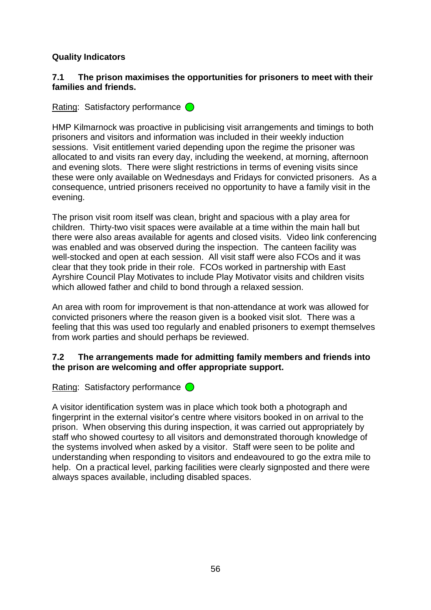## **Quality Indicators**

#### **7.1 The prison maximises the opportunities for prisoners to meet with their families and friends.**

Rating: Satisfactory performance  $\bigcirc$ 

HMP Kilmarnock was proactive in publicising visit arrangements and timings to both prisoners and visitors and information was included in their weekly induction sessions. Visit entitlement varied depending upon the regime the prisoner was allocated to and visits ran every day, including the weekend, at morning, afternoon and evening slots. There were slight restrictions in terms of evening visits since these were only available on Wednesdays and Fridays for convicted prisoners. As a consequence, untried prisoners received no opportunity to have a family visit in the evening.

The prison visit room itself was clean, bright and spacious with a play area for children. Thirty-two visit spaces were available at a time within the main hall but there were also areas available for agents and closed visits. Video link conferencing was enabled and was observed during the inspection. The canteen facility was well-stocked and open at each session. All visit staff were also FCOs and it was clear that they took pride in their role. FCOs worked in partnership with East Ayrshire Council Play Motivates to include Play Motivator visits and children visits which allowed father and child to bond through a relaxed session.

An area with room for improvement is that non-attendance at work was allowed for convicted prisoners where the reason given is a booked visit slot. There was a feeling that this was used too regularly and enabled prisoners to exempt themselves from work parties and should perhaps be reviewed.

#### **7.2 The arrangements made for admitting family members and friends into the prison are welcoming and offer appropriate support.**

Rating: Satisfactory performance  $\bigcirc$ 

A visitor identification system was in place which took both a photograph and fingerprint in the external visitor"s centre where visitors booked in on arrival to the prison. When observing this during inspection, it was carried out appropriately by staff who showed courtesy to all visitors and demonstrated thorough knowledge of the systems involved when asked by a visitor. Staff were seen to be polite and understanding when responding to visitors and endeavoured to go the extra mile to help. On a practical level, parking facilities were clearly signposted and there were always spaces available, including disabled spaces.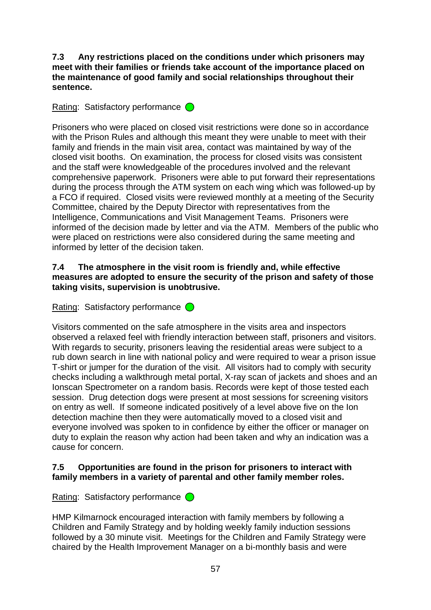**7.3 Any restrictions placed on the conditions under which prisoners may meet with their families or friends take account of the importance placed on the maintenance of good family and social relationships throughout their sentence.**

Rating: Satisfactory performance  $\bigcirc$ 

Prisoners who were placed on closed visit restrictions were done so in accordance with the Prison Rules and although this meant they were unable to meet with their family and friends in the main visit area, contact was maintained by way of the closed visit booths. On examination, the process for closed visits was consistent and the staff were knowledgeable of the procedures involved and the relevant comprehensive paperwork. Prisoners were able to put forward their representations during the process through the ATM system on each wing which was followed-up by a FCO if required. Closed visits were reviewed monthly at a meeting of the Security Committee, chaired by the Deputy Director with representatives from the Intelligence, Communications and Visit Management Teams. Prisoners were informed of the decision made by letter and via the ATM. Members of the public who were placed on restrictions were also considered during the same meeting and informed by letter of the decision taken.

#### **7.4 The atmosphere in the visit room is friendly and, while effective measures are adopted to ensure the security of the prison and safety of those taking visits, supervision is unobtrusive.**

Rating: Satisfactory performance  $\bigcirc$ 

Visitors commented on the safe atmosphere in the visits area and inspectors observed a relaxed feel with friendly interaction between staff, prisoners and visitors. With regards to security, prisoners leaving the residential areas were subject to a rub down search in line with national policy and were required to wear a prison issue T-shirt or jumper for the duration of the visit. All visitors had to comply with security checks including a walkthrough metal portal, X-ray scan of jackets and shoes and an Ionscan Spectrometer on a random basis. Records were kept of those tested each session. Drug detection dogs were present at most sessions for screening visitors on entry as well. If someone indicated positively of a level above five on the Ion detection machine then they were automatically moved to a closed visit and everyone involved was spoken to in confidence by either the officer or manager on duty to explain the reason why action had been taken and why an indication was a cause for concern.

### **7.5 Opportunities are found in the prison for prisoners to interact with family members in a variety of parental and other family member roles.**

Rating: Satisfactory performance  $\bigcirc$ 

HMP Kilmarnock encouraged interaction with family members by following a Children and Family Strategy and by holding weekly family induction sessions followed by a 30 minute visit. Meetings for the Children and Family Strategy were chaired by the Health Improvement Manager on a bi-monthly basis and were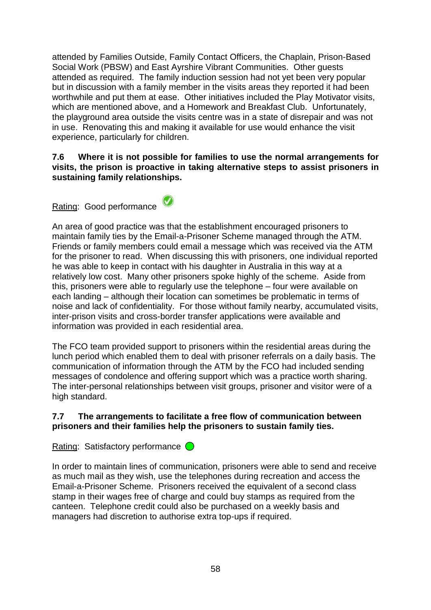attended by Families Outside, Family Contact Officers, the Chaplain, Prison-Based Social Work (PBSW) and East Ayrshire Vibrant Communities. Other guests attended as required. The family induction session had not yet been very popular but in discussion with a family member in the visits areas they reported it had been worthwhile and put them at ease. Other initiatives included the Play Motivator visits, which are mentioned above, and a Homework and Breakfast Club. Unfortunately, the playground area outside the visits centre was in a state of disrepair and was not in use. Renovating this and making it available for use would enhance the visit experience, particularly for children.

#### **7.6 Where it is not possible for families to use the normal arrangements for visits, the prison is proactive in taking alternative steps to assist prisoners in sustaining family relationships.**

Rating: Good performance

An area of good practice was that the establishment encouraged prisoners to maintain family ties by the Email-a-Prisoner Scheme managed through the ATM. Friends or family members could email a message which was received via the ATM for the prisoner to read. When discussing this with prisoners, one individual reported he was able to keep in contact with his daughter in Australia in this way at a relatively low cost. Many other prisoners spoke highly of the scheme. Aside from this, prisoners were able to regularly use the telephone – four were available on each landing – although their location can sometimes be problematic in terms of noise and lack of confidentiality. For those without family nearby, accumulated visits, inter-prison visits and cross-border transfer applications were available and information was provided in each residential area.

The FCO team provided support to prisoners within the residential areas during the lunch period which enabled them to deal with prisoner referrals on a daily basis. The communication of information through the ATM by the FCO had included sending messages of condolence and offering support which was a practice worth sharing. The inter-personal relationships between visit groups, prisoner and visitor were of a high standard.

### **7.7 The arrangements to facilitate a free flow of communication between prisoners and their families help the prisoners to sustain family ties.**

Rating: Satisfactory performance  $\bigcirc$ 

In order to maintain lines of communication, prisoners were able to send and receive as much mail as they wish, use the telephones during recreation and access the Email-a-Prisoner Scheme. Prisoners received the equivalent of a second class stamp in their wages free of charge and could buy stamps as required from the canteen. Telephone credit could also be purchased on a weekly basis and managers had discretion to authorise extra top-ups if required.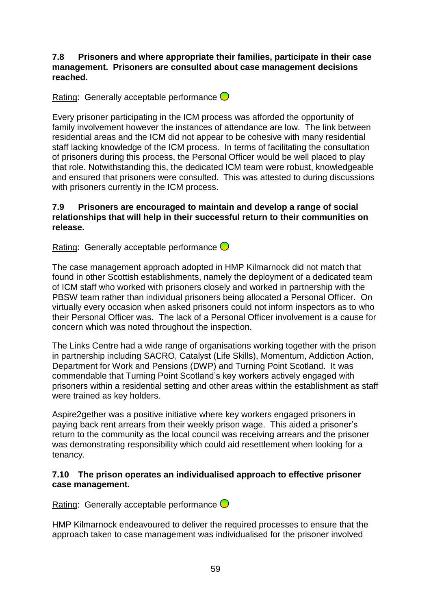**7.8 Prisoners and where appropriate their families, participate in their case management. Prisoners are consulted about case management decisions reached.**

Rating: Generally acceptable performance  $\bigcirc$ 

Every prisoner participating in the ICM process was afforded the opportunity of family involvement however the instances of attendance are low. The link between residential areas and the ICM did not appear to be cohesive with many residential staff lacking knowledge of the ICM process. In terms of facilitating the consultation of prisoners during this process, the Personal Officer would be well placed to play that role. Notwithstanding this, the dedicated ICM team were robust, knowledgeable and ensured that prisoners were consulted. This was attested to during discussions with prisoners currently in the ICM process.

#### **7.9 Prisoners are encouraged to maintain and develop a range of social relationships that will help in their successful return to their communities on release.**

Rating: Generally acceptable performance  $\bigcirc$ 

The case management approach adopted in HMP Kilmarnock did not match that found in other Scottish establishments, namely the deployment of a dedicated team of ICM staff who worked with prisoners closely and worked in partnership with the PBSW team rather than individual prisoners being allocated a Personal Officer. On virtually every occasion when asked prisoners could not inform inspectors as to who their Personal Officer was. The lack of a Personal Officer involvement is a cause for concern which was noted throughout the inspection.

The Links Centre had a wide range of organisations working together with the prison in partnership including SACRO, Catalyst (Life Skills), Momentum, Addiction Action, Department for Work and Pensions (DWP) and Turning Point Scotland. It was commendable that Turning Point Scotland"s key workers actively engaged with prisoners within a residential setting and other areas within the establishment as staff were trained as key holders.

Aspire2gether was a positive initiative where key workers engaged prisoners in paying back rent arrears from their weekly prison wage. This aided a prisoner"s return to the community as the local council was receiving arrears and the prisoner was demonstrating responsibility which could aid resettlement when looking for a tenancy.

#### **7.10 The prison operates an individualised approach to effective prisoner case management.**

Rating: Generally acceptable performance  $\bigcirc$ 

HMP Kilmarnock endeavoured to deliver the required processes to ensure that the approach taken to case management was individualised for the prisoner involved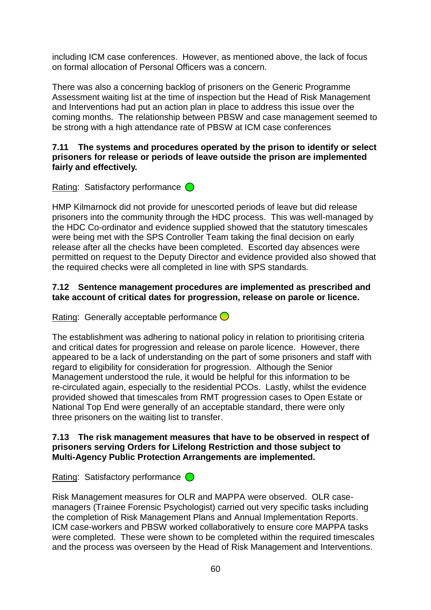including ICM case conferences. However, as mentioned above, the lack of focus on formal allocation of Personal Officers was a concern.

There was also a concerning backlog of prisoners on the Generic Programme Assessment waiting list at the time of inspection but the Head of Risk Management and Interventions had put an action plan in place to address this issue over the coming months. The relationship between PBSW and case management seemed to be strong with a high attendance rate of PBSW at ICM case conferences

#### **7.11 The systems and procedures operated by the prison to identify or select prisoners for release or periods of leave outside the prison are implemented fairly and effectively.**

Rating: Satisfactory performance  $\bigcirc$ 

HMP Kilmarnock did not provide for unescorted periods of leave but did release prisoners into the community through the HDC process. This was well-managed by the HDC Co-ordinator and evidence supplied showed that the statutory timescales were being met with the SPS Controller Team taking the final decision on early release after all the checks have been completed. Escorted day absences were permitted on request to the Deputy Director and evidence provided also showed that the required checks were all completed in line with SPS standards.

# **7.12 Sentence management procedures are implemented as prescribed and take account of critical dates for progression, release on parole or licence.**

Rating: Generally acceptable performance  $\bigcirc$ 

The establishment was adhering to national policy in relation to prioritising criteria and critical dates for progression and release on parole licence. However, there appeared to be a lack of understanding on the part of some prisoners and staff with regard to eligibility for consideration for progression. Although the Senior Management understood the rule, it would be helpful for this information to be re-circulated again, especially to the residential PCOs. Lastly, whilst the evidence provided showed that timescales from RMT progression cases to Open Estate or National Top End were generally of an acceptable standard, there were only three prisoners on the waiting list to transfer.

### **7.13 The risk management measures that have to be observed in respect of prisoners serving Orders for Lifelong Restriction and those subject to Multi-Agency Public Protection Arrangements are implemented.**

Rating: Satisfactory performance  $\bigcirc$ 

Risk Management measures for OLR and MAPPA were observed. OLR casemanagers (Trainee Forensic Psychologist) carried out very specific tasks including the completion of Risk Management Plans and Annual Implementation Reports. ICM case-workers and PBSW worked collaboratively to ensure core MAPPA tasks were completed. These were shown to be completed within the required timescales and the process was overseen by the Head of Risk Management and Interventions.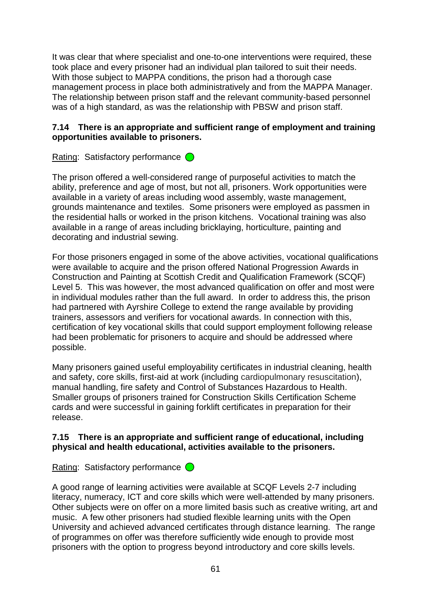It was clear that where specialist and one-to-one interventions were required, these took place and every prisoner had an individual plan tailored to suit their needs. With those subject to MAPPA conditions, the prison had a thorough case management process in place both administratively and from the MAPPA Manager. The relationship between prison staff and the relevant community-based personnel was of a high standard, as was the relationship with PBSW and prison staff.

#### **7.14 There is an appropriate and sufficient range of employment and training opportunities available to prisoners.**

Rating: Satisfactory performance  $\bigcirc$ 

The prison offered a well-considered range of purposeful activities to match the ability, preference and age of most, but not all, prisoners. Work opportunities were available in a variety of areas including wood assembly, waste management, grounds maintenance and textiles. Some prisoners were employed as passmen in the residential halls or worked in the prison kitchens. Vocational training was also available in a range of areas including bricklaying, horticulture, painting and decorating and industrial sewing.

For those prisoners engaged in some of the above activities, vocational qualifications were available to acquire and the prison offered National Progression Awards in Construction and Painting at Scottish Credit and Qualification Framework (SCQF) Level 5. This was however, the most advanced qualification on offer and most were in individual modules rather than the full award. In order to address this, the prison had partnered with Ayrshire College to extend the range available by providing trainers, assessors and verifiers for vocational awards. In connection with this, certification of key vocational skills that could support employment following release had been problematic for prisoners to acquire and should be addressed where possible.

Many prisoners gained useful employability certificates in industrial cleaning, health and safety, core skills, first-aid at work (including cardiopulmonary resuscitation), manual handling, fire safety and Control of Substances Hazardous to Health. Smaller groups of prisoners trained for Construction Skills Certification Scheme cards and were successful in gaining forklift certificates in preparation for their release.

### **7.15 There is an appropriate and sufficient range of educational, including physical and health educational, activities available to the prisoners.**

Rating: Satisfactory performance  $\bigcirc$ 

A good range of learning activities were available at SCQF Levels 2-7 including literacy, numeracy, ICT and core skills which were well-attended by many prisoners. Other subjects were on offer on a more limited basis such as creative writing, art and music. A few other prisoners had studied flexible learning units with the Open University and achieved advanced certificates through distance learning. The range of programmes on offer was therefore sufficiently wide enough to provide most prisoners with the option to progress beyond introductory and core skills levels.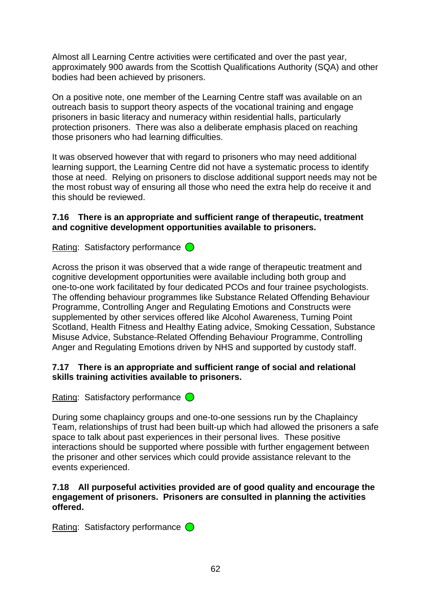Almost all Learning Centre activities were certificated and over the past year, approximately 900 awards from the Scottish Qualifications Authority (SQA) and other bodies had been achieved by prisoners.

On a positive note, one member of the Learning Centre staff was available on an outreach basis to support theory aspects of the vocational training and engage prisoners in basic literacy and numeracy within residential halls, particularly protection prisoners. There was also a deliberate emphasis placed on reaching those prisoners who had learning difficulties.

It was observed however that with regard to prisoners who may need additional learning support, the Learning Centre did not have a systematic process to identify those at need. Relying on prisoners to disclose additional support needs may not be the most robust way of ensuring all those who need the extra help do receive it and this should be reviewed.

#### **7.16 There is an appropriate and sufficient range of therapeutic, treatment and cognitive development opportunities available to prisoners.**

Rating: Satisfactory performance  $\bigcirc$ 

Across the prison it was observed that a wide range of therapeutic treatment and cognitive development opportunities were available including both group and one-to-one work facilitated by four dedicated PCOs and four trainee psychologists. The offending behaviour programmes like Substance Related Offending Behaviour Programme, Controlling Anger and Regulating Emotions and Constructs were supplemented by other services offered like Alcohol Awareness, Turning Point Scotland, Health Fitness and Healthy Eating advice, Smoking Cessation, Substance Misuse Advice, Substance-Related Offending Behaviour Programme, Controlling Anger and Regulating Emotions driven by NHS and supported by custody staff.

### **7.17 There is an appropriate and sufficient range of social and relational skills training activities available to prisoners.**

Rating: Satisfactory performance  $\bigcirc$ 

During some chaplaincy groups and one-to-one sessions run by the Chaplaincy Team, relationships of trust had been built-up which had allowed the prisoners a safe space to talk about past experiences in their personal lives. These positive interactions should be supported where possible with further engagement between the prisoner and other services which could provide assistance relevant to the events experienced.

#### **7.18 All purposeful activities provided are of good quality and encourage the engagement of prisoners. Prisoners are consulted in planning the activities offered.**

Rating: Satisfactory performance  $\bigcirc$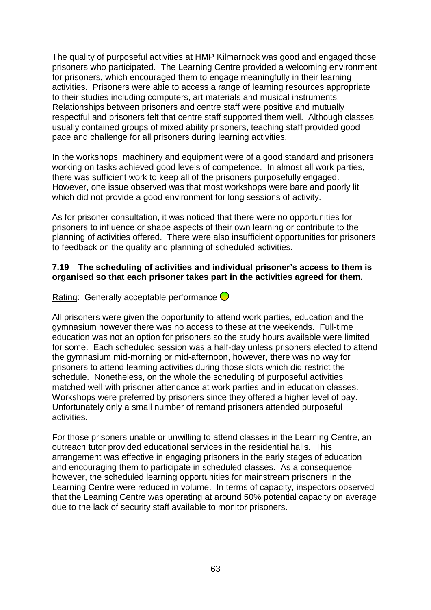The quality of purposeful activities at HMP Kilmarnock was good and engaged those prisoners who participated. The Learning Centre provided a welcoming environment for prisoners, which encouraged them to engage meaningfully in their learning activities. Prisoners were able to access a range of learning resources appropriate to their studies including computers, art materials and musical instruments. Relationships between prisoners and centre staff were positive and mutually respectful and prisoners felt that centre staff supported them well. Although classes usually contained groups of mixed ability prisoners, teaching staff provided good pace and challenge for all prisoners during learning activities.

In the workshops, machinery and equipment were of a good standard and prisoners working on tasks achieved good levels of competence. In almost all work parties, there was sufficient work to keep all of the prisoners purposefully engaged. However, one issue observed was that most workshops were bare and poorly lit which did not provide a good environment for long sessions of activity.

As for prisoner consultation, it was noticed that there were no opportunities for prisoners to influence or shape aspects of their own learning or contribute to the planning of activities offered. There were also insufficient opportunities for prisoners to feedback on the quality and planning of scheduled activities.

#### **7.19 The scheduling of activities and individual prisoner's access to them is organised so that each prisoner takes part in the activities agreed for them.**

Rating: Generally acceptable performance  $\bigcirc$ 

All prisoners were given the opportunity to attend work parties, education and the gymnasium however there was no access to these at the weekends. Full-time education was not an option for prisoners so the study hours available were limited for some. Each scheduled session was a half-day unless prisoners elected to attend the gymnasium mid-morning or mid-afternoon, however, there was no way for prisoners to attend learning activities during those slots which did restrict the schedule. Nonetheless, on the whole the scheduling of purposeful activities matched well with prisoner attendance at work parties and in education classes. Workshops were preferred by prisoners since they offered a higher level of pay. Unfortunately only a small number of remand prisoners attended purposeful activities.

For those prisoners unable or unwilling to attend classes in the Learning Centre, an outreach tutor provided educational services in the residential halls. This arrangement was effective in engaging prisoners in the early stages of education and encouraging them to participate in scheduled classes. As a consequence however, the scheduled learning opportunities for mainstream prisoners in the Learning Centre were reduced in volume. In terms of capacity, inspectors observed that the Learning Centre was operating at around 50% potential capacity on average due to the lack of security staff available to monitor prisoners.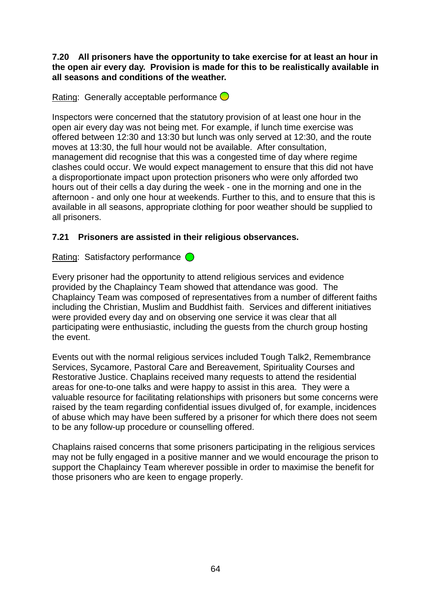**7.20 All prisoners have the opportunity to take exercise for at least an hour in the open air every day. Provision is made for this to be realistically available in all seasons and conditions of the weather.**

Rating: Generally acceptable performance  $\bigcirc$ 

Inspectors were concerned that the statutory provision of at least one hour in the open air every day was not being met. For example, if lunch time exercise was offered between 12:30 and 13:30 but lunch was only served at 12:30, and the route moves at 13:30, the full hour would not be available. After consultation, management did recognise that this was a congested time of day where regime clashes could occur. We would expect management to ensure that this did not have a disproportionate impact upon protection prisoners who were only afforded two hours out of their cells a day during the week - one in the morning and one in the afternoon - and only one hour at weekends. Further to this, and to ensure that this is available in all seasons, appropriate clothing for poor weather should be supplied to all prisoners.

### **7.21 Prisoners are assisted in their religious observances.**

Rating: Satisfactory performance  $\bigcirc$ 

Every prisoner had the opportunity to attend religious services and evidence provided by the Chaplaincy Team showed that attendance was good. The Chaplaincy Team was composed of representatives from a number of different faiths including the Christian, Muslim and Buddhist faith. Services and different initiatives were provided every day and on observing one service it was clear that all participating were enthusiastic, including the guests from the church group hosting the event.

Events out with the normal religious services included Tough Talk2, Remembrance Services, Sycamore, Pastoral Care and Bereavement, Spirituality Courses and Restorative Justice. Chaplains received many requests to attend the residential areas for one-to-one talks and were happy to assist in this area. They were a valuable resource for facilitating relationships with prisoners but some concerns were raised by the team regarding confidential issues divulged of, for example, incidences of abuse which may have been suffered by a prisoner for which there does not seem to be any follow-up procedure or counselling offered.

Chaplains raised concerns that some prisoners participating in the religious services may not be fully engaged in a positive manner and we would encourage the prison to support the Chaplaincy Team wherever possible in order to maximise the benefit for those prisoners who are keen to engage properly.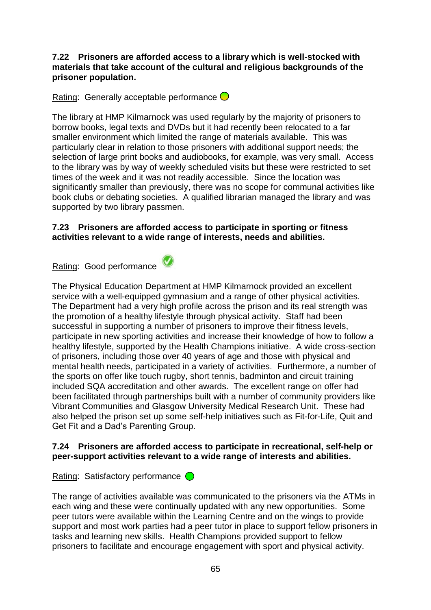#### **7.22 Prisoners are afforded access to a library which is well-stocked with materials that take account of the cultural and religious backgrounds of the prisoner population.**

Rating: Generally acceptable performance  $\bigcirc$ 

The library at HMP Kilmarnock was used regularly by the majority of prisoners to borrow books, legal texts and DVDs but it had recently been relocated to a far smaller environment which limited the range of materials available. This was particularly clear in relation to those prisoners with additional support needs; the selection of large print books and audiobooks, for example, was very small. Access to the library was by way of weekly scheduled visits but these were restricted to set times of the week and it was not readily accessible. Since the location was significantly smaller than previously, there was no scope for communal activities like book clubs or debating societies. A qualified librarian managed the library and was supported by two library passmen.

#### **7.23 Prisoners are afforded access to participate in sporting or fitness activities relevant to a wide range of interests, needs and abilities.**

Rating: Good performance

The Physical Education Department at HMP Kilmarnock provided an excellent service with a well-equipped gymnasium and a range of other physical activities. The Department had a very high profile across the prison and its real strength was the promotion of a healthy lifestyle through physical activity. Staff had been successful in supporting a number of prisoners to improve their fitness levels, participate in new sporting activities and increase their knowledge of how to follow a healthy lifestyle, supported by the Health Champions initiative. A wide cross-section of prisoners, including those over 40 years of age and those with physical and mental health needs, participated in a variety of activities. Furthermore, a number of the sports on offer like touch rugby, short tennis, badminton and circuit training included SQA accreditation and other awards. The excellent range on offer had been facilitated through partnerships built with a number of community providers like Vibrant Communities and Glasgow University Medical Research Unit. These had also helped the prison set up some self-help initiatives such as Fit-for-Life, Quit and Get Fit and a Dad"s Parenting Group.

#### **7.24 Prisoners are afforded access to participate in recreational, self-help or peer-support activities relevant to a wide range of interests and abilities.**

Rating: Satisfactory performance  $\bigcirc$ 

The range of activities available was communicated to the prisoners via the ATMs in each wing and these were continually updated with any new opportunities. Some peer tutors were available within the Learning Centre and on the wings to provide support and most work parties had a peer tutor in place to support fellow prisoners in tasks and learning new skills. Health Champions provided support to fellow prisoners to facilitate and encourage engagement with sport and physical activity.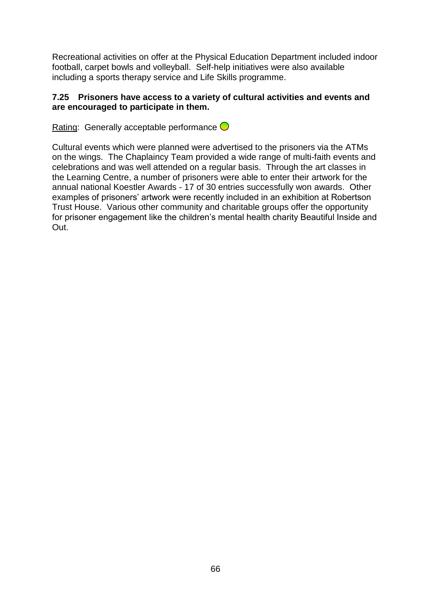Recreational activities on offer at the Physical Education Department included indoor football, carpet bowls and volleyball. Self-help initiatives were also available including a sports therapy service and Life Skills programme.

#### **7.25 Prisoners have access to a variety of cultural activities and events and are encouraged to participate in them.**

Rating: Generally acceptable performance  $\bigcirc$ 

Cultural events which were planned were advertised to the prisoners via the ATMs on the wings. The Chaplaincy Team provided a wide range of multi-faith events and celebrations and was well attended on a regular basis. Through the art classes in the Learning Centre, a number of prisoners were able to enter their artwork for the annual national Koestler Awards - 17 of 30 entries successfully won awards. Other examples of prisoners' artwork were recently included in an exhibition at Robertson Trust House. Various other community and charitable groups offer the opportunity for prisoner engagement like the children"s mental health charity Beautiful Inside and Out.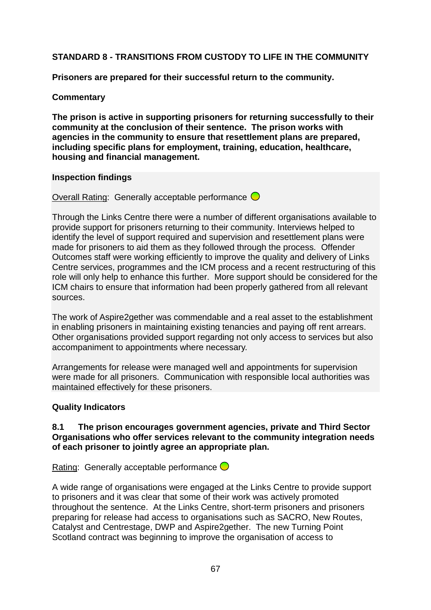# **STANDARD 8 - TRANSITIONS FROM CUSTODY TO LIFE IN THE COMMUNITY**

**Prisoners are prepared for their successful return to the community.**

### **Commentary**

**The prison is active in supporting prisoners for returning successfully to their community at the conclusion of their sentence. The prison works with agencies in the community to ensure that resettlement plans are prepared, including specific plans for employment, training, education, healthcare, housing and financial management.**

#### **Inspection findings**

Overall Rating: Generally acceptable performance  $\bigcirc$ 

Through the Links Centre there were a number of different organisations available to provide support for prisoners returning to their community. Interviews helped to identify the level of support required and supervision and resettlement plans were made for prisoners to aid them as they followed through the process. Offender Outcomes staff were working efficiently to improve the quality and delivery of Links Centre services, programmes and the ICM process and a recent restructuring of this role will only help to enhance this further. More support should be considered for the ICM chairs to ensure that information had been properly gathered from all relevant sources.

The work of Aspire2gether was commendable and a real asset to the establishment in enabling prisoners in maintaining existing tenancies and paying off rent arrears. Other organisations provided support regarding not only access to services but also accompaniment to appointments where necessary.

Arrangements for release were managed well and appointments for supervision were made for all prisoners. Communication with responsible local authorities was maintained effectively for these prisoners.

#### **Quality Indicators**

#### **8.1 The prison encourages government agencies, private and Third Sector Organisations who offer services relevant to the community integration needs of each prisoner to jointly agree an appropriate plan.**

Rating: Generally acceptable performance  $\bigcirc$ 

A wide range of organisations were engaged at the Links Centre to provide support to prisoners and it was clear that some of their work was actively promoted throughout the sentence. At the Links Centre, short-term prisoners and prisoners preparing for release had access to organisations such as SACRO, New Routes, Catalyst and Centrestage, DWP and Aspire2gether. The new Turning Point Scotland contract was beginning to improve the organisation of access to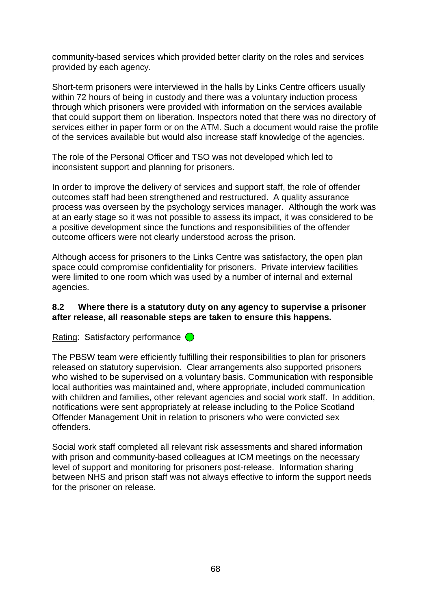community-based services which provided better clarity on the roles and services provided by each agency.

Short-term prisoners were interviewed in the halls by Links Centre officers usually within 72 hours of being in custody and there was a voluntary induction process through which prisoners were provided with information on the services available that could support them on liberation. Inspectors noted that there was no directory of services either in paper form or on the ATM. Such a document would raise the profile of the services available but would also increase staff knowledge of the agencies.

The role of the Personal Officer and TSO was not developed which led to inconsistent support and planning for prisoners.

In order to improve the delivery of services and support staff, the role of offender outcomes staff had been strengthened and restructured. A quality assurance process was overseen by the psychology services manager. Although the work was at an early stage so it was not possible to assess its impact, it was considered to be a positive development since the functions and responsibilities of the offender outcome officers were not clearly understood across the prison.

Although access for prisoners to the Links Centre was satisfactory, the open plan space could compromise confidentiality for prisoners. Private interview facilities were limited to one room which was used by a number of internal and external agencies.

#### **8.2 Where there is a statutory duty on any agency to supervise a prisoner after release, all reasonable steps are taken to ensure this happens.**

Rating: Satisfactory performance  $\bigcirc$ 

The PBSW team were efficiently fulfilling their responsibilities to plan for prisoners released on statutory supervision. Clear arrangements also supported prisoners who wished to be supervised on a voluntary basis. Communication with responsible local authorities was maintained and, where appropriate, included communication with children and families, other relevant agencies and social work staff. In addition, notifications were sent appropriately at release including to the Police Scotland Offender Management Unit in relation to prisoners who were convicted sex offenders.

Social work staff completed all relevant risk assessments and shared information with prison and community-based colleagues at ICM meetings on the necessary level of support and monitoring for prisoners post-release. Information sharing between NHS and prison staff was not always effective to inform the support needs for the prisoner on release.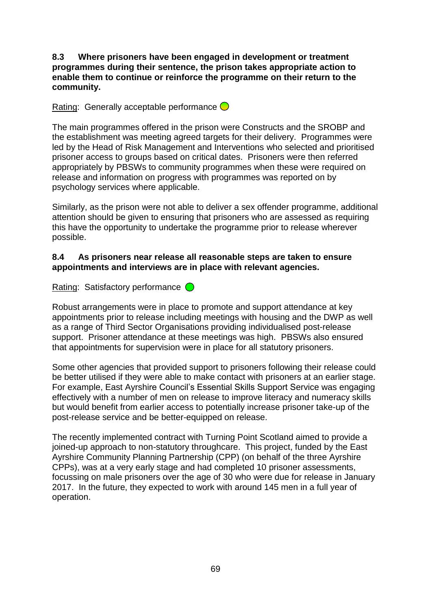**8.3 Where prisoners have been engaged in development or treatment programmes during their sentence, the prison takes appropriate action to enable them to continue or reinforce the programme on their return to the community.**

Rating: Generally acceptable performance  $\bigcirc$ 

The main programmes offered in the prison were Constructs and the SROBP and the establishment was meeting agreed targets for their delivery. Programmes were led by the Head of Risk Management and Interventions who selected and prioritised prisoner access to groups based on critical dates. Prisoners were then referred appropriately by PBSWs to community programmes when these were required on release and information on progress with programmes was reported on by psychology services where applicable.

Similarly, as the prison were not able to deliver a sex offender programme, additional attention should be given to ensuring that prisoners who are assessed as requiring this have the opportunity to undertake the programme prior to release wherever possible.

#### **8.4 As prisoners near release all reasonable steps are taken to ensure appointments and interviews are in place with relevant agencies.**

Rating: Satisfactory performance  $\bigcirc$ 

Robust arrangements were in place to promote and support attendance at key appointments prior to release including meetings with housing and the DWP as well as a range of Third Sector Organisations providing individualised post-release support. Prisoner attendance at these meetings was high. PBSWs also ensured that appointments for supervision were in place for all statutory prisoners.

Some other agencies that provided support to prisoners following their release could be better utilised if they were able to make contact with prisoners at an earlier stage. For example, East Ayrshire Council"s Essential Skills Support Service was engaging effectively with a number of men on release to improve literacy and numeracy skills but would benefit from earlier access to potentially increase prisoner take-up of the post-release service and be better-equipped on release.

The recently implemented contract with Turning Point Scotland aimed to provide a joined-up approach to non-statutory throughcare. This project, funded by the East Ayrshire Community Planning Partnership (CPP) (on behalf of the three Ayrshire CPPs), was at a very early stage and had completed 10 prisoner assessments, focussing on male prisoners over the age of 30 who were due for release in January 2017. In the future, they expected to work with around 145 men in a full year of operation.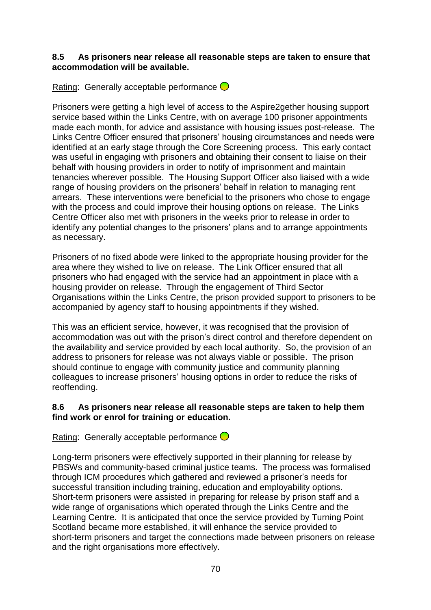#### **8.5 As prisoners near release all reasonable steps are taken to ensure that accommodation will be available.**

Rating: Generally acceptable performance  $\bigcirc$ 

Prisoners were getting a high level of access to the Aspire2gether housing support service based within the Links Centre, with on average 100 prisoner appointments made each month, for advice and assistance with housing issues post-release. The Links Centre Officer ensured that prisoners" housing circumstances and needs were identified at an early stage through the Core Screening process. This early contact was useful in engaging with prisoners and obtaining their consent to liaise on their behalf with housing providers in order to notify of imprisonment and maintain tenancies wherever possible. The Housing Support Officer also liaised with a wide range of housing providers on the prisoners' behalf in relation to managing rent arrears. These interventions were beneficial to the prisoners who chose to engage with the process and could improve their housing options on release. The Links Centre Officer also met with prisoners in the weeks prior to release in order to identify any potential changes to the prisoners' plans and to arrange appointments as necessary.

Prisoners of no fixed abode were linked to the appropriate housing provider for the area where they wished to live on release. The Link Officer ensured that all prisoners who had engaged with the service had an appointment in place with a housing provider on release. Through the engagement of Third Sector Organisations within the Links Centre, the prison provided support to prisoners to be accompanied by agency staff to housing appointments if they wished.

This was an efficient service, however, it was recognised that the provision of accommodation was out with the prison"s direct control and therefore dependent on the availability and service provided by each local authority. So, the provision of an address to prisoners for release was not always viable or possible. The prison should continue to engage with community justice and community planning colleagues to increase prisoners" housing options in order to reduce the risks of reoffending.

### **8.6 As prisoners near release all reasonable steps are taken to help them find work or enrol for training or education.**

Rating: Generally acceptable performance  $\bigcirc$ 

Long-term prisoners were effectively supported in their planning for release by PBSWs and community-based criminal justice teams. The process was formalised through ICM procedures which gathered and reviewed a prisoner"s needs for successful transition including training, education and employability options. Short-term prisoners were assisted in preparing for release by prison staff and a wide range of organisations which operated through the Links Centre and the Learning Centre. It is anticipated that once the service provided by Turning Point Scotland became more established, it will enhance the service provided to short-term prisoners and target the connections made between prisoners on release and the right organisations more effectively.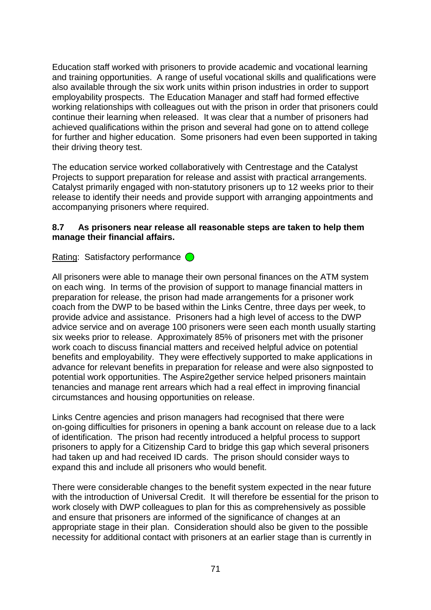Education staff worked with prisoners to provide academic and vocational learning and training opportunities. A range of useful vocational skills and qualifications were also available through the six work units within prison industries in order to support employability prospects. The Education Manager and staff had formed effective working relationships with colleagues out with the prison in order that prisoners could continue their learning when released. It was clear that a number of prisoners had achieved qualifications within the prison and several had gone on to attend college for further and higher education. Some prisoners had even been supported in taking their driving theory test.

The education service worked collaboratively with Centrestage and the Catalyst Projects to support preparation for release and assist with practical arrangements. Catalyst primarily engaged with non-statutory prisoners up to 12 weeks prior to their release to identify their needs and provide support with arranging appointments and accompanying prisoners where required.

#### **8.7 As prisoners near release all reasonable steps are taken to help them manage their financial affairs.**

Rating: Satisfactory performance  $\bigcirc$ 

All prisoners were able to manage their own personal finances on the ATM system on each wing. In terms of the provision of support to manage financial matters in preparation for release, the prison had made arrangements for a prisoner work coach from the DWP to be based within the Links Centre, three days per week, to provide advice and assistance. Prisoners had a high level of access to the DWP advice service and on average 100 prisoners were seen each month usually starting six weeks prior to release. Approximately 85% of prisoners met with the prisoner work coach to discuss financial matters and received helpful advice on potential benefits and employability. They were effectively supported to make applications in advance for relevant benefits in preparation for release and were also signposted to potential work opportunities. The Aspire2gether service helped prisoners maintain tenancies and manage rent arrears which had a real effect in improving financial circumstances and housing opportunities on release.

Links Centre agencies and prison managers had recognised that there were on-going difficulties for prisoners in opening a bank account on release due to a lack of identification. The prison had recently introduced a helpful process to support prisoners to apply for a Citizenship Card to bridge this gap which several prisoners had taken up and had received ID cards. The prison should consider ways to expand this and include all prisoners who would benefit.

There were considerable changes to the benefit system expected in the near future with the introduction of Universal Credit. It will therefore be essential for the prison to work closely with DWP colleagues to plan for this as comprehensively as possible and ensure that prisoners are informed of the significance of changes at an appropriate stage in their plan. Consideration should also be given to the possible necessity for additional contact with prisoners at an earlier stage than is currently in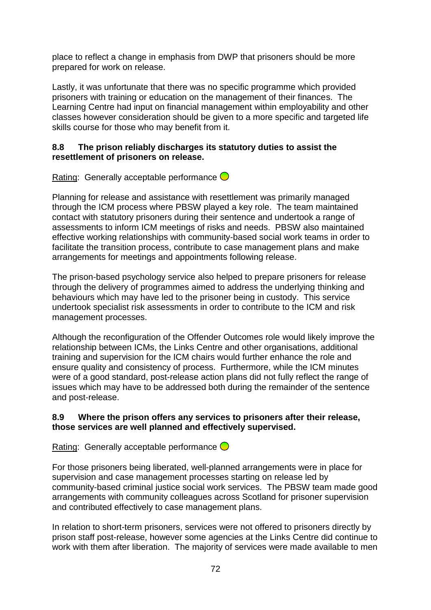place to reflect a change in emphasis from DWP that prisoners should be more prepared for work on release.

Lastly, it was unfortunate that there was no specific programme which provided prisoners with training or education on the management of their finances. The Learning Centre had input on financial management within employability and other classes however consideration should be given to a more specific and targeted life skills course for those who may benefit from it.

#### **8.8 The prison reliably discharges its statutory duties to assist the resettlement of prisoners on release.**

Rating: Generally acceptable performance  $\bigcirc$ 

Planning for release and assistance with resettlement was primarily managed through the ICM process where PBSW played a key role. The team maintained contact with statutory prisoners during their sentence and undertook a range of assessments to inform ICM meetings of risks and needs. PBSW also maintained effective working relationships with community-based social work teams in order to facilitate the transition process, contribute to case management plans and make arrangements for meetings and appointments following release.

The prison-based psychology service also helped to prepare prisoners for release through the delivery of programmes aimed to address the underlying thinking and behaviours which may have led to the prisoner being in custody. This service undertook specialist risk assessments in order to contribute to the ICM and risk management processes.

Although the reconfiguration of the Offender Outcomes role would likely improve the relationship between ICMs, the Links Centre and other organisations, additional training and supervision for the ICM chairs would further enhance the role and ensure quality and consistency of process. Furthermore, while the ICM minutes were of a good standard, post-release action plans did not fully reflect the range of issues which may have to be addressed both during the remainder of the sentence and post-release.

#### **8.9 Where the prison offers any services to prisoners after their release, those services are well planned and effectively supervised.**

Rating: Generally acceptable performance  $\bigcirc$ 

For those prisoners being liberated, well-planned arrangements were in place for supervision and case management processes starting on release led by community-based criminal justice social work services. The PBSW team made good arrangements with community colleagues across Scotland for prisoner supervision and contributed effectively to case management plans.

In relation to short-term prisoners, services were not offered to prisoners directly by prison staff post-release, however some agencies at the Links Centre did continue to work with them after liberation. The majority of services were made available to men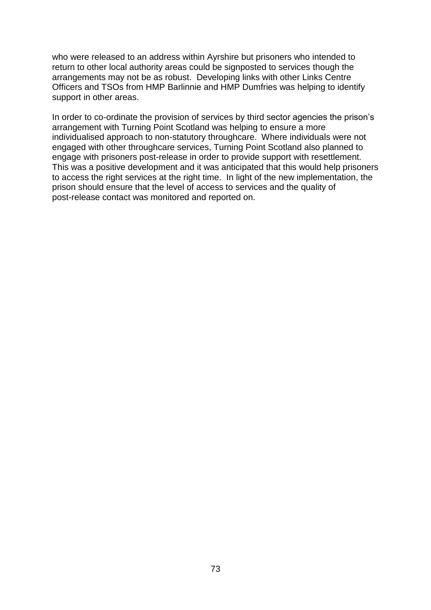who were released to an address within Ayrshire but prisoners who intended to return to other local authority areas could be signposted to services though the arrangements may not be as robust. Developing links with other Links Centre Officers and TSOs from HMP Barlinnie and HMP Dumfries was helping to identify support in other areas.

In order to co-ordinate the provision of services by third sector agencies the prison's arrangement with Turning Point Scotland was helping to ensure a more individualised approach to non-statutory throughcare. Where individuals were not engaged with other throughcare services, Turning Point Scotland also planned to engage with prisoners post-release in order to provide support with resettlement. This was a positive development and it was anticipated that this would help prisoners to access the right services at the right time. In light of the new implementation, the prison should ensure that the level of access to services and the quality of post-release contact was monitored and reported on.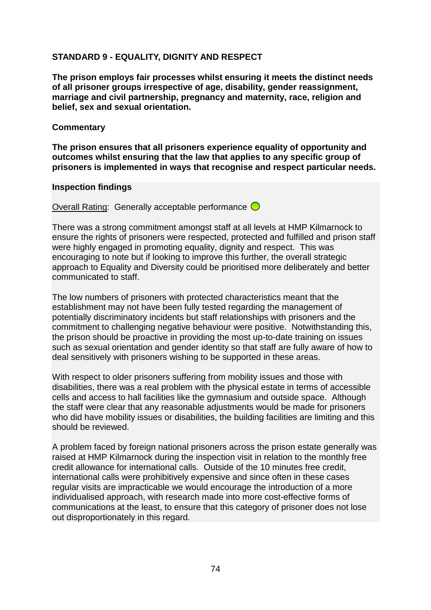### **STANDARD 9 - EQUALITY, DIGNITY AND RESPECT**

**The prison employs fair processes whilst ensuring it meets the distinct needs of all prisoner groups irrespective of age, disability, gender reassignment, marriage and civil partnership, pregnancy and maternity, race, religion and belief, sex and sexual orientation.**

#### **Commentary**

**The prison ensures that all prisoners experience equality of opportunity and outcomes whilst ensuring that the law that applies to any specific group of prisoners is implemented in ways that recognise and respect particular needs.**

#### **Inspection findings**

Overall Rating: Generally acceptable performance  $\bigcirc$ 

There was a strong commitment amongst staff at all levels at HMP Kilmarnock to ensure the rights of prisoners were respected, protected and fulfilled and prison staff were highly engaged in promoting equality, dignity and respect. This was encouraging to note but if looking to improve this further, the overall strategic approach to Equality and Diversity could be prioritised more deliberately and better communicated to staff.

The low numbers of prisoners with protected characteristics meant that the establishment may not have been fully tested regarding the management of potentially discriminatory incidents but staff relationships with prisoners and the commitment to challenging negative behaviour were positive. Notwithstanding this, the prison should be proactive in providing the most up-to-date training on issues such as sexual orientation and gender identity so that staff are fully aware of how to deal sensitively with prisoners wishing to be supported in these areas.

With respect to older prisoners suffering from mobility issues and those with disabilities, there was a real problem with the physical estate in terms of accessible cells and access to hall facilities like the gymnasium and outside space. Although the staff were clear that any reasonable adjustments would be made for prisoners who did have mobility issues or disabilities, the building facilities are limiting and this should be reviewed.

A problem faced by foreign national prisoners across the prison estate generally was raised at HMP Kilmarnock during the inspection visit in relation to the monthly free credit allowance for international calls. Outside of the 10 minutes free credit, international calls were prohibitively expensive and since often in these cases regular visits are impracticable we would encourage the introduction of a more individualised approach, with research made into more cost-effective forms of communications at the least, to ensure that this category of prisoner does not lose out disproportionately in this regard.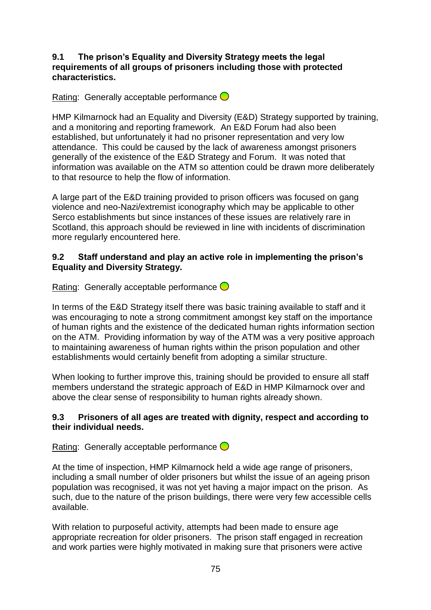#### **9.1 The prison's Equality and Diversity Strategy meets the legal requirements of all groups of prisoners including those with protected characteristics.**

Rating: Generally acceptable performance  $\bigcirc$ 

HMP Kilmarnock had an Equality and Diversity (E&D) Strategy supported by training, and a monitoring and reporting framework. An E&D Forum had also been established, but unfortunately it had no prisoner representation and very low attendance. This could be caused by the lack of awareness amongst prisoners generally of the existence of the E&D Strategy and Forum. It was noted that information was available on the ATM so attention could be drawn more deliberately to that resource to help the flow of information.

A large part of the E&D training provided to prison officers was focused on gang violence and neo-Nazi/extremist iconography which may be applicable to other Serco establishments but since instances of these issues are relatively rare in Scotland, this approach should be reviewed in line with incidents of discrimination more regularly encountered here.

#### **9.2 Staff understand and play an active role in implementing the prison's Equality and Diversity Strategy.**

Rating: Generally acceptable performance  $\bigcirc$ 

In terms of the E&D Strategy itself there was basic training available to staff and it was encouraging to note a strong commitment amongst key staff on the importance of human rights and the existence of the dedicated human rights information section on the ATM. Providing information by way of the ATM was a very positive approach to maintaining awareness of human rights within the prison population and other establishments would certainly benefit from adopting a similar structure.

When looking to further improve this, training should be provided to ensure all staff members understand the strategic approach of E&D in HMP Kilmarnock over and above the clear sense of responsibility to human rights already shown.

#### **9.3 Prisoners of all ages are treated with dignity, respect and according to their individual needs.**

Rating: Generally acceptable performance  $\bigcirc$ 

At the time of inspection, HMP Kilmarnock held a wide age range of prisoners, including a small number of older prisoners but whilst the issue of an ageing prison population was recognised, it was not yet having a major impact on the prison. As such, due to the nature of the prison buildings, there were very few accessible cells available.

With relation to purposeful activity, attempts had been made to ensure age appropriate recreation for older prisoners. The prison staff engaged in recreation and work parties were highly motivated in making sure that prisoners were active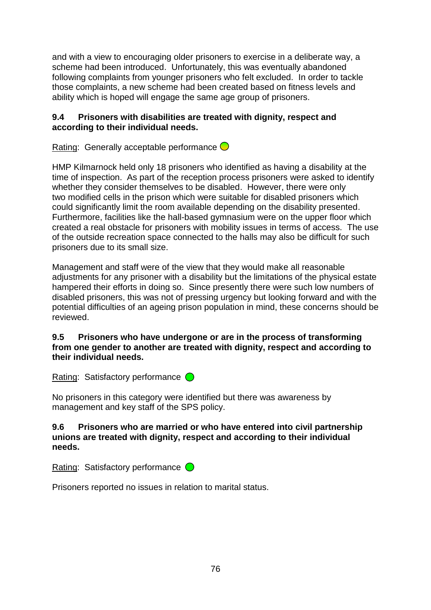and with a view to encouraging older prisoners to exercise in a deliberate way, a scheme had been introduced. Unfortunately, this was eventually abandoned following complaints from younger prisoners who felt excluded. In order to tackle those complaints, a new scheme had been created based on fitness levels and ability which is hoped will engage the same age group of prisoners.

#### **9.4 Prisoners with disabilities are treated with dignity, respect and according to their individual needs.**

Rating: Generally acceptable performance  $\bigcirc$ 

HMP Kilmarnock held only 18 prisoners who identified as having a disability at the time of inspection. As part of the reception process prisoners were asked to identify whether they consider themselves to be disabled. However, there were only two modified cells in the prison which were suitable for disabled prisoners which could significantly limit the room available depending on the disability presented. Furthermore, facilities like the hall-based gymnasium were on the upper floor which created a real obstacle for prisoners with mobility issues in terms of access. The use of the outside recreation space connected to the halls may also be difficult for such prisoners due to its small size.

Management and staff were of the view that they would make all reasonable adjustments for any prisoner with a disability but the limitations of the physical estate hampered their efforts in doing so. Since presently there were such low numbers of disabled prisoners, this was not of pressing urgency but looking forward and with the potential difficulties of an ageing prison population in mind, these concerns should be reviewed.

#### **9.5 Prisoners who have undergone or are in the process of transforming from one gender to another are treated with dignity, respect and according to their individual needs.**

Rating: Satisfactory performance  $\bigcirc$ 

No prisoners in this category were identified but there was awareness by management and key staff of the SPS policy.

#### **9.6 Prisoners who are married or who have entered into civil partnership unions are treated with dignity, respect and according to their individual needs.**

Rating: Satisfactory performance  $\bigcirc$ 

Prisoners reported no issues in relation to marital status.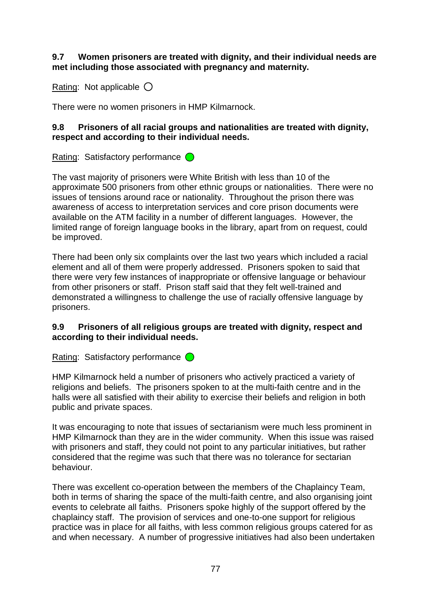#### **9.7 Women prisoners are treated with dignity, and their individual needs are met including those associated with pregnancy and maternity.**

Rating: Not applicable  $\bigcirc$ 

There were no women prisoners in HMP Kilmarnock.

#### **9.8 Prisoners of all racial groups and nationalities are treated with dignity, respect and according to their individual needs.**

Rating: Satisfactory performance  $\bigcirc$ 

The vast majority of prisoners were White British with less than 10 of the approximate 500 prisoners from other ethnic groups or nationalities. There were no issues of tensions around race or nationality. Throughout the prison there was awareness of access to interpretation services and core prison documents were available on the ATM facility in a number of different languages. However, the limited range of foreign language books in the library, apart from on request, could be improved.

There had been only six complaints over the last two years which included a racial element and all of them were properly addressed. Prisoners spoken to said that there were very few instances of inappropriate or offensive language or behaviour from other prisoners or staff. Prison staff said that they felt well-trained and demonstrated a willingness to challenge the use of racially offensive language by prisoners.

#### **9.9 Prisoners of all religious groups are treated with dignity, respect and according to their individual needs.**

Rating: Satisfactory performance  $\bigcirc$ 

HMP Kilmarnock held a number of prisoners who actively practiced a variety of religions and beliefs. The prisoners spoken to at the multi-faith centre and in the halls were all satisfied with their ability to exercise their beliefs and religion in both public and private spaces.

It was encouraging to note that issues of sectarianism were much less prominent in HMP Kilmarnock than they are in the wider community. When this issue was raised with prisoners and staff, they could not point to any particular initiatives, but rather considered that the regime was such that there was no tolerance for sectarian behaviour.

There was excellent co-operation between the members of the Chaplaincy Team, both in terms of sharing the space of the multi-faith centre, and also organising joint events to celebrate all faiths. Prisoners spoke highly of the support offered by the chaplaincy staff. The provision of services and one-to-one support for religious practice was in place for all faiths, with less common religious groups catered for as and when necessary. A number of progressive initiatives had also been undertaken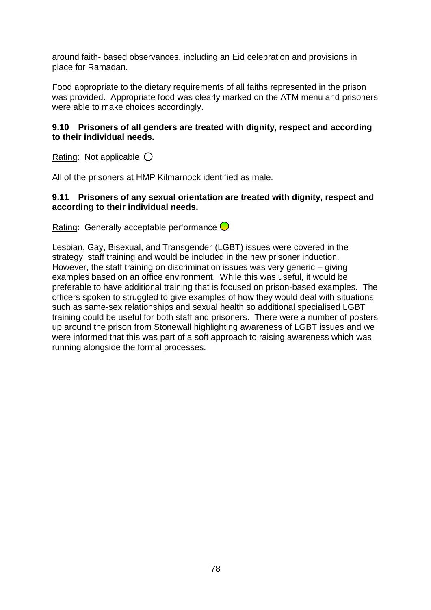around faith- based observances, including an Eid celebration and provisions in place for Ramadan.

Food appropriate to the dietary requirements of all faiths represented in the prison was provided. Appropriate food was clearly marked on the ATM menu and prisoners were able to make choices accordingly.

#### **9.10 Prisoners of all genders are treated with dignity, respect and according to their individual needs.**

Rating: Not applicable  $\bigcirc$ 

All of the prisoners at HMP Kilmarnock identified as male.

#### **9.11 Prisoners of any sexual orientation are treated with dignity, respect and according to their individual needs.**

Rating: Generally acceptable performance  $\bigcirc$ 

Lesbian, Gay, Bisexual, and Transgender (LGBT) issues were covered in the strategy, staff training and would be included in the new prisoner induction. However, the staff training on discrimination issues was very generic – giving examples based on an office environment. While this was useful, it would be preferable to have additional training that is focused on prison-based examples. The officers spoken to struggled to give examples of how they would deal with situations such as same-sex relationships and sexual health so additional specialised LGBT training could be useful for both staff and prisoners. There were a number of posters up around the prison from Stonewall highlighting awareness of LGBT issues and we were informed that this was part of a soft approach to raising awareness which was running alongside the formal processes.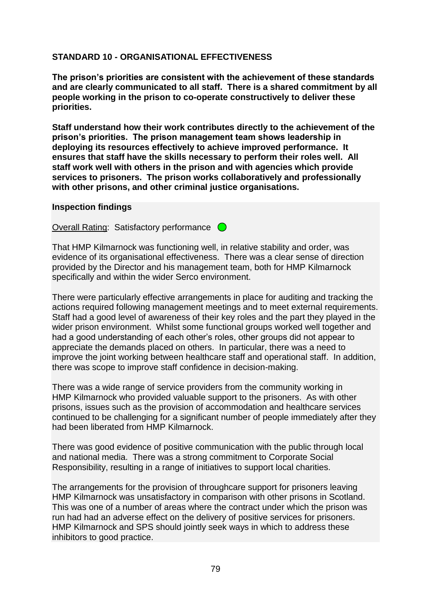## **STANDARD 10 - ORGANISATIONAL EFFECTIVENESS**

**The prison's priorities are consistent with the achievement of these standards and are clearly communicated to all staff. There is a shared commitment by all people working in the prison to co-operate constructively to deliver these priorities.**

**Staff understand how their work contributes directly to the achievement of the prison's priorities. The prison management team shows leadership in deploying its resources effectively to achieve improved performance. It ensures that staff have the skills necessary to perform their roles well. All staff work well with others in the prison and with agencies which provide services to prisoners. The prison works collaboratively and professionally with other prisons, and other criminal justice organisations.**

#### **Inspection findings**

Overall Rating: Satisfactory performance  $\bigcirc$ 

That HMP Kilmarnock was functioning well, in relative stability and order, was evidence of its organisational effectiveness. There was a clear sense of direction provided by the Director and his management team, both for HMP Kilmarnock specifically and within the wider Serco environment.

There were particularly effective arrangements in place for auditing and tracking the actions required following management meetings and to meet external requirements. Staff had a good level of awareness of their key roles and the part they played in the wider prison environment. Whilst some functional groups worked well together and had a good understanding of each other"s roles, other groups did not appear to appreciate the demands placed on others. In particular, there was a need to improve the joint working between healthcare staff and operational staff. In addition, there was scope to improve staff confidence in decision-making.

There was a wide range of service providers from the community working in HMP Kilmarnock who provided valuable support to the prisoners. As with other prisons, issues such as the provision of accommodation and healthcare services continued to be challenging for a significant number of people immediately after they had been liberated from HMP Kilmarnock.

There was good evidence of positive communication with the public through local and national media. There was a strong commitment to Corporate Social Responsibility, resulting in a range of initiatives to support local charities.

The arrangements for the provision of throughcare support for prisoners leaving HMP Kilmarnock was unsatisfactory in comparison with other prisons in Scotland. This was one of a number of areas where the contract under which the prison was run had had an adverse effect on the delivery of positive services for prisoners. HMP Kilmarnock and SPS should jointly seek ways in which to address these inhibitors to good practice.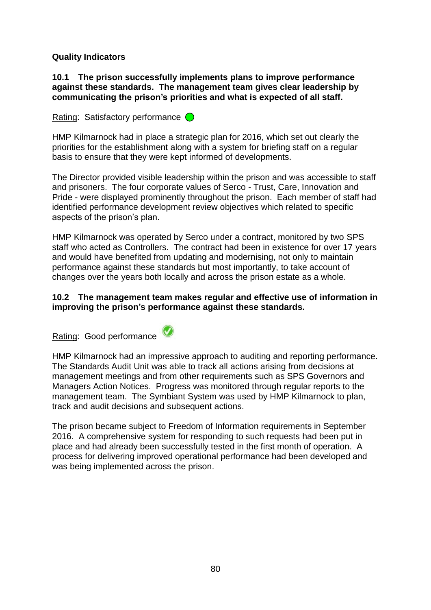#### **Quality Indicators**

#### **10.1 The prison successfully implements plans to improve performance against these standards. The management team gives clear leadership by communicating the prison's priorities and what is expected of all staff.**

Rating: Satisfactory performance  $\bigcirc$ 

HMP Kilmarnock had in place a strategic plan for 2016, which set out clearly the priorities for the establishment along with a system for briefing staff on a regular basis to ensure that they were kept informed of developments.

The Director provided visible leadership within the prison and was accessible to staff and prisoners. The four corporate values of Serco - Trust, Care, Innovation and Pride - were displayed prominently throughout the prison. Each member of staff had identified performance development review objectives which related to specific aspects of the prison"s plan.

HMP Kilmarnock was operated by Serco under a contract, monitored by two SPS staff who acted as Controllers. The contract had been in existence for over 17 years and would have benefited from updating and modernising, not only to maintain performance against these standards but most importantly, to take account of changes over the years both locally and across the prison estate as a whole.

#### **10.2 The management team makes regular and effective use of information in improving the prison's performance against these standards.**

Rating: Good performance



HMP Kilmarnock had an impressive approach to auditing and reporting performance. The Standards Audit Unit was able to track all actions arising from decisions at management meetings and from other requirements such as SPS Governors and Managers Action Notices. Progress was monitored through regular reports to the management team. The Symbiant System was used by HMP Kilmarnock to plan, track and audit decisions and subsequent actions.

The prison became subject to Freedom of Information requirements in September 2016. A comprehensive system for responding to such requests had been put in place and had already been successfully tested in the first month of operation. A process for delivering improved operational performance had been developed and was being implemented across the prison.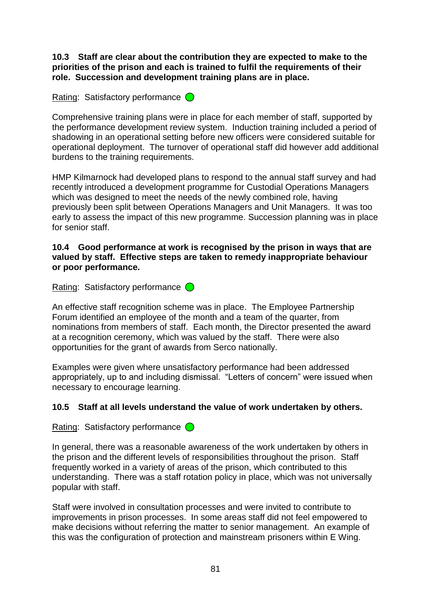**10.3 Staff are clear about the contribution they are expected to make to the priorities of the prison and each is trained to fulfil the requirements of their role. Succession and development training plans are in place.**

## Rating: Satisfactory performance  $\bigcirc$

Comprehensive training plans were in place for each member of staff, supported by the performance development review system. Induction training included a period of shadowing in an operational setting before new officers were considered suitable for operational deployment. The turnover of operational staff did however add additional burdens to the training requirements.

HMP Kilmarnock had developed plans to respond to the annual staff survey and had recently introduced a development programme for Custodial Operations Managers which was designed to meet the needs of the newly combined role, having previously been split between Operations Managers and Unit Managers. It was too early to assess the impact of this new programme. Succession planning was in place for senior staff.

#### **10.4 Good performance at work is recognised by the prison in ways that are valued by staff. Effective steps are taken to remedy inappropriate behaviour or poor performance.**

Rating: Satisfactory performance  $\bigcirc$ 

An effective staff recognition scheme was in place. The Employee Partnership Forum identified an employee of the month and a team of the quarter, from nominations from members of staff. Each month, the Director presented the award at a recognition ceremony, which was valued by the staff. There were also opportunities for the grant of awards from Serco nationally.

Examples were given where unsatisfactory performance had been addressed appropriately, up to and including dismissal. "Letters of concern" were issued when necessary to encourage learning.

#### **10.5 Staff at all levels understand the value of work undertaken by others.**

Rating: Satisfactory performance  $\bigcirc$ 

In general, there was a reasonable awareness of the work undertaken by others in the prison and the different levels of responsibilities throughout the prison. Staff frequently worked in a variety of areas of the prison, which contributed to this understanding. There was a staff rotation policy in place, which was not universally popular with staff.

Staff were involved in consultation processes and were invited to contribute to improvements in prison processes. In some areas staff did not feel empowered to make decisions without referring the matter to senior management. An example of this was the configuration of protection and mainstream prisoners within E Wing.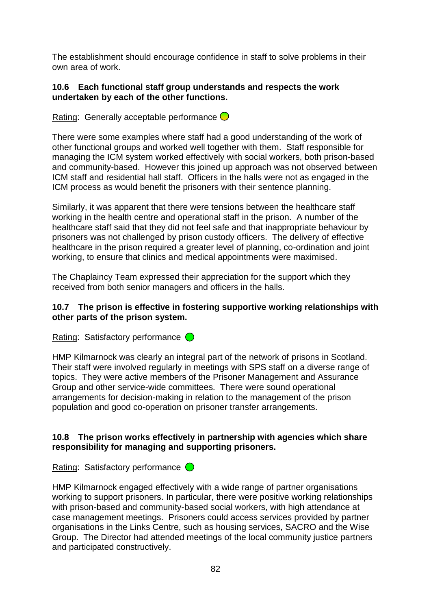The establishment should encourage confidence in staff to solve problems in their own area of work.

#### **10.6 Each functional staff group understands and respects the work undertaken by each of the other functions.**

Rating: Generally acceptable performance  $\bigcirc$ 

There were some examples where staff had a good understanding of the work of other functional groups and worked well together with them. Staff responsible for managing the ICM system worked effectively with social workers, both prison-based and community-based. However this joined up approach was not observed between ICM staff and residential hall staff. Officers in the halls were not as engaged in the ICM process as would benefit the prisoners with their sentence planning.

Similarly, it was apparent that there were tensions between the healthcare staff working in the health centre and operational staff in the prison. A number of the healthcare staff said that they did not feel safe and that inappropriate behaviour by prisoners was not challenged by prison custody officers. The delivery of effective healthcare in the prison required a greater level of planning, co-ordination and joint working, to ensure that clinics and medical appointments were maximised.

The Chaplaincy Team expressed their appreciation for the support which they received from both senior managers and officers in the halls.

#### **10.7 The prison is effective in fostering supportive working relationships with other parts of the prison system.**

Rating: Satisfactory performance  $\bigcirc$ 

HMP Kilmarnock was clearly an integral part of the network of prisons in Scotland. Their staff were involved regularly in meetings with SPS staff on a diverse range of topics. They were active members of the Prisoner Management and Assurance Group and other service-wide committees. There were sound operational arrangements for decision-making in relation to the management of the prison population and good co-operation on prisoner transfer arrangements.

## **10.8 The prison works effectively in partnership with agencies which share responsibility for managing and supporting prisoners.**

Rating: Satisfactory performance  $\bigcirc$ 

HMP Kilmarnock engaged effectively with a wide range of partner organisations working to support prisoners. In particular, there were positive working relationships with prison-based and community-based social workers, with high attendance at case management meetings. Prisoners could access services provided by partner organisations in the Links Centre, such as housing services, SACRO and the Wise Group. The Director had attended meetings of the local community justice partners and participated constructively.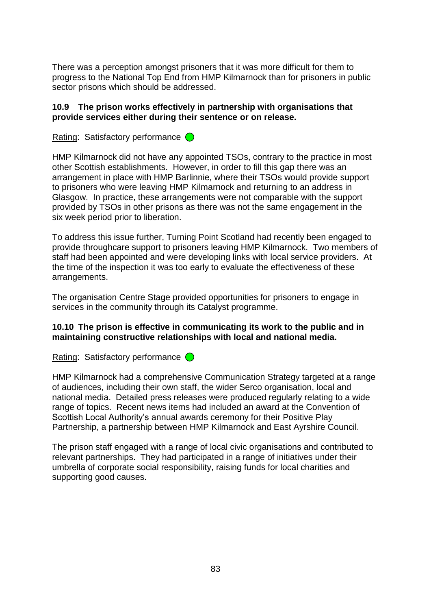There was a perception amongst prisoners that it was more difficult for them to progress to the National Top End from HMP Kilmarnock than for prisoners in public sector prisons which should be addressed.

#### **10.9 The prison works effectively in partnership with organisations that provide services either during their sentence or on release.**

Rating: Satisfactory performance  $\bigcirc$ 

HMP Kilmarnock did not have any appointed TSOs, contrary to the practice in most other Scottish establishments. However, in order to fill this gap there was an arrangement in place with HMP Barlinnie, where their TSOs would provide support to prisoners who were leaving HMP Kilmarnock and returning to an address in Glasgow. In practice, these arrangements were not comparable with the support provided by TSOs in other prisons as there was not the same engagement in the six week period prior to liberation.

To address this issue further, Turning Point Scotland had recently been engaged to provide throughcare support to prisoners leaving HMP Kilmarnock. Two members of staff had been appointed and were developing links with local service providers. At the time of the inspection it was too early to evaluate the effectiveness of these arrangements.

The organisation Centre Stage provided opportunities for prisoners to engage in services in the community through its Catalyst programme.

#### **10.10 The prison is effective in communicating its work to the public and in maintaining constructive relationships with local and national media.**

Rating: Satisfactory performance  $\bigcirc$ 

HMP Kilmarnock had a comprehensive Communication Strategy targeted at a range of audiences, including their own staff, the wider Serco organisation, local and national media. Detailed press releases were produced regularly relating to a wide range of topics. Recent news items had included an award at the Convention of Scottish Local Authority"s annual awards ceremony for their Positive Play Partnership, a partnership between HMP Kilmarnock and East Ayrshire Council.

The prison staff engaged with a range of local civic organisations and contributed to relevant partnerships. They had participated in a range of initiatives under their umbrella of corporate social responsibility, raising funds for local charities and supporting good causes.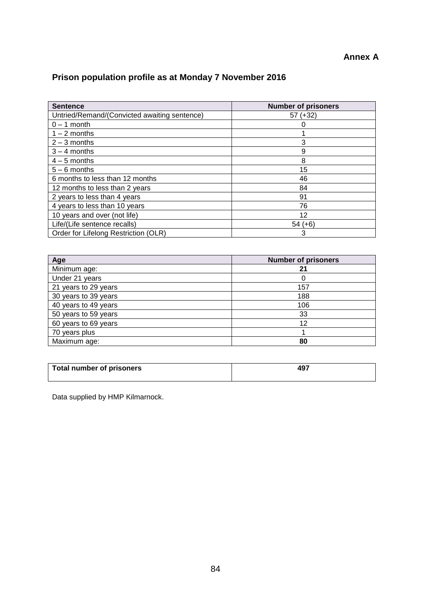#### **Annex A**

# **Prison population profile as at Monday 7 November 2016**

| <b>Sentence</b>                              | <b>Number of prisoners</b> |
|----------------------------------------------|----------------------------|
| Untried/Remand/(Convicted awaiting sentence) | $57 (+32)$                 |
| $0 - 1$ month                                |                            |
| $1 - 2$ months                               |                            |
| $2 - 3$ months                               | 3                          |
| $3 - 4$ months                               | 9                          |
| $4-5$ months                                 | 8                          |
| $5 - 6$ months                               | 15                         |
| 6 months to less than 12 months              | 46                         |
| 12 months to less than 2 years               | 84                         |
| 2 years to less than 4 years                 | 91                         |
| 4 years to less than 10 years                | 76                         |
| 10 years and over (not life)                 | 12                         |
| Life/(Life sentence recalls)                 | $54 (+6)$                  |
| Order for Lifelong Restriction (OLR)         | 3                          |

| Age                  | <b>Number of prisoners</b> |
|----------------------|----------------------------|
| Minimum age:         | 21                         |
| Under 21 years       |                            |
| 21 years to 29 years | 157                        |
| 30 years to 39 years | 188                        |
| 40 years to 49 years | 106                        |
| 50 years to 59 years | 33                         |
| 60 years to 69 years | 12                         |
| 70 years plus        |                            |
| Maximum age:         | 80                         |

| <b>Total number of prisoners</b> | ио.<br>− . |  |
|----------------------------------|------------|--|
|                                  |            |  |

Data supplied by HMP Kilmarnock.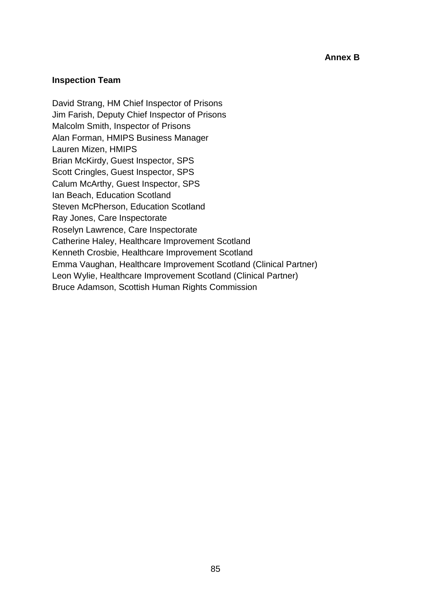#### **Inspection Team**

David Strang, HM Chief Inspector of Prisons Jim Farish, Deputy Chief Inspector of Prisons Malcolm Smith, Inspector of Prisons Alan Forman, HMIPS Business Manager Lauren Mizen, HMIPS Brian McKirdy, Guest Inspector, SPS Scott Cringles, Guest Inspector, SPS Calum McArthy, Guest Inspector, SPS Ian Beach, Education Scotland Steven McPherson, Education Scotland Ray Jones, Care Inspectorate Roselyn Lawrence, Care Inspectorate Catherine Haley, Healthcare Improvement Scotland Kenneth Crosbie, Healthcare Improvement Scotland Emma Vaughan, Healthcare Improvement Scotland (Clinical Partner) Leon Wylie, Healthcare Improvement Scotland (Clinical Partner) Bruce Adamson, Scottish Human Rights Commission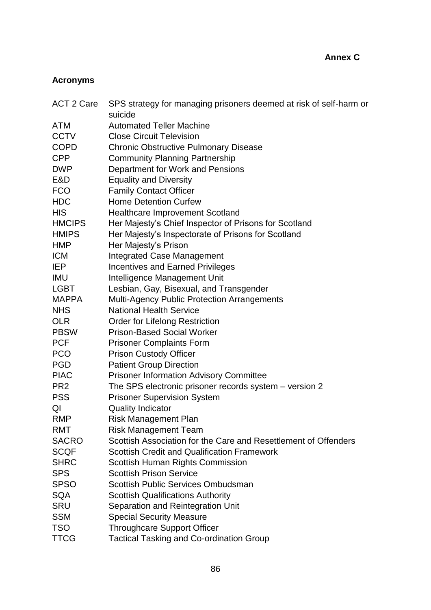## **Acronyms**

| <b>ACT 2 Care</b> | SPS strategy for managing prisoners deemed at risk of self-harm or<br>suicide |
|-------------------|-------------------------------------------------------------------------------|
| <b>ATM</b>        | <b>Automated Teller Machine</b>                                               |
| <b>CCTV</b>       | <b>Close Circuit Television</b>                                               |
| <b>COPD</b>       | <b>Chronic Obstructive Pulmonary Disease</b>                                  |
| <b>CPP</b>        | <b>Community Planning Partnership</b>                                         |
| <b>DWP</b>        | Department for Work and Pensions                                              |
| E&D               | <b>Equality and Diversity</b>                                                 |
| <b>FCO</b>        | <b>Family Contact Officer</b>                                                 |
| <b>HDC</b>        | <b>Home Detention Curfew</b>                                                  |
| <b>HIS</b>        | <b>Healthcare Improvement Scotland</b>                                        |
| <b>HMCIPS</b>     | Her Majesty's Chief Inspector of Prisons for Scotland                         |
| <b>HMIPS</b>      | Her Majesty's Inspectorate of Prisons for Scotland                            |
| <b>HMP</b>        | Her Majesty's Prison                                                          |
| <b>ICM</b>        | <b>Integrated Case Management</b>                                             |
| <b>IEP</b>        | <b>Incentives and Earned Privileges</b>                                       |
| <b>IMU</b>        | Intelligence Management Unit                                                  |
| <b>LGBT</b>       | Lesbian, Gay, Bisexual, and Transgender                                       |
| <b>MAPPA</b>      | <b>Multi-Agency Public Protection Arrangements</b>                            |
| <b>NHS</b>        | <b>National Health Service</b>                                                |
| <b>OLR</b>        | <b>Order for Lifelong Restriction</b>                                         |
| <b>PBSW</b>       | <b>Prison-Based Social Worker</b>                                             |
| <b>PCF</b>        | <b>Prisoner Complaints Form</b>                                               |
| <b>PCO</b>        | <b>Prison Custody Officer</b>                                                 |
| <b>PGD</b>        | <b>Patient Group Direction</b>                                                |
| <b>PIAC</b>       | <b>Prisoner Information Advisory Committee</b>                                |
| PR <sub>2</sub>   | The SPS electronic prisoner records system - version 2                        |
| <b>PSS</b>        | <b>Prisoner Supervision System</b>                                            |
| QI                | <b>Quality Indicator</b>                                                      |
| <b>RMP</b>        | <b>Risk Management Plan</b>                                                   |
| <b>RMT</b>        | <b>Risk Management Team</b>                                                   |
| <b>SACRO</b>      | Scottish Association for the Care and Resettlement of Offenders               |
| <b>SCQF</b>       | <b>Scottish Credit and Qualification Framework</b>                            |
| <b>SHRC</b>       | Scottish Human Rights Commission                                              |
| <b>SPS</b>        | <b>Scottish Prison Service</b>                                                |
| <b>SPSO</b>       | <b>Scottish Public Services Ombudsman</b>                                     |
| <b>SQA</b>        | <b>Scottish Qualifications Authority</b>                                      |
| <b>SRU</b>        | Separation and Reintegration Unit                                             |
| <b>SSM</b>        | <b>Special Security Measure</b>                                               |
| <b>TSO</b>        | <b>Throughcare Support Officer</b>                                            |
| <b>TTCG</b>       | <b>Tactical Tasking and Co-ordination Group</b>                               |